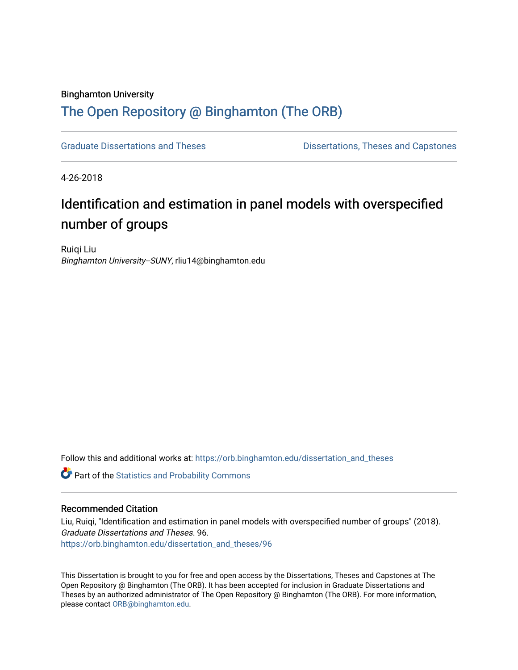#### Binghamton University

### [The Open Repository @ Binghamton \(The ORB\)](https://orb.binghamton.edu/)

[Graduate Dissertations and Theses](https://orb.binghamton.edu/dissertation_and_theses) **Districts** Dissertations, Theses and Capstones

4-26-2018

## Identification and estimation in panel models with overspecified number of groups

Ruiqi Liu Binghamton University--SUNY, rliu14@binghamton.edu

Follow this and additional works at: [https://orb.binghamton.edu/dissertation\\_and\\_theses](https://orb.binghamton.edu/dissertation_and_theses?utm_source=orb.binghamton.edu%2Fdissertation_and_theses%2F96&utm_medium=PDF&utm_campaign=PDFCoverPages)

Part of the [Statistics and Probability Commons](http://network.bepress.com/hgg/discipline/208?utm_source=orb.binghamton.edu%2Fdissertation_and_theses%2F96&utm_medium=PDF&utm_campaign=PDFCoverPages)

#### Recommended Citation

Liu, Ruiqi, "Identification and estimation in panel models with overspecified number of groups" (2018). Graduate Dissertations and Theses. 96. [https://orb.binghamton.edu/dissertation\\_and\\_theses/96](https://orb.binghamton.edu/dissertation_and_theses/96?utm_source=orb.binghamton.edu%2Fdissertation_and_theses%2F96&utm_medium=PDF&utm_campaign=PDFCoverPages) 

This Dissertation is brought to you for free and open access by the Dissertations, Theses and Capstones at The Open Repository @ Binghamton (The ORB). It has been accepted for inclusion in Graduate Dissertations and Theses by an authorized administrator of The Open Repository @ Binghamton (The ORB). For more information, please contact [ORB@binghamton.edu.](mailto:ORB@binghamton.edu)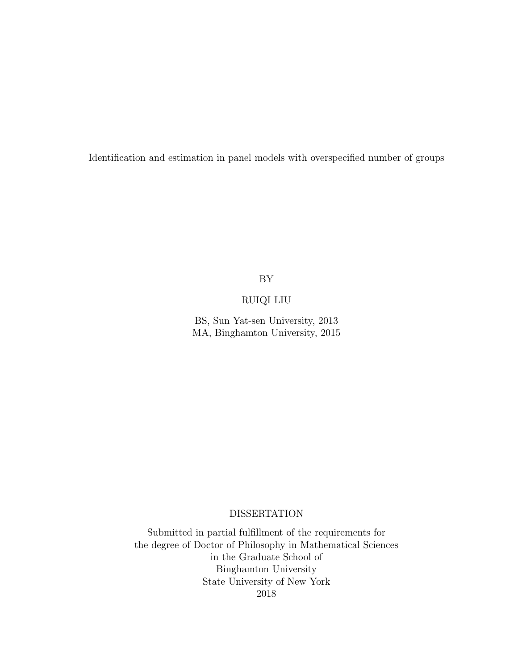Identification and estimation in panel models with overspecified number of groups

BY

#### RUIQI LIU

BS, Sun Yat-sen University, 2013 MA, Binghamton University, 2015

#### DISSERTATION

Submitted in partial fulfillment of the requirements for the degree of Doctor of Philosophy in Mathematical Sciences in the Graduate School of Binghamton University State University of New York 2018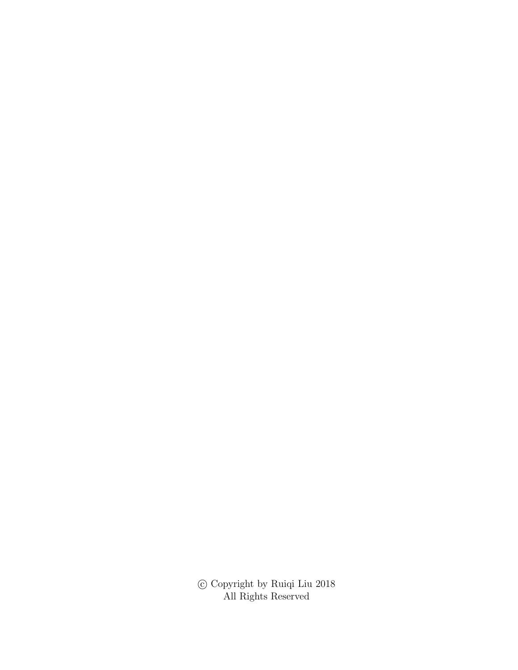$\odot$  Copyright by Ruiqi Liu $2018$ All Rights Reserved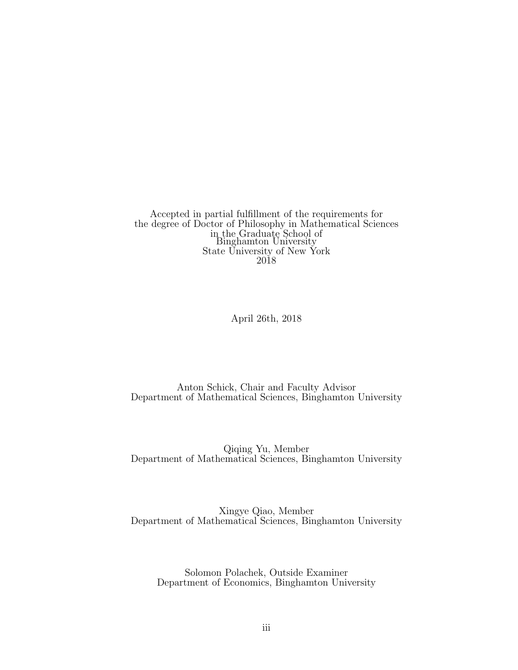Accepted in partial fulfillment of the requirements for the degree of Doctor of Philosophy in Mathematical Sciences in the Graduate School of Binghamton University State University of New York 2018

April 26th, 2018

Anton Schick, Chair and Faculty Advisor Department of Mathematical Sciences, Binghamton University

Qiqing Yu, Member Department of Mathematical Sciences, Binghamton University

Xingye Qiao, Member Department of Mathematical Sciences, Binghamton University

Solomon Polachek, Outside Examiner Department of Economics, Binghamton University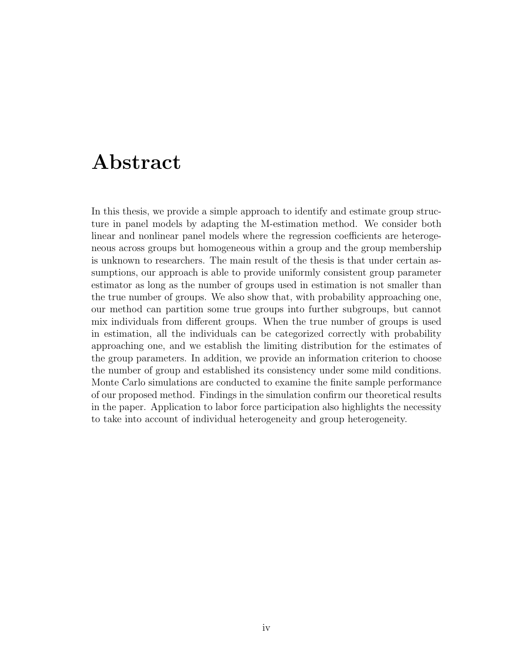## Abstract

In this thesis, we provide a simple approach to identify and estimate group structure in panel models by adapting the M-estimation method. We consider both linear and nonlinear panel models where the regression coefficients are heterogeneous across groups but homogeneous within a group and the group membership is unknown to researchers. The main result of the thesis is that under certain assumptions, our approach is able to provide uniformly consistent group parameter estimator as long as the number of groups used in estimation is not smaller than the true number of groups. We also show that, with probability approaching one, our method can partition some true groups into further subgroups, but cannot mix individuals from different groups. When the true number of groups is used in estimation, all the individuals can be categorized correctly with probability approaching one, and we establish the limiting distribution for the estimates of the group parameters. In addition, we provide an information criterion to choose the number of group and established its consistency under some mild conditions. Monte Carlo simulations are conducted to examine the finite sample performance of our proposed method. Findings in the simulation confirm our theoretical results in the paper. Application to labor force participation also highlights the necessity to take into account of individual heterogeneity and group heterogeneity.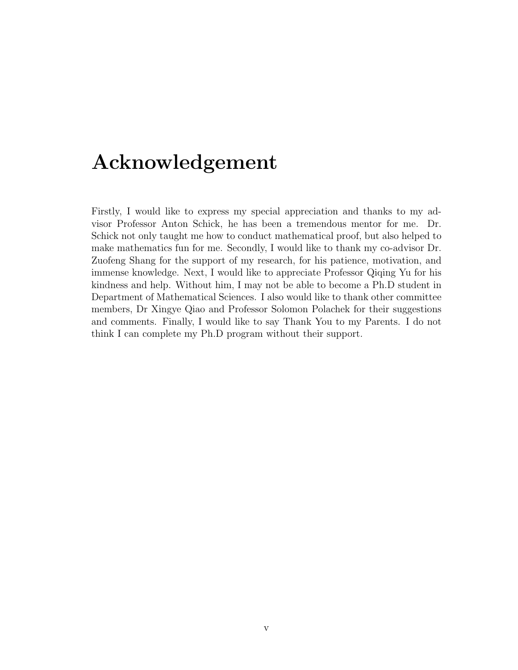## Acknowledgement

Firstly, I would like to express my special appreciation and thanks to my advisor Professor Anton Schick, he has been a tremendous mentor for me. Dr. Schick not only taught me how to conduct mathematical proof, but also helped to make mathematics fun for me. Secondly, I would like to thank my co-advisor Dr. Zuofeng Shang for the support of my research, for his patience, motivation, and immense knowledge. Next, I would like to appreciate Professor Qiqing Yu for his kindness and help. Without him, I may not be able to become a Ph.D student in Department of Mathematical Sciences. I also would like to thank other committee members, Dr Xingye Qiao and Professor Solomon Polachek for their suggestions and comments. Finally, I would like to say Thank You to my Parents. I do not think I can complete my Ph.D program without their support.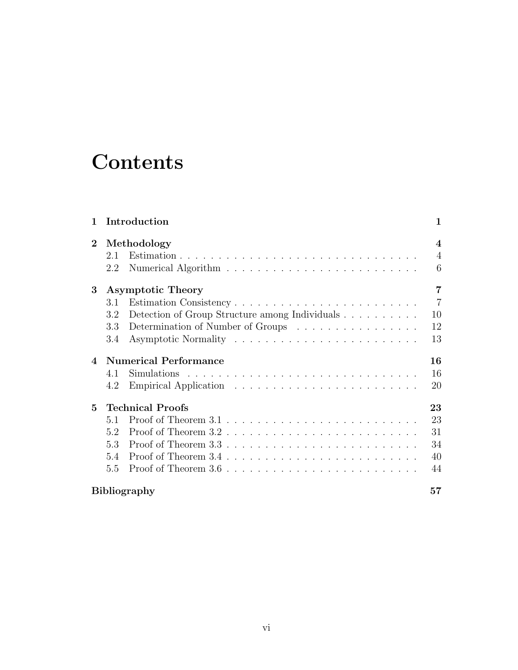# **Contents**

| $\mathbf{1}$   |     | Introduction                                   | 1                |
|----------------|-----|------------------------------------------------|------------------|
| $\mathbf{2}$   |     | Methodology                                    | $\boldsymbol{4}$ |
|                | 2.1 |                                                | $\overline{4}$   |
|                | 2.2 |                                                | 6                |
| 3              |     | <b>Asymptotic Theory</b>                       | $\overline{7}$   |
|                | 3.1 |                                                | $\overline{7}$   |
|                | 3.2 | Detection of Group Structure among Individuals | 10               |
|                | 3.3 | Determination of Number of Groups              | 12               |
|                | 3.4 |                                                | 13               |
| $\overline{4}$ |     | <b>Numerical Performance</b>                   | 16               |
|                | 4.1 |                                                | 16               |
|                | 4.2 |                                                | 20               |
| $\mathbf{5}$   |     | <b>Technical Proofs</b>                        | 23               |
|                | 5.1 |                                                | 23               |
|                | 5.2 |                                                | 31               |
|                | 53  |                                                | 34               |
|                | 5.4 |                                                | 40               |
|                | 5.5 |                                                | 44               |
|                |     | <b>Bibliography</b>                            | 57               |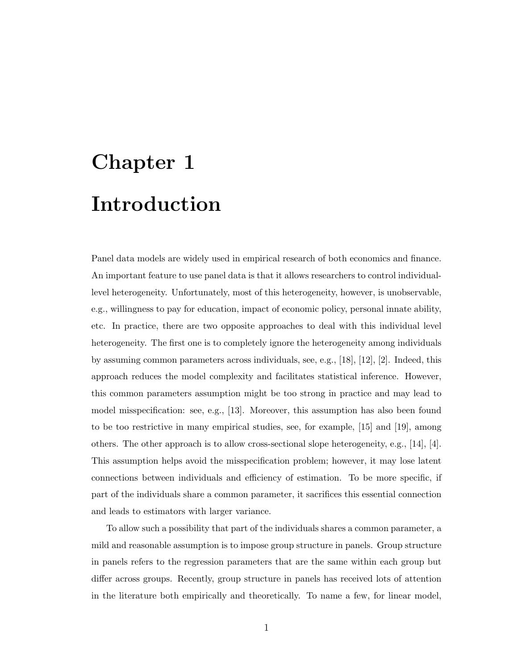# Chapter 1 Introduction

Panel data models are widely used in empirical research of both economics and finance. An important feature to use panel data is that it allows researchers to control individuallevel heterogeneity. Unfortunately, most of this heterogeneity, however, is unobservable, e.g., willingness to pay for education, impact of economic policy, personal innate ability, etc. In practice, there are two opposite approaches to deal with this individual level heterogeneity. The first one is to completely ignore the heterogeneity among individuals by assuming common parameters across individuals, see, e.g., [18], [12], [2]. Indeed, this approach reduces the model complexity and facilitates statistical inference. However, this common parameters assumption might be too strong in practice and may lead to model misspecification: see, e.g., [13]. Moreover, this assumption has also been found to be too restrictive in many empirical studies, see, for example, [15] and [19], among others. The other approach is to allow cross-sectional slope heterogeneity, e.g., [14], [4]. This assumption helps avoid the misspecification problem; however, it may lose latent connections between individuals and efficiency of estimation. To be more specific, if part of the individuals share a common parameter, it sacrifices this essential connection and leads to estimators with larger variance.

To allow such a possibility that part of the individuals shares a common parameter, a mild and reasonable assumption is to impose group structure in panels. Group structure in panels refers to the regression parameters that are the same within each group but differ across groups. Recently, group structure in panels has received lots of attention in the literature both empirically and theoretically. To name a few, for linear model,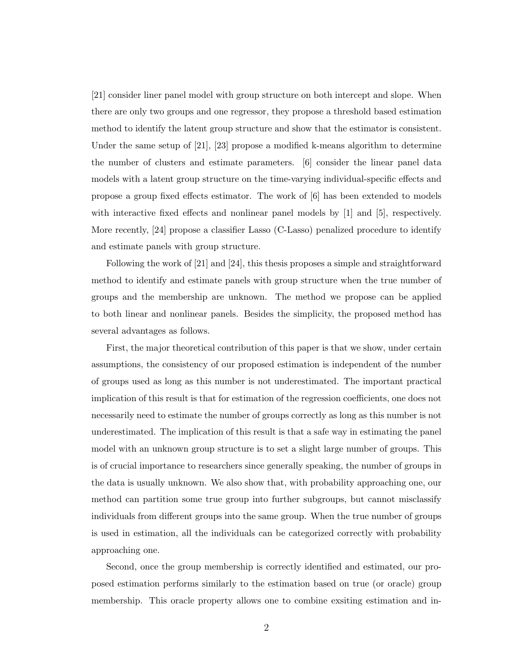[21] consider liner panel model with group structure on both intercept and slope. When there are only two groups and one regressor, they propose a threshold based estimation method to identify the latent group structure and show that the estimator is consistent. Under the same setup of [21], [23] propose a modified k-means algorithm to determine the number of clusters and estimate parameters. [6] consider the linear panel data models with a latent group structure on the time-varying individual-specific effects and propose a group fixed effects estimator. The work of [6] has been extended to models with interactive fixed effects and nonlinear panel models by [1] and [5], respectively. More recently, [24] propose a classifier Lasso (C-Lasso) penalized procedure to identify and estimate panels with group structure.

Following the work of [21] and [24], this thesis proposes a simple and straightforward method to identify and estimate panels with group structure when the true number of groups and the membership are unknown. The method we propose can be applied to both linear and nonlinear panels. Besides the simplicity, the proposed method has several advantages as follows.

First, the major theoretical contribution of this paper is that we show, under certain assumptions, the consistency of our proposed estimation is independent of the number of groups used as long as this number is not underestimated. The important practical implication of this result is that for estimation of the regression coefficients, one does not necessarily need to estimate the number of groups correctly as long as this number is not underestimated. The implication of this result is that a safe way in estimating the panel model with an unknown group structure is to set a slight large number of groups. This is of crucial importance to researchers since generally speaking, the number of groups in the data is usually unknown. We also show that, with probability approaching one, our method can partition some true group into further subgroups, but cannot misclassify individuals from different groups into the same group. When the true number of groups is used in estimation, all the individuals can be categorized correctly with probability approaching one.

Second, once the group membership is correctly identified and estimated, our proposed estimation performs similarly to the estimation based on true (or oracle) group membership. This oracle property allows one to combine exsiting estimation and in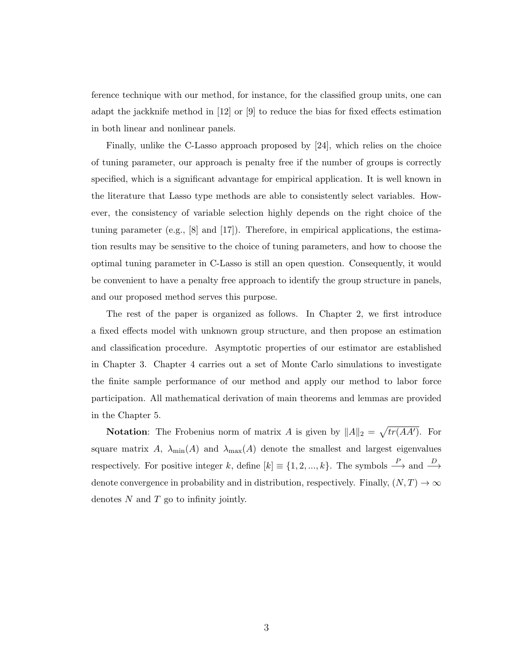ference technique with our method, for instance, for the classified group units, one can adapt the jackknife method in [12] or [9] to reduce the bias for fixed effects estimation in both linear and nonlinear panels.

Finally, unlike the C-Lasso approach proposed by [24], which relies on the choice of tuning parameter, our approach is penalty free if the number of groups is correctly specified, which is a significant advantage for empirical application. It is well known in the literature that Lasso type methods are able to consistently select variables. However, the consistency of variable selection highly depends on the right choice of the tuning parameter (e.g.,  $[8]$  and  $[17]$ ). Therefore, in empirical applications, the estimation results may be sensitive to the choice of tuning parameters, and how to choose the optimal tuning parameter in C-Lasso is still an open question. Consequently, it would be convenient to have a penalty free approach to identify the group structure in panels, and our proposed method serves this purpose.

The rest of the paper is organized as follows. In Chapter 2, we first introduce a fixed effects model with unknown group structure, and then propose an estimation and classification procedure. Asymptotic properties of our estimator are established in Chapter 3. Chapter 4 carries out a set of Monte Carlo simulations to investigate the finite sample performance of our method and apply our method to labor force participation. All mathematical derivation of main theorems and lemmas are provided in the Chapter 5.

**Notation:** The Frobenius norm of matrix A is given by  $||A||_2 = \sqrt{tr(AA')}$ . For square matrix A,  $\lambda_{\min}(A)$  and  $\lambda_{\max}(A)$  denote the smallest and largest eigenvalues respectively. For positive integer k, define  $[k] \equiv \{1, 2, ..., k\}$ . The symbols  $\stackrel{P}{\longrightarrow}$  and  $\stackrel{D}{\longrightarrow}$ denote convergence in probability and in distribution, respectively. Finally,  $(N, T) \rightarrow \infty$ denotes  $N$  and  $T$  go to infinity jointly.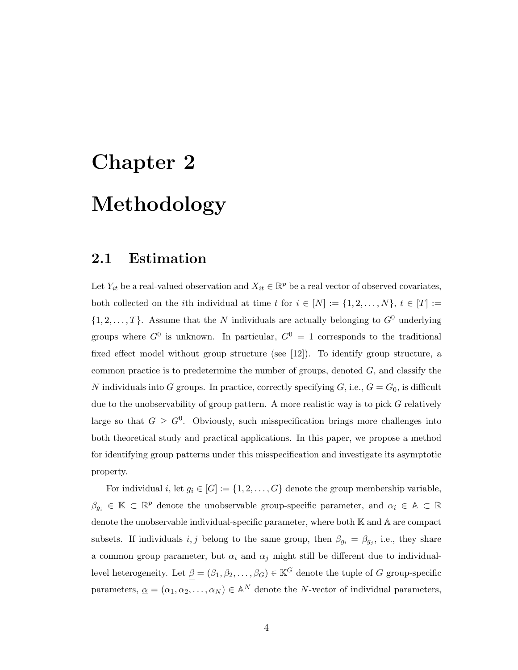# Chapter 2 Methodology

#### 2.1 Estimation

Let  $Y_{it}$  be a real-valued observation and  $X_{it} \in \mathbb{R}^p$  be a real vector of observed covariates, both collected on the *i*th individual at time t for  $i \in [N] := \{1, 2, ..., N\}, t \in [T] :=$  $\{1, 2, \ldots, T\}$ . Assume that the N individuals are actually belonging to  $G^0$  underlying groups where  $G^0$  is unknown. In particular,  $G^0 = 1$  corresponds to the traditional fixed effect model without group structure (see [12]). To identify group structure, a common practice is to predetermine the number of groups, denoted  $G$ , and classify the N individuals into G groups. In practice, correctly specifying G, i.e.,  $G = G_0$ , is difficult due to the unobservability of group pattern. A more realistic way is to pick  $G$  relatively large so that  $G \geq G^0$ . Obviously, such misspecification brings more challenges into both theoretical study and practical applications. In this paper, we propose a method for identifying group patterns under this misspecification and investigate its asymptotic property.

For individual i, let  $g_i \in [G] := \{1, 2, ..., G\}$  denote the group membership variable,  $\beta_{g_i} \in \mathbb{K} \subset \mathbb{R}^p$  denote the unobservable group-specific parameter, and  $\alpha_i \in \mathbb{A} \subset \mathbb{R}$ denote the unobservable individual-specific parameter, where both K and A are compact subsets. If individuals  $i, j$  belong to the same group, then  $\beta_{g_i} = \beta_{g_j}$ , i.e., they share a common group parameter, but  $\alpha_i$  and  $\alpha_j$  might still be different due to individuallevel heterogeneity. Let  $\underline{\beta} = (\beta_1, \beta_2, \dots, \beta_G) \in \mathbb{K}^G$  denote the tuple of G group-specific parameters,  $\underline{\alpha} = (\alpha_1, \alpha_2, \dots, \alpha_N) \in \mathbb{A}^N$  denote the N-vector of individual parameters,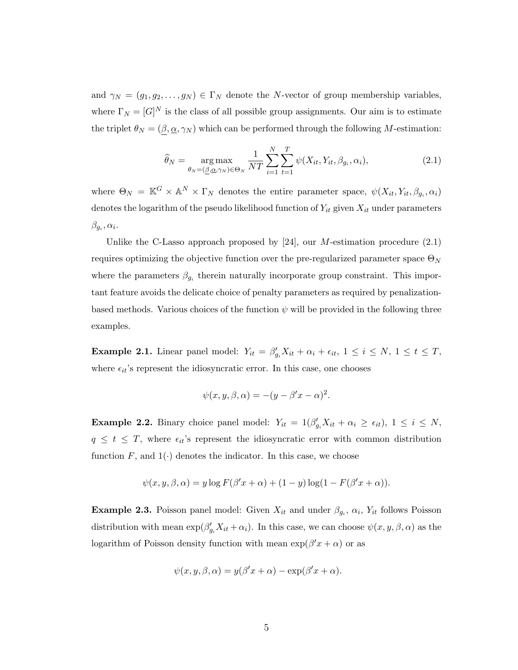and  $\gamma_N = (g_1, g_2, \dots, g_N) \in \Gamma_N$  denote the N-vector of group membership variables, where  $\Gamma_N = [G]^N$  is the class of all possible group assignments. Our aim is to estimate the triplet  $\theta_N = (\underline{\beta}, \underline{\alpha}, \gamma_N)$  which can be performed through the following M-estimation:

$$
\widehat{\theta}_N = \underset{\theta_N = (\underline{\beta}, \underline{\alpha}, \gamma_N) \in \Theta_N}{\arg \max} \frac{1}{NT} \sum_{i=1}^N \sum_{t=1}^T \psi(X_{it}, Y_{it}, \beta_{g_i}, \alpha_i), \tag{2.1}
$$

where  $\Theta_N = \mathbb{K}^G \times \mathbb{A}^N \times \Gamma_N$  denotes the entire parameter space,  $\psi(X_{it}, Y_{it}, \beta_{g_i}, \alpha_i)$ denotes the logarithm of the pseudo likelihood function of  $Y_{it}$  given  $X_{it}$  under parameters  $\beta_{g_i}, \alpha_i$ .

Unlike the C-Lasso approach proposed by  $[24]$ , our M-estimation procedure  $(2.1)$ requires optimizing the objective function over the pre-regularized parameter space  $\Theta_N$ where the parameters  $\beta_{g_i}$  therein naturally incorporate group constraint. This important feature avoids the delicate choice of penalty parameters as required by penalizationbased methods. Various choices of the function  $\psi$  will be provided in the following three examples.

**Example 2.1.** Linear panel model:  $Y_{it} = \beta'_{g_i} X_{it} + \alpha_i + \epsilon_{it}, 1 \le i \le N, 1 \le t \le T$ , where  $\epsilon_{it}$ 's represent the idiosyncratic error. In this case, one chooses

$$
\psi(x, y, \beta, \alpha) = -(y - \beta'x - \alpha)^2.
$$

**Example 2.2.** Binary choice panel model:  $Y_{it} = 1(\beta'_{g_i} X_{it} + \alpha_i \geq \epsilon_{it}), 1 \leq i \leq N$ ,  $q \leq t \leq T$ , where  $\epsilon_{it}$ 's represent the idiosyncratic error with common distribution function  $F$ , and  $1(\cdot)$  denotes the indicator. In this case, we choose

$$
\psi(x, y, \beta, \alpha) = y \log F(\beta' x + \alpha) + (1 - y) \log(1 - F(\beta' x + \alpha)).
$$

**Example 2.3.** Poisson panel model: Given  $X_{it}$  and under  $\beta_{g_i}, \alpha_i, Y_{it}$  follows Poisson distribution with mean  $\exp(\beta'_{g_i}X_{it}+\alpha_i)$ . In this case, we can choose  $\psi(x, y, \beta, \alpha)$  as the logarithm of Poisson density function with mean  $\exp(\beta' x + \alpha)$  or as

$$
\psi(x, y, \beta, \alpha) = y(\beta' x + \alpha) - \exp(\beta' x + \alpha).
$$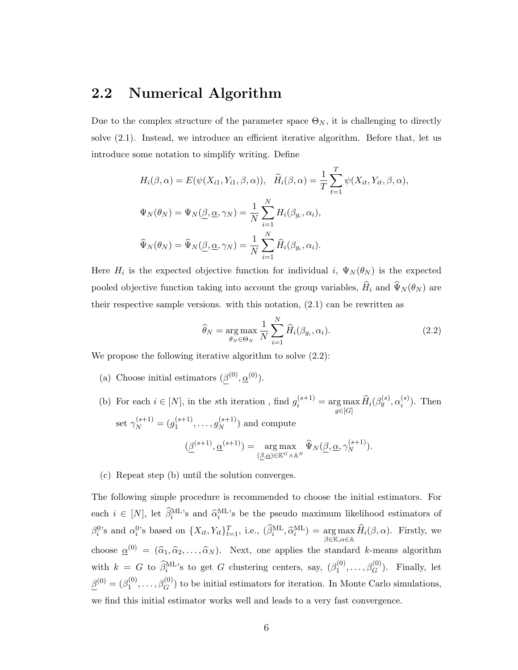#### 2.2 Numerical Algorithm

Due to the complex structure of the parameter space  $\Theta_N$ , it is challenging to directly solve (2.1). Instead, we introduce an efficient iterative algorithm. Before that, let us introduce some notation to simplify writing. Define

$$
H_i(\beta, \alpha) = E(\psi(X_{i1}, Y_{i1}, \beta, \alpha)), \quad \hat{H}_i(\beta, \alpha) = \frac{1}{T} \sum_{t=1}^T \psi(X_{it}, Y_{it}, \beta, \alpha),
$$

$$
\Psi_N(\theta_N) = \Psi_N(\underline{\beta}, \underline{\alpha}, \gamma_N) = \frac{1}{N} \sum_{i=1}^N H_i(\beta_{g_i}, \alpha_i),
$$

$$
\widehat{\Psi}_N(\theta_N) = \widehat{\Psi}_N(\underline{\beta}, \underline{\alpha}, \gamma_N) = \frac{1}{N} \sum_{i=1}^N \widehat{H}_i(\beta_{g_i}, \alpha_i).
$$

Here  $H_i$  is the expected objective function for individual i,  $\Psi_N(\theta_N)$  is the expected pooled objective function taking into account the group variables,  $\widehat{H}_i$  and  $\widehat{\Psi}_N (\theta_N )$  are their respective sample versions. with this notation,  $(2.1)$  can be rewritten as

$$
\widehat{\theta}_N = \underset{\theta_N \in \Theta_N}{\arg \max} \frac{1}{N} \sum_{i=1}^N \widehat{H}_i(\beta_{g_i}, \alpha_i). \tag{2.2}
$$

We propose the following iterative algorithm to solve  $(2.2)$ :

- (a) Choose initial estimators  $(\beta^{(0)}, \underline{\alpha}^{(0)})$ .
- (b) For each  $i \in [N]$ , in the sth iteration, find  $g_i^{(s+1)} = \arg \max_{g \in [G]} \widehat{H}_i(\beta_g^{(s)}, \alpha_i^{(s)})$  $i^{(s)}$ ). Then set  $\gamma_N^{(s+1)} = (g_1^{(s+1)}$  $j_1^{(s+1)}, \ldots, g_N^{(s+1)}$  $\binom{(s+1)}{N}$  and compute  $(\beta^{(s+1)}, \underline{\alpha}^{(s+1)}) = \arg \max$  $\argmax_{(\beta,\underline{\alpha}) \in \mathbb{K}^G \times \mathbb{A}^N} \widehat{\Psi}_N(\underline{\beta},\underline{\alpha},\gamma_N^{(s+1)})$  $\binom{(s+1)}{N}$ .

#### (c) Repeat step (b) until the solution converges.

The following simple procedure is recommended to choose the initial estimators. For each  $i \in [N]$ , let  $\widehat{\beta}_i^{\text{ML}}$ 's and  $\widehat{\alpha}_i^{\text{ML}}$ 's be the pseudo maximum likelihood estimators of  $\beta_i^0$ 's and  $\alpha_i^0$ 's based on  $\{X_{it}, Y_{it}\}_{t=1}^T$ , i.e.,  $(\widehat{\beta}_i^{\text{ML}}, \widehat{\alpha}_i^{\text{ML}}) = \underset{\beta \in \mathbb{K}, \alpha \in \mathbb{A}}{\arg \max}$  $\arg \max_{\beta \in \mathbb{K}, \alpha \in \mathbb{A}} H_i(\beta, \alpha)$ . Firstly, we choose  $\underline{\alpha}^{(0)} = (\widehat{\alpha}_1, \widehat{\alpha}_2, \dots, \widehat{\alpha}_N)$ . Next, one applies the standard k-means algorithm with  $k = G$  to  $\hat{\beta}_i^{\text{ML's}}$  to get G clustering centers, say,  $(\beta_1^{(0)})$  $1^{(0)}, \ldots, \beta_G^{(0)}$ ). Finally, let  $\beta^{(0)} = (\beta_1^{(0)}$  $(0, \ldots, \beta_G^{(0)})$  to be initial estimators for iteration. In Monte Carlo simulations, we find this initial estimator works well and leads to a very fast convergence.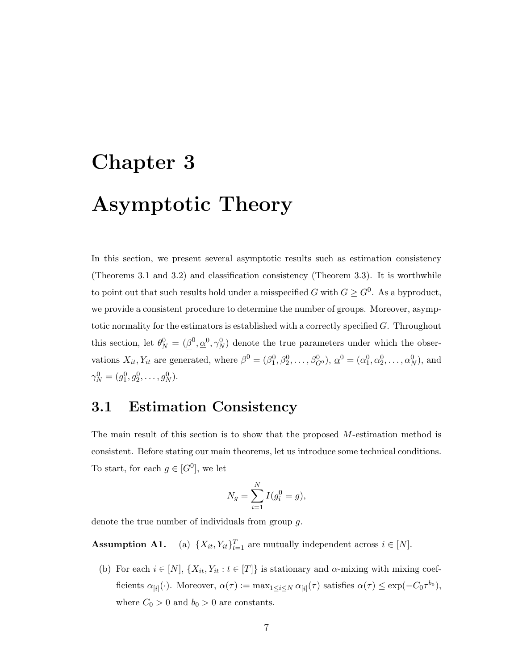# Chapter 3 Asymptotic Theory

In this section, we present several asymptotic results such as estimation consistency (Theorems 3.1 and 3.2) and classification consistency (Theorem 3.3). It is worthwhile to point out that such results hold under a misspecified G with  $G \geq G^0$ . As a byproduct, we provide a consistent procedure to determine the number of groups. Moreover, asymptotic normality for the estimators is established with a correctly specified G. Throughout this section, let  $\theta_N^0 = (\underline{\beta}^0, \underline{\alpha}^0, \gamma_N^0)$  denote the true parameters under which the observations  $X_{it}$ ,  $Y_{it}$  are generated, where  $\underline{\beta}^0 = (\beta_1^0, \beta_2^0, \dots, \beta_{G^0}^0), \underline{\alpha}^0 = (\alpha_1^0, \alpha_2^0, \dots, \alpha_N^0)$ , and  $\gamma_N^0 = (g_1^0, g_2^0, \dots, g_N^0).$ 

#### 3.1 Estimation Consistency

The main result of this section is to show that the proposed M-estimation method is consistent. Before stating our main theorems, let us introduce some technical conditions. To start, for each  $g \in [G^0]$ , we let

$$
N_g = \sum_{i=1}^{N} I(g_i^0 = g),
$$

denote the true number of individuals from group g.

Assumption A1.  $T_{t=1}$  are mutually independent across  $i \in [N]$ .

(b) For each  $i \in [N]$ ,  $\{X_{it}, Y_{it} : t \in [T]\}$  is stationary and  $\alpha$ -mixing with mixing coefficients  $\alpha_{[i]}(\cdot)$ . Moreover,  $\alpha(\tau) := \max_{1 \leq i \leq N} \alpha_{[i]}(\tau)$  satisfies  $\alpha(\tau) \leq \exp(-C_0 \tau^{b_0}),$ where  $C_0 > 0$  and  $b_0 > 0$  are constants.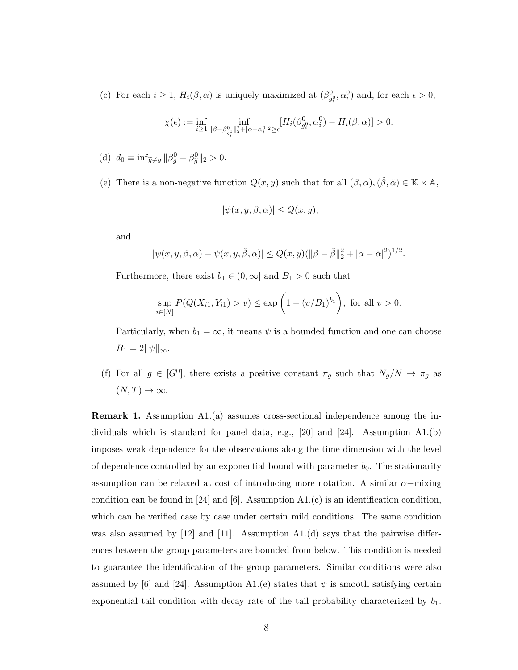(c) For each  $i \geq 1$ ,  $H_i(\beta, \alpha)$  is uniquely maximized at  $(\beta_{g_i^0}^0, \alpha_i^0)$  and, for each  $\epsilon > 0$ ,

$$
\chi(\epsilon):=\inf_{i\geq 1}\inf_{\|\beta-\beta^0_{g_i^0}\|_2^2+|\alpha-\alpha_i^0|^2\geq\epsilon}[H_i(\beta^0_{g_i^0},\alpha_i^0)-H_i(\beta,\alpha)]>0.
$$

(d) 
$$
d_0 \equiv \inf_{\widetilde{g} \neq g} ||\beta_g^0 - \beta_{\widetilde{g}}^0||_2 > 0.
$$

(e) There is a non-negative function  $Q(x, y)$  such that for all  $(\beta, \alpha), (\check{\beta}, \check{\alpha}) \in \mathbb{K} \times \mathbb{A}$ ,

$$
|\psi(x, y, \beta, \alpha)| \le Q(x, y),
$$

and

$$
|\psi(x, y, \beta, \alpha) - \psi(x, y, \check{\beta}, \check{\alpha})| \leq Q(x, y)(\|\beta - \check{\beta}\|_2^2 + |\alpha - \check{\alpha}|^2)^{1/2}.
$$

Furthermore, there exist  $b_1 \in (0, \infty]$  and  $B_1 > 0$  such that

$$
\sup_{i \in [N]} P(Q(X_{i1}, Y_{i1}) > v) \le \exp\left(1 - (v/B_1)^{b_1}\right), \text{ for all } v > 0.
$$

Particularly, when  $b_1 = \infty$ , it means  $\psi$  is a bounded function and one can choose  $B_1 = 2||\psi||_{\infty}.$ 

(f) For all  $g \in [G^0]$ , there exists a positive constant  $\pi_g$  such that  $N_g/N \to \pi_g$  as  $(N, T) \rightarrow \infty$ .

Remark 1. Assumption A1.(a) assumes cross-sectional independence among the individuals which is standard for panel data, e.g., [20] and [24]. Assumption A1.(b) imposes weak dependence for the observations along the time dimension with the level of dependence controlled by an exponential bound with parameter  $b_0$ . The stationarity assumption can be relaxed at cost of introducing more notation. A similar  $\alpha$ -mixing condition can be found in [24] and [6]. Assumption  $A1.(c)$  is an identification condition, which can be verified case by case under certain mild conditions. The same condition was also assumed by  $[12]$  and  $[11]$ . Assumption A1.(d) says that the pairwise differences between the group parameters are bounded from below. This condition is needed to guarantee the identification of the group parameters. Similar conditions were also assumed by [6] and [24]. Assumption A1.(e) states that  $\psi$  is smooth satisfying certain exponential tail condition with decay rate of the tail probability characterized by  $b_1$ .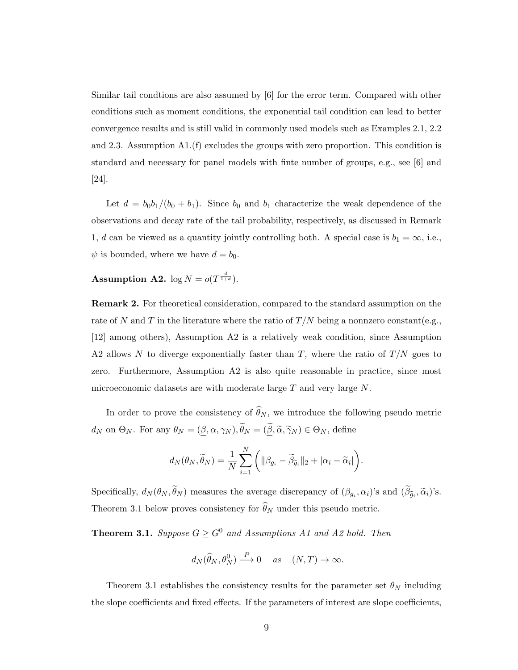Similar tail condtions are also assumed by [6] for the error term. Compared with other conditions such as moment conditions, the exponential tail condition can lead to better convergence results and is still valid in commonly used models such as Examples 2.1, 2.2 and 2.3. Assumption A1.(f) excludes the groups with zero proportion. This condition is standard and necessary for panel models with finte number of groups, e.g., see [6] and [24].

Let  $d = b_0b_1/(b_0 + b_1)$ . Since  $b_0$  and  $b_1$  characterize the weak dependence of the observations and decay rate of the tail probability, respectively, as discussed in Remark 1, d can be viewed as a quantity jointly controlling both. A special case is  $b_1 = \infty$ , i.e.,  $\psi$  is bounded, where we have  $d = b_0$ .

#### Assumption A2.  $\log N = o(T^{\frac{d}{1+d}})$ .

Remark 2. For theoretical consideration, compared to the standard assumption on the rate of N and T in the literature where the ratio of  $T/N$  being a nonnzero constant(e.g., [12] among others), Assumption A2 is a relatively weak condition, since Assumption A2 allows N to diverge exponentially faster than T, where the ratio of  $T/N$  goes to zero. Furthermore, Assumption A2 is also quite reasonable in practice, since most microeconomic datasets are with moderate large  $T$  and very large  $N$ .

In order to prove the consistency of  $\widehat{\theta}_N$ , we introduce the following pseudo metric  $d_N$  on  $\Theta_N$ . For any  $\theta_N = (\underline{\beta}, \underline{\alpha}, \gamma_N), \widetilde{\theta}_N = (\widetilde{\underline{\beta}}, \widetilde{\underline{\alpha}}, \widetilde{\gamma}_N) \in \Theta_N$ , define

$$
d_N(\theta_N, \widetilde{\theta}_N) = \frac{1}{N} \sum_{i=1}^N \left( \|\beta_{g_i} - \widetilde{\beta}_{\widetilde{g}_i}\|_2 + |\alpha_i - \widetilde{\alpha}_i| \right).
$$

Specifically,  $d_N(\theta_N, \theta_N)$  measures the average discrepancy of  $(\beta_{g_i}, \alpha_i)$ 's and  $(\beta_{\tilde{g}_i}, \tilde{\alpha}_i)$ 's. Theorem 3.1 below proves consistency for  $\widehat{\theta}_N$  under this pseudo metric.

**Theorem 3.1.** Suppose  $G \geq G^0$  and Assumptions A1 and A2 hold. Then

$$
d_N(\widehat{\theta}_N, \theta_N^0) \stackrel{P}{\longrightarrow} 0 \quad \text{as} \quad (N, T) \to \infty.
$$

Theorem 3.1 establishes the consistency results for the parameter set  $\theta_N$  including the slope coefficients and fixed effects. If the parameters of interest are slope coefficients,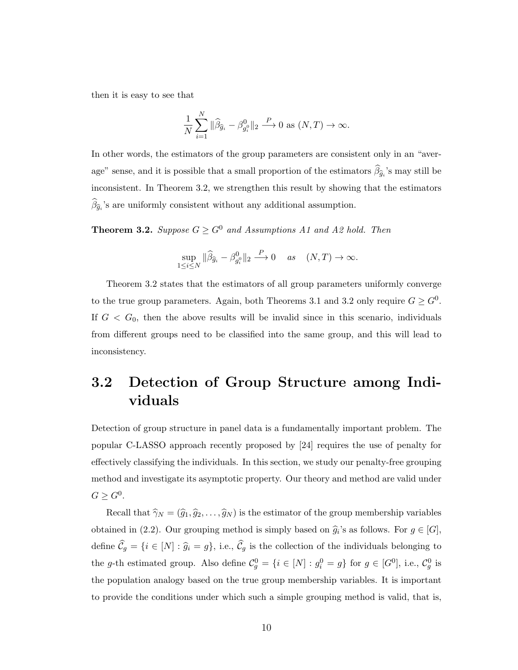then it is easy to see that

$$
\frac{1}{N}\sum_{i=1}^N \|\widehat{\beta}_{\widehat{g}_i} - \beta_{g_i^0}^0\|_2 \stackrel{P}{\longrightarrow} 0 \text{ as } (N,T) \to \infty.
$$

In other words, the estimators of the group parameters are consistent only in an "average" sense, and it is possible that a small proportion of the estimators  $\beta_{\hat{g}_i}$ 's may still be inconsistent. In Theorem 3.2, we strengthen this result by showing that the estimators  $\beta_{\hat{g}_i}$ 's are uniformly consistent without any additional assumption.

**Theorem 3.2.** Suppose  $G \geq G^0$  and Assumptions A1 and A2 hold. Then

$$
\sup_{1 \le i \le N} \|\widehat{\beta}_{\widehat{g}_i} - \beta_{g_i^0}^0\|_2 \xrightarrow{P} 0 \quad \text{as} \quad (N, T) \to \infty.
$$

Theorem 3.2 states that the estimators of all group parameters uniformly converge to the true group parameters. Again, both Theorems 3.1 and 3.2 only require  $G \geq G^0$ . If  $G < G_0$ , then the above results will be invalid since in this scenario, individuals from different groups need to be classified into the same group, and this will lead to inconsistency.

## 3.2 Detection of Group Structure among Individuals

Detection of group structure in panel data is a fundamentally important problem. The popular C-LASSO approach recently proposed by [24] requires the use of penalty for effectively classifying the individuals. In this section, we study our penalty-free grouping method and investigate its asymptotic property. Our theory and method are valid under  $G \geq G^0$ .

Recall that  $\hat{\gamma}_N = (\hat{g}_1, \hat{g}_2, \dots, \hat{g}_N)$  is the estimator of the group membership variables obtained in (2.2). Our grouping method is simply based on  $\hat{g}_i$ 's as follows. For  $g \in [G]$ , define  $\widehat{\mathcal{C}}_g = \{i \in [N] : \widehat{g}_i = g\}$ , i.e.,  $\widehat{\mathcal{C}}_g$  is the collection of the individuals belonging to the g-th estimated group. Also define  $\mathcal{C}_g^0 = \{i \in [N] : g_i^0 = g\}$  for  $g \in [G^0]$ , i.e.,  $\mathcal{C}_g^0$  is the population analogy based on the true group membership variables. It is important to provide the conditions under which such a simple grouping method is valid, that is,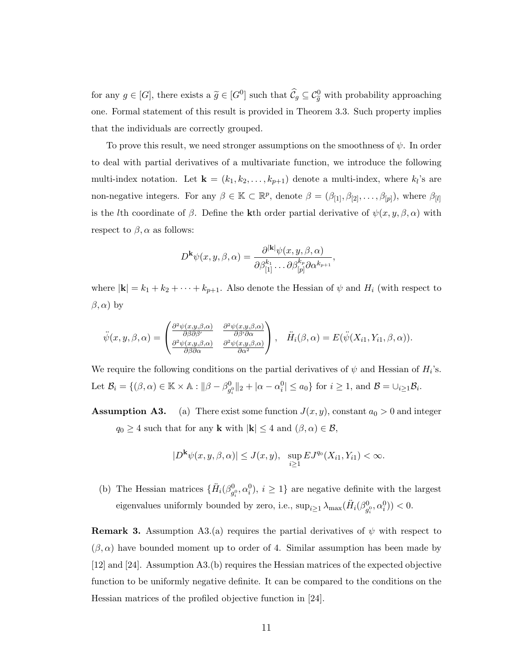for any  $g \in [G]$ , there exists a  $\tilde{g} \in [G^0]$  such that  $\widehat{C}_g \subseteq \mathcal{C}_{\tilde{g}}^0$  with probability approaching one. Formal statement of this result is provided in Theorem 3.3. Such property implies that the individuals are correctly grouped.

To prove this result, we need stronger assumptions on the smoothness of  $\psi$ . In order to deal with partial derivatives of a multivariate function, we introduce the following multi-index notation. Let  $\mathbf{k} = (k_1, k_2, \ldots, k_{p+1})$  denote a multi-index, where  $k_l$ 's are non-negative integers. For any  $\beta \in \mathbb{K} \subset \mathbb{R}^p$ , denote  $\beta = (\beta_{[1]}, \beta_{[2]}, \ldots, \beta_{[p]}),$  where  $\beta_{[l]}$ is the lth coordinate of  $\beta$ . Define the kth order partial derivative of  $\psi(x, y, \beta, \alpha)$  with respect to  $\beta$ ,  $\alpha$  as follows:

$$
D^{\mathbf{k}}\psi(x,y,\beta,\alpha)=\frac{\partial^{|\mathbf{k}|}\psi(x,y,\beta,\alpha)}{\partial\beta_{[1]}^{k_1}\dots\partial\beta_{[p]}^{k_p}\partial\alpha^{k_{p+1}}},
$$

where  $|\mathbf{k}| = k_1 + k_2 + \cdots + k_{p+1}$ . Also denote the Hessian of  $\psi$  and  $H_i$  (with respect to  $(\beta, \alpha)$  by

$$
\ddot{\psi}(x, y, \beta, \alpha) = \begin{pmatrix} \frac{\partial^2 \psi(x, y, \beta, \alpha)}{\partial \beta \partial \beta'} & \frac{\partial^2 \psi(x, y, \beta, \alpha)}{\partial \beta' \partial \alpha} \\ \frac{\partial^2 \psi(x, y, \beta, \alpha)}{\partial \beta \partial \alpha} & \frac{\partial^2 \psi(x, y, \beta, \alpha)}{\partial \alpha^2} \end{pmatrix}, \quad \ddot{H}_i(\beta, \alpha) = E(\ddot{\psi}(X_{i1}, Y_{i1}, \beta, \alpha)).
$$

We require the following conditions on the partial derivatives of  $\psi$  and Hessian of  $H_i$ 's. Let  $\mathcal{B}_i = \{(\beta, \alpha) \in \mathbb{K} \times \mathbb{A} : ||\beta - \beta_{g_i^0}^0||_2 + |\alpha - \alpha_i^0| \le a_0\}$  for  $i \ge 1$ , and  $\mathcal{B} = \bigcup_{i \ge 1} \mathcal{B}_i$ .

**Assumption A3.** (a) There exist some function  $J(x, y)$ , constant  $a_0 > 0$  and integer  $q_0 \geq 4$  such that for any **k** with  $|\mathbf{k}| \leq 4$  and  $(\beta, \alpha) \in \mathcal{B}$ ,

$$
|D^{\mathbf{k}}\psi(x,y,\beta,\alpha)| \le J(x,y), \ \ \sup_{i\ge 1}EJ^{q_0}(X_{i1},Y_{i1}) < \infty.
$$

(b) The Hessian matrices  $\{\ddot{H}_i(\beta_{g_i^0}^0, \alpha_i^0), i \geq 1\}$  are negative definite with the largest eigenvalues uniformly bounded by zero, i.e.,  $\sup_{i\geq 1} \lambda_{\max}(\ddot{H}_i(\beta^0_{g_i^0},\alpha^0_i)) < 0.$ 

**Remark 3.** Assumption A3.(a) requires the partial derivatives of  $\psi$  with respect to  $(\beta, \alpha)$  have bounded moment up to order of 4. Similar assumption has been made by [12] and [24]. Assumption A3.(b) requires the Hessian matrices of the expected objective function to be uniformly negative definite. It can be compared to the conditions on the Hessian matrices of the profiled objective function in [24].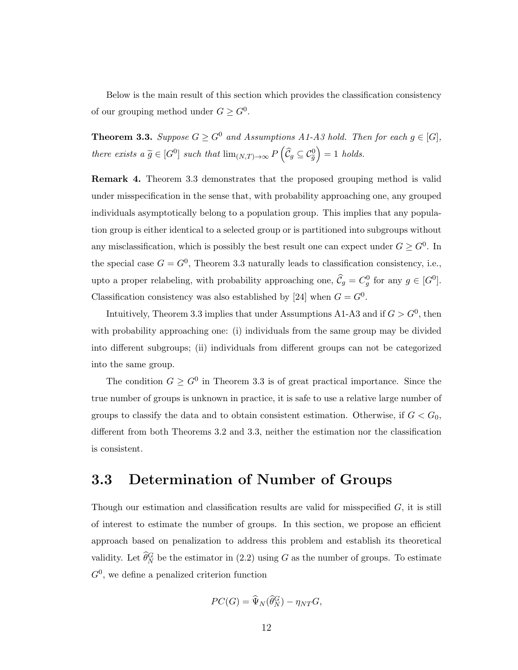Below is the main result of this section which provides the classification consistency of our grouping method under  $G \geq G^0$ .

**Theorem 3.3.** Suppose  $G \geq G^0$  and Assumptions A1-A3 hold. Then for each  $g \in [G]$ , there exists a  $\widetilde{g} \in [G^0]$  such that  $\lim_{(N,T) \to \infty} P(\widehat{C}_g \subseteq C_{\widetilde{g}}^0)$  $= 1$  holds.

Remark 4. Theorem 3.3 demonstrates that the proposed grouping method is valid under misspecification in the sense that, with probability approaching one, any grouped individuals asymptotically belong to a population group. This implies that any population group is either identical to a selected group or is partitioned into subgroups without any misclassification, which is possibly the best result one can expect under  $G \geq G^0$ . In the special case  $G = G^0$ , Theorem 3.3 naturally leads to classification consistency, i.e., upto a proper relabeling, with probability approaching one,  $\widehat{C}_g = C_g^0$  for any  $g \in [G^0]$ . Classification consistency was also established by [24] when  $G = G^0$ .

Intuitively, Theorem 3.3 implies that under Assumptions A1-A3 and if  $G > G<sup>0</sup>$ , then with probability approaching one: (i) individuals from the same group may be divided into different subgroups; (ii) individuals from different groups can not be categorized into the same group.

The condition  $G \geq G^0$  in Theorem 3.3 is of great practical importance. Since the true number of groups is unknown in practice, it is safe to use a relative large number of groups to classify the data and to obtain consistent estimation. Otherwise, if  $G < G_0$ , different from both Theorems 3.2 and 3.3, neither the estimation nor the classification is consistent.

#### 3.3 Determination of Number of Groups

Though our estimation and classification results are valid for misspecified  $G$ , it is still of interest to estimate the number of groups. In this section, we propose an efficient approach based on penalization to address this problem and establish its theoretical validity. Let  $\widehat{\theta}_N^G$  be the estimator in  $(2.2)$  using G as the number of groups. To estimate  $G^0$ , we define a penalized criterion function

$$
PC(G) = \widehat{\Psi}_N(\widehat{\theta}_N^G) - \eta_{NT}G,
$$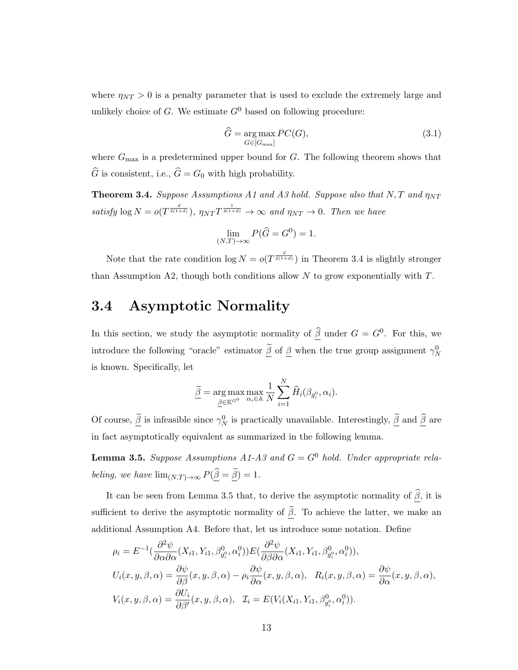where  $\eta_{NT} > 0$  is a penalty parameter that is used to exclude the extremely large and unlikely choice of  $G$ . We estimate  $G^0$  based on following procedure:

$$
\widehat{G} = \underset{G \in [G_{\text{max}}]}{\arg \max} PC(G),\tag{3.1}
$$

where  $G_{\text{max}}$  is a predetermined upper bound for  $G$ . The following theorem shows that  $\widehat{G}$  is consistent, i.e.,  $\widehat{G} = G_0$  with high probability.

**Theorem 3.4.** Suppose Assumptions A1 and A3 hold. Suppose also that N, T and  $\eta_{NT}$ satisfy  $\log N = o(T^{\frac{d}{2(1+d)}})$ ,  $\eta_{NT} T^{\frac{1}{4(1+d)}} \to \infty$  and  $\eta_{NT} \to 0$ . Then we have

$$
\lim_{(N,T)\to\infty} P(\hat{G} = G^0) = 1.
$$

Note that the rate condition  $\log N = o(T^{\frac{d}{2(1+d)}})$  in Theorem 3.4 is slightly stronger than Assumption A2, though both conditions allow  $N$  to grow exponentially with  $T$ .

### 3.4 Asymptotic Normality

In this section, we study the asymptotic normality of  $\widehat{\beta}$  under  $G = G^0$ . For this, we introduce the following "oracle" estimator  $\tilde{\beta}$  of  $\beta$  when the true group assignment  $\gamma_N^0$ is known. Specifically, let

$$
\widetilde{\underline{\beta}} = \underset{\underline{\beta} \in \mathbb{K}^{G^0}}{\arg \max} \underset{\alpha_i \in \mathbb{A}}{\max} \frac{1}{N} \sum_{i=1}^N \widehat{H}_i(\beta_{g_i^0}, \alpha_i).
$$

Of course,  $\tilde{\beta}$  is infeasible since  $\gamma_N^0$  is practically unavailable. Interestingly,  $\tilde{\beta}$  and  $\tilde{\beta}$  are in fact asymptotically equivalent as summarized in the following lemma.

**Lemma 3.5.** Suppose Assumptions A1-A3 and  $G = G^0$  hold. Under appropriate relabeling, we have  $\lim_{(N,T)\to\infty} P(\widehat{\beta} = \widetilde{\beta}) = 1.$ 

It can be seen from Lemma 3.5 that, to derive the asymptotic normality of  $\hat{\beta}$ , it is sufficient to derive the asymptotic normality of  $\tilde{\beta}$ . To achieve the latter, we make an additional Assumption A4. Before that, let us introduce some notation. Define

$$
\rho_i = E^{-1}(\frac{\partial^2 \psi}{\partial \alpha \partial \alpha}(X_{i1}, Y_{i1}, \beta_{g_i^0}^0, \alpha_i^0)) E(\frac{\partial^2 \psi}{\partial \beta \partial \alpha}(X_{i1}, Y_{i1}, \beta_{g_i^0}^0, \alpha_i^0)),
$$
  
\n
$$
U_i(x, y, \beta, \alpha) = \frac{\partial \psi}{\partial \beta}(x, y, \beta, \alpha) - \rho_i \frac{\partial \psi}{\partial \alpha}(x, y, \beta, \alpha), \quad R_i(x, y, \beta, \alpha) = \frac{\partial \psi}{\partial \alpha}(x, y, \beta, \alpha),
$$
  
\n
$$
V_i(x, y, \beta, \alpha) = \frac{\partial U_i}{\partial \beta'}(x, y, \beta, \alpha), \quad \mathcal{I}_i = E(V_i(X_{i1}, Y_{i1}, \beta_{g_i^0}^0, \alpha_i^0)).
$$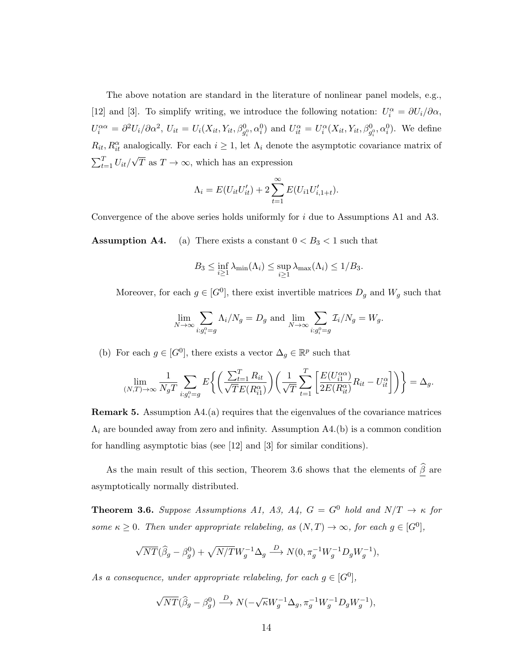The above notation are standard in the literature of nonlinear panel models, e.g., [12] and [3]. To simplify writing, we introduce the following notation:  $U_i^{\alpha} = \partial U_i / \partial \alpha$ ,  $U_i^{\alpha\alpha} = \partial^2 U_i/\partial \alpha^2$ ,  $U_{it} = U_i(X_{it}, Y_{it}, \beta_{g_i^0}^0, \alpha_i^0)$  and  $U_{it}^{\alpha} = U_i^{\alpha}(X_{it}, Y_{it}, \beta_{g_i^0}^0, \alpha_i^0)$ . We define  $R_{it}, R_{it}^{\alpha}$  analogically. For each  $i \geq 1$ , let  $\Lambda_i$  denote the asymptotic covariance matrix of  $\sum_{t=1}^T U_{it}$ √ T as  $T \to \infty$ , which has an expression

$$
\Lambda_i = E(U_{it}U'_{it}) + 2\sum_{t=1}^{\infty} E(U_{i1}U'_{i,1+t}).
$$

Convergence of the above series holds uniformly for i due to Assumptions A1 and A3.

**Assumption A4.** (a) There exists a constant  $0 < B_3 < 1$  such that

$$
B_3 \le \inf_{i \ge 1} \lambda_{\min}(\Lambda_i) \le \sup_{i \ge 1} \lambda_{\max}(\Lambda_i) \le 1/B_3.
$$

Moreover, for each  $g \in [G^0]$ , there exist invertible matrices  $D_g$  and  $W_g$  such that

$$
\lim_{N \to \infty} \sum_{i:g_i^0 = g} \Lambda_i/N_g = D_g \text{ and } \lim_{N \to \infty} \sum_{i:g_i^0 = g} \mathcal{I}_i/N_g = W_g.
$$

(b) For each  $g \in [G^0]$ , there exists a vector  $\Delta_g \in \mathbb{R}^p$  such that

$$
\lim_{(N,T)\to\infty} \frac{1}{N_g T} \sum_{i:g_i^0 = g} E\left\{ \left( \frac{\sum_{t=1}^T R_{it}}{\sqrt{T} E(R_{i1}^\alpha)} \right) \left( \frac{1}{\sqrt{T}} \sum_{t=1}^T \left[ \frac{E(U_{i1}^{\alpha\alpha})}{2E(R_{it}^\alpha)} R_{it} - U_{it}^\alpha \right] \right) \right\} = \Delta_g.
$$

Remark 5. Assumption A4.(a) requires that the eigenvalues of the covariance matrices  $\Lambda_i$  are bounded away from zero and infinity. Assumption A4.(b) is a common condition for handling asymptotic bias (see [12] and [3] for similar conditions).

As the main result of this section, Theorem 3.6 shows that the elements of  $\widehat{\beta}$  are asymptotically normally distributed.

**Theorem 3.6.** Suppose Assumptions A1, A3, A4,  $G = G^0$  hold and  $N/T \rightarrow \kappa$  for some  $\kappa \geq 0$ . Then under appropriate relabeling, as  $(N, T) \to \infty$ , for each  $g \in [G^0]$ ,

$$
\sqrt{NT}(\widehat{\beta}_g - \beta_g^0) + \sqrt{N/T}W_g^{-1} \Delta_g \stackrel{D}{\longrightarrow} N(0, \pi_g^{-1}W_g^{-1}D_gW_g^{-1}),
$$

As a consequence, under appropriate relabeling, for each  $g \in [G^0]$ ,

$$
\sqrt{NT}(\widehat{\beta}_g - \beta_g^0) \xrightarrow{D} N(-\sqrt{\kappa}W_g^{-1}\Delta_g, \pi_g^{-1}W_g^{-1}D_gW_g^{-1}),
$$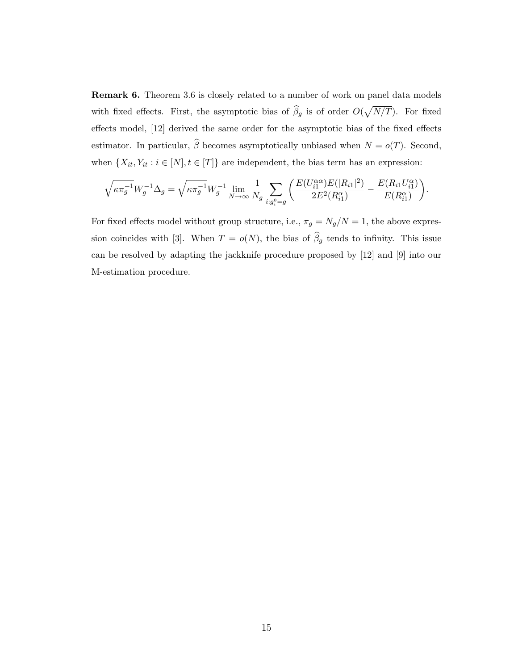Remark 6. Theorem 3.6 is closely related to a number of work on panel data models with fixed effects. First, the asymptotic bias of  $\hat{\beta}_g$  is of order  $O(\sqrt{N/T})$ . For fixed effects model, [12] derived the same order for the asymptotic bias of the fixed effects estimator. In particular,  $\widehat{\beta}$  becomes asymptotically unbiased when  $N = o(T)$ . Second, when  $\{X_{it}, Y_{it} : i \in [N], t \in [T]\}$  are independent, the bias term has an expression:

$$
\sqrt{\kappa \pi_g^{-1}} W_g^{-1} \Delta_g = \sqrt{\kappa \pi_g^{-1}} W_g^{-1} \lim_{N \to \infty} \frac{1}{N_g} \sum_{i:g_i^0 = g} \left( \frac{E(U_{i1}^{\alpha \alpha}) E(|R_{i1}|^2)}{2E^2(R_{i1}^{\alpha})} - \frac{E(R_{i1} U_{i1}^{\alpha})}{E(R_{i1}^{\alpha})} \right).
$$

For fixed effects model without group structure, i.e.,  $\pi_g = N_g/N = 1$ , the above expression coincides with [3]. When  $T = o(N)$ , the bias of  $\hat{\beta}_g$  tends to infinity. This issue can be resolved by adapting the jackknife procedure proposed by [12] and [9] into our M-estimation procedure.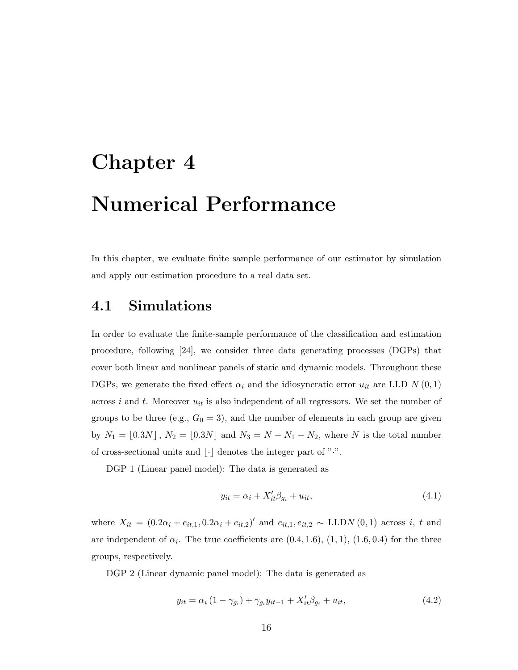## Chapter 4

# Numerical Performance

In this chapter, we evaluate finite sample performance of our estimator by simulation and apply our estimation procedure to a real data set.

#### 4.1 Simulations

In order to evaluate the finite-sample performance of the classification and estimation procedure, following [24], we consider three data generating processes (DGPs) that cover both linear and nonlinear panels of static and dynamic models. Throughout these DGPs, we generate the fixed effect  $\alpha_i$  and the idiosyncratic error  $u_{it}$  are I.I.D N  $(0, 1)$ across i and t. Moreover  $u_{it}$  is also independent of all regressors. We set the number of groups to be three (e.g.,  $G_0 = 3$ ), and the number of elements in each group are given by  $N_1 = [0.3N]$ ,  $N_2 = [0.3N]$  and  $N_3 = N - N_1 - N_2$ , where N is the total number of cross-sectional units and  $|\cdot|$  denotes the integer part of " $\cdot$ ".

DGP 1 (Linear panel model): The data is generated as

$$
y_{it} = \alpha_i + X_{it}'\beta_{g_i} + u_{it},\tag{4.1}
$$

where  $X_{it} = (0.2\alpha_i + e_{it,1}, 0.2\alpha_i + e_{it,2})'$  and  $e_{it,1}, e_{it,2} \sim \text{I.I.DN}(0, 1)$  across i, t and are independent of  $\alpha_i$ . The true coefficients are  $(0.4, 1.6)$ ,  $(1, 1)$ ,  $(1.6, 0.4)$  for the three groups, respectively.

DGP 2 (Linear dynamic panel model): The data is generated as

$$
y_{it} = \alpha_i (1 - \gamma_{g_i}) + \gamma_{g_i} y_{it-1} + X_{it}' \beta_{g_i} + u_{it}, \qquad (4.2)
$$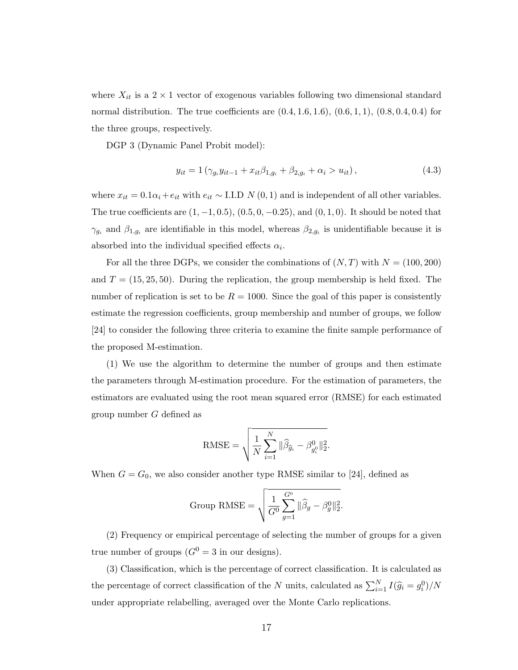where  $X_{it}$  is a 2 × 1 vector of exogenous variables following two dimensional standard normal distribution. The true coefficients are  $(0.4, 1.6, 1.6), (0.6, 1, 1), (0.8, 0.4, 0.4)$  for the three groups, respectively.

DGP 3 (Dynamic Panel Probit model):

$$
y_{it} = 1 \left( \gamma_{g_i} y_{it-1} + x_{it} \beta_{1, g_i} + \beta_{2, g_i} + \alpha_i > u_{it} \right), \tag{4.3}
$$

where  $x_{it} = 0.1\alpha_i + e_{it}$  with  $e_{it} \sim$  I.I.D  $N(0, 1)$  and is independent of all other variables. The true coefficients are  $(1, -1, 0.5)$ ,  $(0.5, 0, -0.25)$ , and  $(0, 1, 0)$ . It should be noted that  $\gamma_{g_i}$  and  $\beta_{1,g_i}$  are identifiable in this model, whereas  $\beta_{2,g_i}$  is unidentifiable because it is absorbed into the individual specified effects  $\alpha_i$ .

For all the three DGPs, we consider the combinations of  $(N, T)$  with  $N = (100, 200)$ and  $T = (15, 25, 50)$ . During the replication, the group membership is held fixed. The number of replication is set to be  $R = 1000$ . Since the goal of this paper is consistently estimate the regression coefficients, group membership and number of groups, we follow [24] to consider the following three criteria to examine the finite sample performance of the proposed M-estimation.

(1) We use the algorithm to determine the number of groups and then estimate the parameters through M-estimation procedure. For the estimation of parameters, the estimators are evaluated using the root mean squared error (RMSE) for each estimated group number G defined as

RMSE = 
$$
\sqrt{\frac{1}{N} \sum_{i=1}^{N} \|\widehat{\beta}_{\widehat{g}_i} - \beta_{g_i^0}^0\|_2^2}.
$$

When  $G = G_0$ , we also consider another type RMSE similar to [24], defined as

Group RMSE = 
$$
\sqrt{\frac{1}{G^0} \sum_{g=1}^{G^0} ||\widehat{\beta}_g - \beta_g^0||_2^2}.
$$

(2) Frequency or empirical percentage of selecting the number of groups for a given true number of groups  $(G^0 = 3$  in our designs).

(3) Classification, which is the percentage of correct classification. It is calculated as the percentage of correct classification of the N units, calculated as  $\sum_{i=1}^{N} I(\hat{g}_i = g_i^0)/N$ under appropriate relabelling, averaged over the Monte Carlo replications.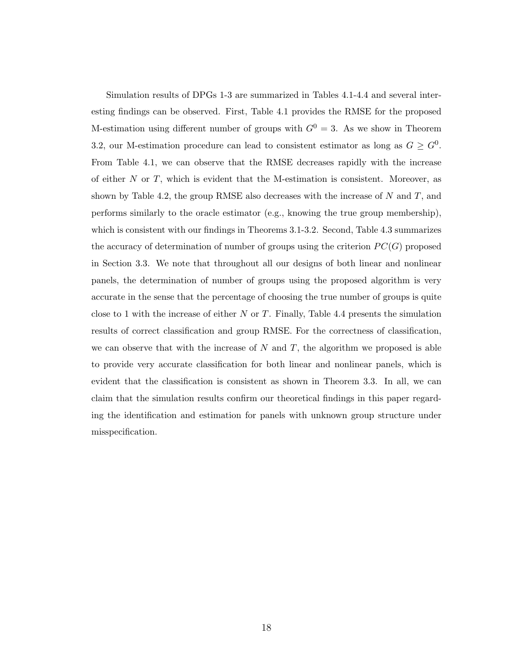Simulation results of DPGs 1-3 are summarized in Tables 4.1-4.4 and several interesting findings can be observed. First, Table 4.1 provides the RMSE for the proposed M-estimation using different number of groups with  $G^0 = 3$ . As we show in Theorem 3.2, our M-estimation procedure can lead to consistent estimator as long as  $G \geq G^0$ . From Table 4.1, we can observe that the RMSE decreases rapidly with the increase of either  $N$  or  $T$ , which is evident that the M-estimation is consistent. Moreover, as shown by Table 4.2, the group RMSE also decreases with the increase of  $N$  and  $T$ , and performs similarly to the oracle estimator (e.g., knowing the true group membership), which is consistent with our findings in Theorems 3.1-3.2. Second, Table 4.3 summarizes the accuracy of determination of number of groups using the criterion  $PC(G)$  proposed in Section 3.3. We note that throughout all our designs of both linear and nonlinear panels, the determination of number of groups using the proposed algorithm is very accurate in the sense that the percentage of choosing the true number of groups is quite close to 1 with the increase of either  $N$  or  $T$ . Finally, Table 4.4 presents the simulation results of correct classification and group RMSE. For the correctness of classification, we can observe that with the increase of  $N$  and  $T$ , the algorithm we proposed is able to provide very accurate classification for both linear and nonlinear panels, which is evident that the classification is consistent as shown in Theorem 3.3. In all, we can claim that the simulation results confirm our theoretical findings in this paper regarding the identification and estimation for panels with unknown group structure under misspecification.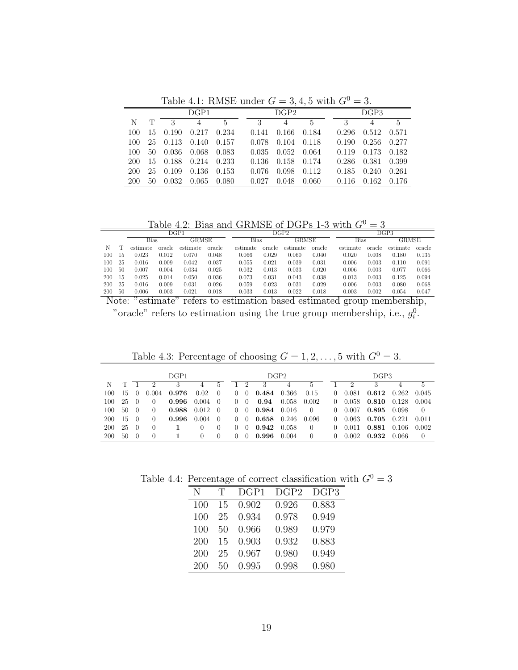Table 4.1: RMSE under  $G = 3, 4, 5$  with  $G^0 = 3$ .

| DGP1 |    |          |                      |       | $\Gamma$ GP2 |                                                                                                                                                                                                                                                                                                                                                                                    |             |  | DGP3  |       |       |
|------|----|----------|----------------------|-------|--------------|------------------------------------------------------------------------------------------------------------------------------------------------------------------------------------------------------------------------------------------------------------------------------------------------------------------------------------------------------------------------------------|-------------|--|-------|-------|-------|
| N    | T  |          | $\frac{3}{4}$        | 5     | 3            | $4\phantom{.00000}\phantom{.0000}\phantom{.0000}\phantom{.0000}\phantom{.0000}\phantom{.0000}\phantom{.0000}\phantom{.0000}\phantom{.0000}\phantom{.0000}\phantom{.0000}\phantom{.0000}\phantom{.0000}\phantom{.0000}\phantom{.0000}\phantom{.0000}\phantom{.0000}\phantom{.0000}\phantom{.0000}\phantom{.0000}\phantom{.0000}\phantom{.0000}\phantom{.0000}\phantom{.0000}\phant$ | $5^{\circ}$ |  |       | 3 4 5 |       |
| 100  |    | 15 0.190 | 0.217                | 0.234 | 0.141        | 0.166                                                                                                                                                                                                                                                                                                                                                                              | 0.184       |  | 0.296 | 0.512 | 0.571 |
| 100- |    |          | 25 0.113 0.140 0.157 |       | 0.078        | 0.104                                                                                                                                                                                                                                                                                                                                                                              | 0.118       |  | 0.190 | 0.256 | 0.277 |
| 100. |    | 50 0.036 | - 0.068              | 0.083 | 0.035        | 0.052                                                                                                                                                                                                                                                                                                                                                                              | - 0.064     |  | 0.119 | 0.173 | 0.182 |
| 200- |    |          | 15 0.188 0.214 0.233 |       | 0.136        | 0.158                                                                                                                                                                                                                                                                                                                                                                              | 0.174       |  | 0.286 | 0.381 | 0.399 |
| 200  |    | 25 0.109 | 0.136                | 0.153 | 0.076        | 0.098                                                                                                                                                                                                                                                                                                                                                                              | 0.112       |  | 0.185 | 0.240 | 0.261 |
| 200  | 50 | 0.032    | 0.065                | 0.080 | 0.027        | 0.048                                                                                                                                                                                                                                                                                                                                                                              | 0.060       |  | 0.116 | 0.162 | 0.176 |

Table 4.2: Bias and GRMSE of DGPs 1-3 with  $G^0 = 3$ 

|           |     |          |        |               | $\sim$ | $\sim$ . $\sim$ . $\sim$ . $\sim$ | $\sim$        | .        | -<br>$\sim$ |          | $\sim$        |          |           |  |
|-----------|-----|----------|--------|---------------|--------|-----------------------------------|---------------|----------|-------------|----------|---------------|----------|-----------|--|
|           |     |          |        | $_{\rm DGP1}$ |        |                                   | $_{\rm DGP2}$ |          |             |          | $_{\rm DGP3}$ |          |           |  |
|           |     | Bias     |        | <b>GRMSE</b>  |        |                                   | Bias          |          | GRMSE       |          | <b>Bias</b>   |          | GRMSE     |  |
| N         |     | estimate | oracle | estimate      | oracle | estimate                          | oracle        | estimate | oracle      | estimate | oracle        | estimate | oracle    |  |
| 100       | 15  | 0.023    | 0.012  | 0.070         | 0.048  | 0.066                             | 0.029         | 0.060    | 0.040       | 0.020    | 0.008         | 0.180    | 0.135     |  |
| 100       | 25  | 0.016    | 0.009  | 0.042         | 0.037  | 0.055                             | 0.021         | 0.039    | 0.031       | 0.006    | 0.003         | 0.110    | 0.091     |  |
| 100       | -50 | 0.007    | 0.004  | 0.034         | 0.025  | 0.032                             | 0.013         | 0.033    | 0.020       | 0.006    | 0.003         | 0.077    | 0.066     |  |
| 200       | 15  | 0.025    | 0.014  | 0.050         | 0.036  | 0.073                             | 0.031         | 0.043    | 0.038       | 0.013    | 0.003         | 0.125    | 0.094     |  |
| 200       | 25  | 0.016    | 0.009  | 0.031         | 0.026  | 0.059                             | 0.023         | 0.031    | 0.029       | 0.006    | 0.003         | 0.080    | 0.068     |  |
| 200       | 50  | 0.006    | 0.003  | 0.021         | 0.018  | 0.033                             | 0.013         | 0.022    | 0.018       | 0.003    | 0.002         | 0.054    | 0.047     |  |
| <b>TT</b> |     | ۰,       |        | ۰,            |        |                                   |               |          |             |          |               |          | $\bullet$ |  |

Note: "estimate" refers to estimation based estimated group membership, "oracle" refers to estimation using the true group membership, i.e.,  $g_i^0$ .

DGP1 DGP2 DGP3 N T 1 2 3 4 5 1 2 3 4 5 1 2 3 4 5 100 15 0 0.004 0.976 0.02 0 0 0 0.484 0.366 0.15 0 0.081 0.612 0.262 0.045 100 25 0 0 0.996 0.004 0 0 0 0.94 0.058 0.002 0 0.058 0.810 0.128 0.004 100 50 0 0 0.988 0.012 0 0 0 0.984 0.016 0 0 0.007 0.895 0.098 0 200 15 0 0 0.996 0.004 0 0 0 0.658 0.246 0.096 0 0.063 0.705 0.221 0.011 200 25 0 0 <sup>1</sup> 0 0 0 0 0.942 0.058 0 0 0.011 0.881 0.106 0.002

Table 4.3: Percentage of choosing  $G = 1, 2, ..., 5$  with  $G^0 = 3$ .

Table 4.4: Percentage of correct classification with  $G^0 = 3$ 

200 50 0 0 <sup>1</sup> 0 0 0 0 0.996 0.004 0 0 0.002 0.932 0.066 0

| N          | Π, | DGP1  | DGP2  | DGP3  |
|------------|----|-------|-------|-------|
| 100        | 15 | 0.902 | 0.926 | 0.883 |
| 100        | 25 | 0.934 | 0.978 | 0.949 |
| 100        | 50 | 0.966 | 0.989 | 0.979 |
| <b>200</b> | 15 | 0.903 | 0.932 | 0.883 |
| 200        | 25 | 0.967 | 0.980 | 0.949 |
| 200        | 50 | 0.995 | 0.998 | 0.980 |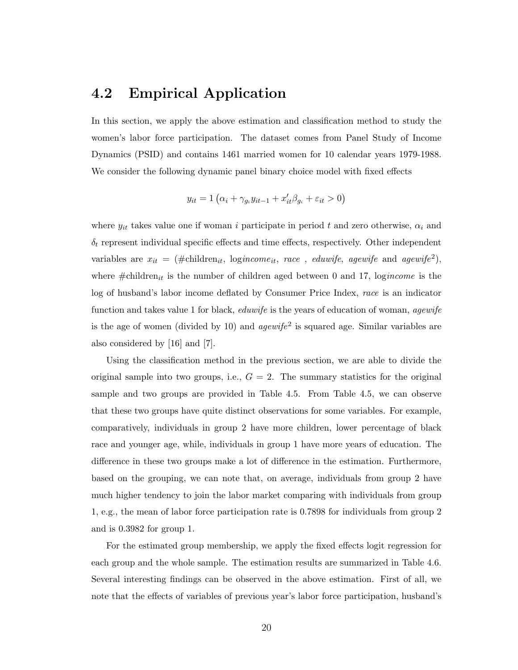#### 4.2 Empirical Application

In this section, we apply the above estimation and classification method to study the women's labor force participation. The dataset comes from Panel Study of Income Dynamics (PSID) and contains 1461 married women for 10 calendar years 1979-1988. We consider the following dynamic panel binary choice model with fixed effects

$$
y_{it} = 1\left(\alpha_i + \gamma_{g_i} y_{it-1} + x_{it}' \beta_{g_i} + \varepsilon_{it} > 0\right)
$$

where  $y_{it}$  takes value one if woman i participate in period t and zero otherwise,  $\alpha_i$  and  $\delta_t$  represent individual specific effects and time effects, respectively. Other independent variables are  $x_{it} = (\text{\#children}_{it}, \text{ logincome}_{it}, \text{ race}, \text{eduwife}, \text{ agewife} \text{ and } \text{ agewife}^2),$ where  $\#\text{children}_{it}$  is the number of children aged between 0 and 17, logincome is the log of husband's labor income deflated by Consumer Price Index, race is an indicator function and takes value 1 for black, *eduwife* is the years of education of woman, *agewife* is the age of women (divided by 10) and  $\textit{agewife}^2$  is squared age. Similar variables are also considered by [16] and [7].

Using the classification method in the previous section, we are able to divide the original sample into two groups, i.e.,  $G = 2$ . The summary statistics for the original sample and two groups are provided in Table 4.5. From Table 4.5, we can observe that these two groups have quite distinct observations for some variables. For example, comparatively, individuals in group 2 have more children, lower percentage of black race and younger age, while, individuals in group 1 have more years of education. The difference in these two groups make a lot of difference in the estimation. Furthermore, based on the grouping, we can note that, on average, individuals from group 2 have much higher tendency to join the labor market comparing with individuals from group 1, e.g., the mean of labor force participation rate is 0.7898 for individuals from group 2 and is 0.3982 for group 1.

For the estimated group membership, we apply the fixed effects logit regression for each group and the whole sample. The estimation results are summarized in Table 4.6. Several interesting findings can be observed in the above estimation. First of all, we note that the effects of variables of previous year's labor force participation, husband's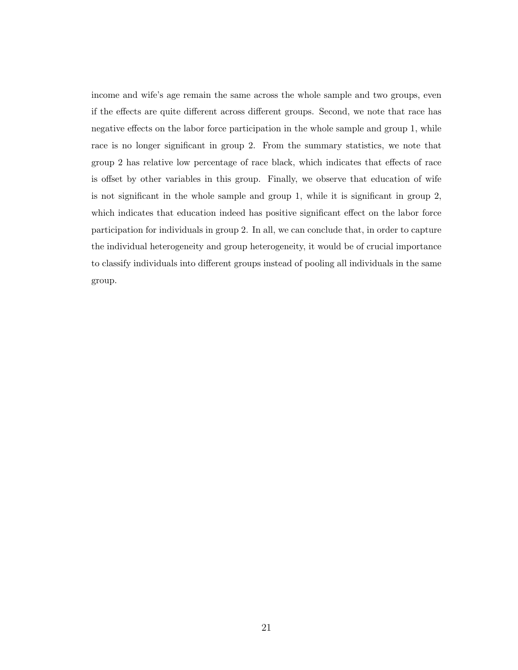income and wife's age remain the same across the whole sample and two groups, even if the effects are quite different across different groups. Second, we note that race has negative effects on the labor force participation in the whole sample and group 1, while race is no longer significant in group 2. From the summary statistics, we note that group 2 has relative low percentage of race black, which indicates that effects of race is offset by other variables in this group. Finally, we observe that education of wife is not significant in the whole sample and group 1, while it is significant in group 2, which indicates that education indeed has positive significant effect on the labor force participation for individuals in group 2. In all, we can conclude that, in order to capture the individual heterogeneity and group heterogeneity, it would be of crucial importance to classify individuals into different groups instead of pooling all individuals in the same group.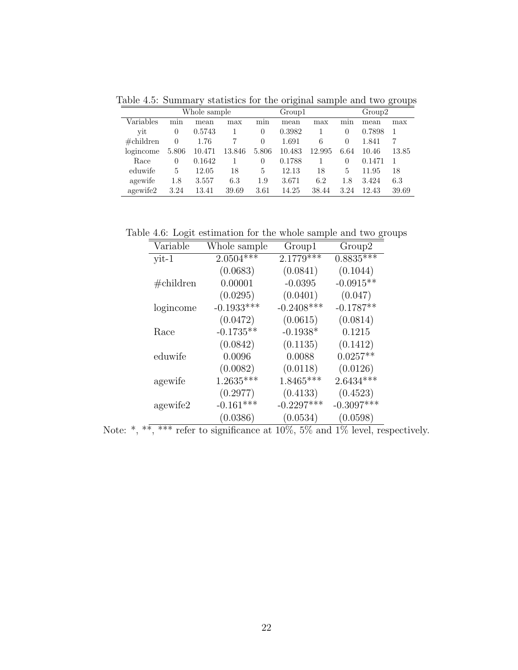Table 4.5: Summary statistics for the original sample and two groups

|               |          | Whole sample |        |          | Group1 |        |      | Group2 |       |
|---------------|----------|--------------|--------|----------|--------|--------|------|--------|-------|
| Variables     | min      | mean         | max    | min      | mean   | max    | mnn  | mean   | max   |
| vit           | $\theta$ | 0.5743       |        | 0        | 0.3982 |        | 0    | 0.7898 |       |
| $\#$ children | $\theta$ | 1.76         |        | $\Omega$ | 1.691  | 6      | 0    | 1.841  | 7     |
| logincome     | 5.806    | 10.471       | 13.846 | 5.806    | 10.483 | 12.995 | 6.64 | 10.46  | 13.85 |
| Race          | 0        | 0.1642       |        | $\Omega$ | 0.1788 |        | 0    | 0.1471 |       |
| eduwife       | 5        | 12.05        | 18     | 5        | 12.13  | 18     | 5    | 11.95  | 18    |
| agewife       | 1.8      | 3.557        | 6.3    | 1.9      | 3.671  | 6.2    | 1.8  | 3.424  | 6.3   |
| agewife2      | 3.24     | 13.41        | 39.69  | 3.61     | 14.25  | 38.44  | 3.24 | 12.43  | 39.69 |

Table 4.6: Logit estimation for the whole sample and two groups

| Variable       | Whole sample | Group1       | Group2       |
|----------------|--------------|--------------|--------------|
| $\text{yit-1}$ | $2.0504***$  | $2.1779***$  | $0.8835***$  |
|                | (0.0683)     | (0.0841)     | (0.1044)     |
| $\#$ children  | 0.00001      | $-0.0395$    | $-0.0915**$  |
|                | (0.0295)     | (0.0401)     | (0.047)      |
| logincome      | $-0.1933***$ | $-0.2408***$ | $-0.1787**$  |
|                | (0.0472)     | (0.0615)     | (0.0814)     |
| Race           | $-0.1735**$  | $-0.1938*$   | 0.1215       |
|                | (0.0842)     | (0.1135)     | (0.1412)     |
| eduwife        | 0.0096       | 0.0088       | $0.0257**$   |
|                | (0.0082)     | (0.0118)     | (0.0126)     |
| agewife        | $1.2635***$  | $1.8465***$  | $2.6434***$  |
|                | (0.2977)     | (0.4133)     | (0.4523)     |
| agewife2       | $-0.161***$  | $-0.2297***$ | $-0.3097***$ |
|                | (0.0386)     | (0.0534)     | (0.0598)     |

Note: \*, \*\*, \*\*\* refer to significance at  $10\%$ , 5% and 1% level, respectively.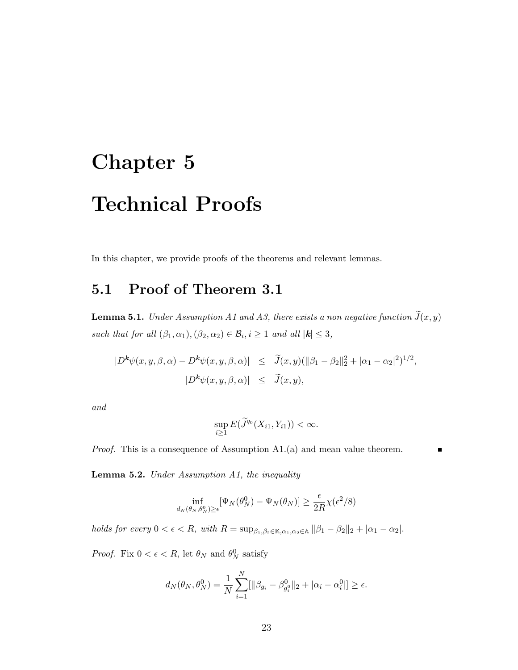# Chapter 5 Technical Proofs

In this chapter, we provide proofs of the theorems and relevant lemmas.

#### 5.1 Proof of Theorem 3.1

**Lemma 5.1.** Under Assumption A1 and A3, there exists a non negative function  $\tilde{J}(x, y)$ such that for all  $(\beta_1, \alpha_1), (\beta_2, \alpha_2) \in \mathcal{B}_i, i \geq 1$  and all  $|\mathbf{k}| \leq 3$ ,

$$
|D^{\mathbf{k}}\psi(x,y,\beta,\alpha) - D^{\mathbf{k}}\psi(x,y,\beta,\alpha)| \leq \tilde{J}(x,y)(\|\beta_1 - \beta_2\|_2^2 + |\alpha_1 - \alpha_2|^2)^{1/2},
$$
  

$$
|D^{\mathbf{k}}\psi(x,y,\beta,\alpha)| \leq \tilde{J}(x,y),
$$

and

$$
\sup_{i\geq 1} E(\widetilde{J}^{q_0}(X_{i1}, Y_{i1})) < \infty.
$$

Proof. This is a consequence of Assumption A1.(a) and mean value theorem.

Lemma 5.2. Under Assumption A1, the inequality

$$
\inf_{d_N(\theta_N,\theta_N^0) \ge \epsilon} [\Psi_N(\theta_N^0) - \Psi_N(\theta_N)] \ge \frac{\epsilon}{2R} \chi(\epsilon^2/8)
$$

holds for every  $0 < \epsilon < R$ , with  $R = \sup_{\beta_1, \beta_2 \in \mathbb{K}, \alpha_1, \alpha_2 \in \mathbb{A}} ||\beta_1 - \beta_2||_2 + |\alpha_1 - \alpha_2|$ .

*Proof.* Fix  $0 < \epsilon < R$ , let  $\theta_N$  and  $\theta_N^0$  satisfy

$$
d_N(\theta_N, \theta_N^0) = \frac{1}{N} \sum_{i=1}^N [\|\beta_{g_i} - \beta_{g_i^0}^0\|_2 + |\alpha_i - \alpha_i^0|] \ge \epsilon.
$$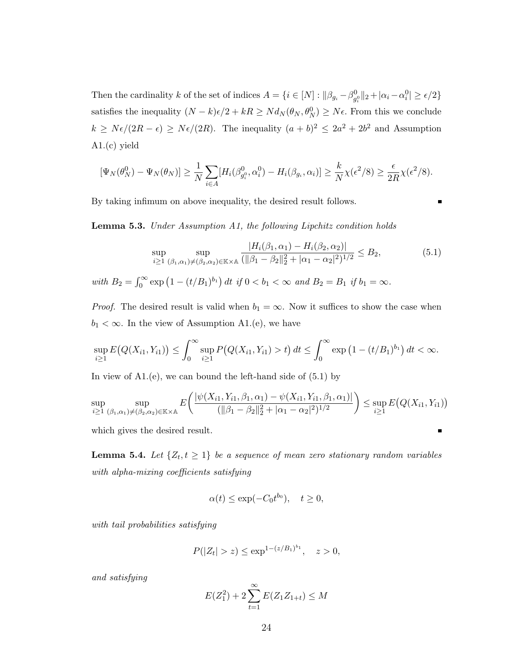Then the cardinality k of the set of indices  $A = \{i \in [N] : ||\beta_{g_i} - \beta_{g_i^0}^0||_2 + |\alpha_i - \alpha_i^0| \ge \epsilon/2\}$ satisfies the inequality  $(N - k)\epsilon/2 + kR \geq Nd_N(\theta_N, \theta_N^0) \geq N\epsilon$ . From this we conclude  $k \geq N \epsilon/(2R - \epsilon) \geq N \epsilon/(2R)$ . The inequality  $(a + b)^2 \leq 2a^2 + 2b^2$  and Assumption A1.(c) yield

$$
[\Psi_N(\theta_N^0) - \Psi_N(\theta_N)] \ge \frac{1}{N} \sum_{i \in A} [H_i(\beta_{g_i^0}^0, \alpha_i^0) - H_i(\beta_{g_i}, \alpha_i)] \ge \frac{k}{N} \chi(\epsilon^2/8) \ge \frac{\epsilon}{2R} \chi(\epsilon^2/8).
$$

By taking infimum on above inequality, the desired result follows.

É

Lemma 5.3. Under Assumption A1, the following Lipchitz condition holds

$$
\sup_{i\geq 1} \sup_{(\beta_1,\alpha_1)\neq(\beta_2,\alpha_2)\in\mathbb{K}\times\mathbb{A}} \frac{|H_i(\beta_1,\alpha_1) - H_i(\beta_2,\alpha_2)|}{(\|\beta_1 - \beta_2\|_2^2 + |\alpha_1 - \alpha_2|^2)^{1/2}} \leq B_2,
$$
\n(5.1)

with  $B_2 = \int_0^\infty \exp(1 - (t/B_1)^{b_1}) dt$  if  $0 < b_1 < \infty$  and  $B_2 = B_1$  if  $b_1 = \infty$ .

*Proof.* The desired result is valid when  $b_1 = \infty$ . Now it suffices to show the case when  $b_1 < \infty$ . In the view of Assumption A1.(e), we have

$$
\sup_{i\geq 1} E\big(Q(X_{i1}, Y_{i1})\big) \leq \int_0^\infty \sup_{i\geq 1} P\big(Q(X_{i1}, Y_{i1}) > t\big) dt \leq \int_0^\infty \exp\big(1 - (t/B_1)^{b_1}\big) dt < \infty.
$$

In view of  $A1(e)$ , we can bound the left-hand side of  $(5.1)$  by

$$
\sup_{i\geq 1} \sup_{(\beta_1,\alpha_1)\neq(\beta_2,\alpha_2)\in\mathbb{K}\times\mathbb{A}} E\left(\frac{|\psi(X_{i1},Y_{i1},\beta_1,\alpha_1)-\psi(X_{i1},Y_{i1},\beta_1,\alpha_1)|}{(\|\beta_1-\beta_2\|_2^2+|\alpha_1-\alpha_2|^2)^{1/2}}\right) \leq \sup_{i\geq 1} E\left(Q(X_{i1},Y_{i1})\right)
$$

which gives the desired result.

**Lemma 5.4.** Let  $\{Z_t, t \geq 1\}$  be a sequence of mean zero stationary random variables with alpha-mixing coefficients satisfying

$$
\alpha(t) \le \exp(-C_0 t^{b_0}), \quad t \ge 0,
$$

with tail probabilities satisfying

$$
P(|Z_t| > z) \le \exp^{1-(z/B_1)^{b_1}}, \quad z > 0,
$$

and satisfying

$$
E(Z_1^2) + 2\sum_{t=1}^{\infty} E(Z_1 Z_{1+t}) \le M
$$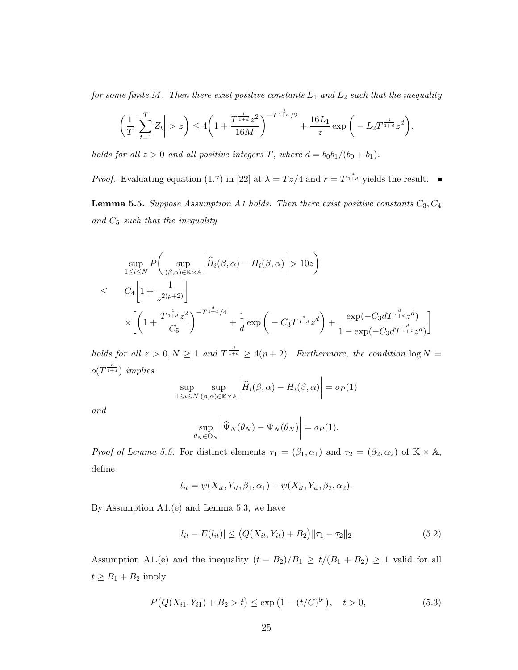for some finite M. Then there exist positive constants  $L_1$  and  $L_2$  such that the inequality

$$
\left(\frac{1}{T}\bigg|\sum_{t=1}^T Z_t\bigg| > z\right) \le 4\left(1 + \frac{T^{\frac{1}{1+d}}z^2}{16M}\right)^{-T^{\frac{d}{1+d}}/2} + \frac{16L_1}{z}\exp\bigg(-L_2T^{\frac{d}{1+d}}z^d\bigg),
$$

holds for all  $z > 0$  and all positive integers T, where  $d = b_0b_1/(b_0 + b_1)$ .

*Proof.* Evaluating equation (1.7) in [22] at  $\lambda = Tz/4$  and  $r = T^{\frac{d}{1+d}}$  yields the result.

**Lemma 5.5.** Suppose Assumption A1 holds. Then there exist positive constants  $C_3, C_4$ and  $C_5$  such that the inequality

$$
\sup_{1 \le i \le N} P\left(\sup_{(\beta,\alpha)\in \mathbb{K}\times\mathbb{A}} \left| \widehat{H}_{i}(\beta,\alpha) - H_{i}(\beta,\alpha) \right| > 10z \right)
$$
\n
$$
\le C_4 \left[ 1 + \frac{1}{z^{2(p+2)}} \right]
$$
\n
$$
\times \left[ \left( 1 + \frac{T^{\frac{1}{1+d}} z^2}{C_5} \right)^{-T^{\frac{d}{1+d}}/4} + \frac{1}{d} \exp\left( -C_3 T^{\frac{d}{1+d}} z^d \right) + \frac{\exp(-C_3 d T^{\frac{d}{1+d}} z^d)}{1 - \exp(-C_3 d T^{\frac{d}{1+d}} z^d)} \right]
$$

holds for all  $z > 0, N \ge 1$  and  $T^{\frac{d}{1+d}} \ge 4(p+2)$ . Furthermore, the condition  $\log N =$  $o(T^{\frac{d}{1+d}})$  implies

$$
\sup_{1 \le i \le N} \sup_{(\beta,\alpha) \in \mathbb{K} \times \mathbb{A}} \left| \widehat{H}_i(\beta,\alpha) - H_i(\beta,\alpha) \right| = o_P(1)
$$

and

$$
\sup_{\theta_N \in \Theta_N} \left| \widehat{\Psi}_N(\theta_N) - \Psi_N(\theta_N) \right| = o_P(1).
$$

Proof of Lemma 5.5. For distinct elements  $\tau_1 = (\beta_1, \alpha_1)$  and  $\tau_2 = (\beta_2, \alpha_2)$  of  $\mathbb{K} \times \mathbb{A}$ , define

$$
l_{it} = \psi(X_{it}, Y_{it}, \beta_1, \alpha_1) - \psi(X_{it}, Y_{it}, \beta_2, \alpha_2).
$$

By Assumption A1.(e) and Lemma 5.3, we have

$$
|l_{it} - E(l_{it})| \le (Q(X_{it}, Y_{it}) + B_2) \|\tau_1 - \tau_2\|_2.
$$
 (5.2)

Assumption A1.(e) and the inequality  $(t - B_2)/B_1 \ge t/(B_1 + B_2) \ge 1$  valid for all  $t \geq B_1 + B_2$  imply

$$
P(Q(X_{i1}, Y_{i1}) + B_2 > t) \le \exp\left(1 - (t/C)^{b_1}\right), \quad t > 0,
$$
\n(5.3)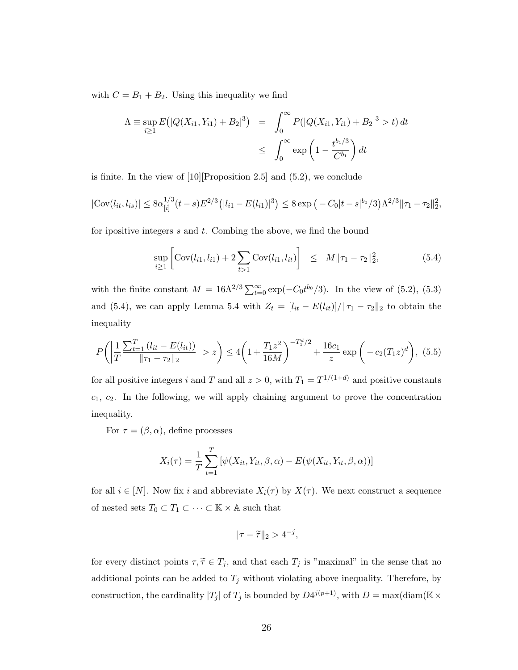with  $C = B_1 + B_2$ . Using this inequality we find

$$
\Lambda = \sup_{i \ge 1} E(|Q(X_{i1}, Y_{i1}) + B_2|^3) = \int_0^\infty P(|Q(X_{i1}, Y_{i1}) + B_2|^3 > t) dt
$$
  

$$
\le \int_0^\infty \exp\left(1 - \frac{t^{b_1/3}}{C^{b_1}}\right) dt
$$

is finite. In the view of [10][Proposition 2.5] and (5.2), we conclude

$$
|\text{Cov}(l_{it}, l_{is})| \leq 8\alpha_{[i]}^{1/3} (t-s) E^{2/3} (|l_{i1} - E(l_{i1})|^3) \leq 8 \exp\left(-C_0|t-s|^{b_0}/3\right) \Lambda^{2/3} \|\tau_1 - \tau_2\|_2^2,
$$

for ipositive integers  $s$  and  $t$ . Combing the above, we find the bound

$$
\sup_{i\geq 1} \left[ \text{Cov}(l_{i1}, l_{i1}) + 2 \sum_{t>1} \text{Cov}(l_{i1}, l_{it}) \right] \leq M ||\tau_1 - \tau_2||_2^2, \tag{5.4}
$$

with the finite constant  $M = 16\Lambda^{2/3} \sum_{t=0}^{\infty} \exp(-C_0 t^{b_0}/3)$ . In the view of (5.2), (5.3) and (5.4), we can apply Lemma 5.4 with  $Z_t = [l_{it} - E(l_{it})]/\Vert \tau_1 - \tau_2 \Vert_2$  to obtain the inequality

$$
P\left(\left|\frac{1}{T}\frac{\sum_{t=1}^{T} (l_{it} - E(l_{it}))}{\|\tau_1 - \tau_2\|_2}\right| > z\right) \le 4\left(1 + \frac{T_1 z^2}{16M}\right)^{-T_1^d/2} + \frac{16c_1}{z} \exp\left(-c_2(T_1 z)^d\right), (5.5)
$$

for all positive integers i and T and all  $z > 0$ , with  $T_1 = T^{1/(1+d)}$  and positive constants  $c_1, c_2$ . In the following, we will apply chaining argument to prove the concentration inequality.

For  $\tau = (\beta, \alpha)$ , define processes

$$
X_i(\tau) = \frac{1}{T} \sum_{t=1}^T \left[ \psi(X_{it}, Y_{it}, \beta, \alpha) - E(\psi(X_{it}, Y_{it}, \beta, \alpha)) \right]
$$

for all  $i \in [N]$ . Now fix i and abbreviate  $X_i(\tau)$  by  $X(\tau)$ . We next construct a sequence of nested sets  $T_0\subset T_1\subset\cdots\subset\mathbb{K}\times\mathbb{A}$  such that

$$
\|\tau-\widetilde{\tau}\|_2>4^{-j},
$$

for every distinct points  $\tau, \tilde{\tau} \in T_j$ , and that each  $T_j$  is "maximal" in the sense that no additional points can be added to  $T_j$  without violating above inequality. Therefore, by construction, the cardinality  $|T_j|$  of  $T_j$  is bounded by  $D4^{j(p+1)}$ , with  $D = \max(\text{diam}(\mathbb{K} \times$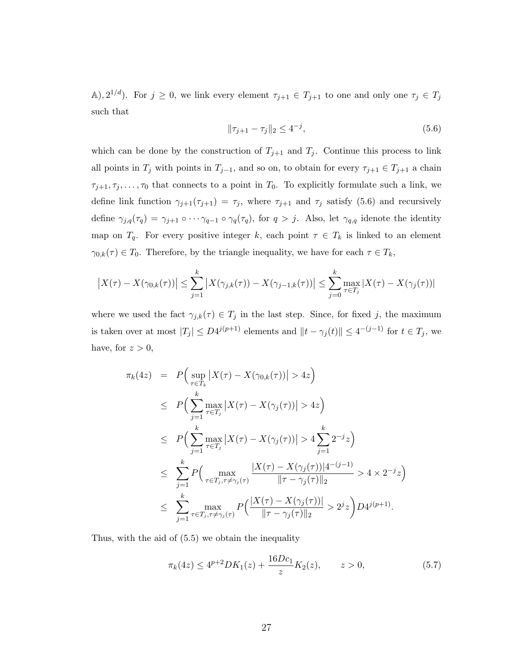A),  $2^{1/d}$ ). For  $j \geq 0$ , we link every element  $\tau_{j+1} \in T_{j+1}$  to one and only one  $\tau_j \in T_j$ such that

$$
\|\tau_{j+1} - \tau_j\|_2 \le 4^{-j},\tag{5.6}
$$

which can be done by the construction of  $T_{j+1}$  and  $T_j$ . Continue this process to link all points in  $T_j$  with points in  $T_{j-1}$ , and so on, to obtain for every  $\tau_{j+1} \in T_{j+1}$  a chain  $\tau_{j+1}, \tau_j, \ldots, \tau_0$  that connects to a point in  $T_0$ . To explicitly formulate such a link, we define link function  $\gamma_{j+1}(\tau_{j+1}) = \tau_j$ , where  $\tau_{j+1}$  and  $\tau_j$  satisfy (5.6) and recursively define  $\gamma_{j,q}(\tau_q) = \gamma_{j+1} \circ \cdots \gamma_{q-1} \circ \gamma_q(\tau_q)$ , for  $q > j$ . Also, let  $\gamma_{q,q}$  idenote the identity map on  $T_q$ . For every positive integer k, each point  $\tau \in T_k$  is linked to an element  $\gamma_{0,k}(\tau) \in T_0$ . Therefore, by the triangle inequality, we have for each  $\tau \in T_k$ ,

$$
|X(\tau) - X(\gamma_{0,k}(\tau))| \le \sum_{j=1}^{k} |X(\gamma_{j,k}(\tau)) - X(\gamma_{j-1,k}(\tau))| \le \sum_{j=0}^{k} \max_{\tau \in T_j} |X(\tau) - X(\gamma_{j}(\tau))|
$$

where we used the fact  $\gamma_{j,k}(\tau) \in T_j$  in the last step. Since, for fixed j, the maximum is taken over at most  $|T_j| \le D4^{j(p+1)}$  elements and  $||t - \gamma_j(t)|| \le 4^{-(j-1)}$  for  $t \in T_j$ , we have, for  $z > 0$ ,

$$
\pi_k(4z) = P\Big(\sup_{\tau \in T_k} |X(\tau) - X(\gamma_{0,k}(\tau))| > 4z\Big)
$$
  
\n
$$
\leq P\Big(\sum_{j=1}^k \max_{\tau \in T_j} |X(\tau) - X(\gamma_j(\tau))| > 4z\Big)
$$
  
\n
$$
\leq P\Big(\sum_{j=1}^k \max_{\tau \in T_j} |X(\tau) - X(\gamma_j(\tau))| > 4\sum_{j=1}^k 2^{-j}z\Big)
$$
  
\n
$$
\leq \sum_{j=1}^k P\Big(\max_{\tau \in T_j, \tau \neq \gamma_j(\tau)} \frac{|X(\tau) - X(\gamma_j(\tau))|4^{-(j-1)}}{||\tau - \gamma_j(\tau)||_2} > 4 \times 2^{-j}z\Big)
$$
  
\n
$$
\leq \sum_{j=1}^k \max_{\tau \in T_j, \tau \neq \gamma_j(\tau)} P\Big(\frac{|X(\tau) - X(\gamma_j(\tau))|}{||\tau - \gamma_j(\tau)||_2} > 2^jz\Big) D4^{j(p+1)}.
$$

Thus, with the aid of (5.5) we obtain the inequality

$$
\pi_k(4z) \le 4^{p+2}DK_1(z) + \frac{16Dc_1}{z}K_2(z), \qquad z > 0,
$$
\n(5.7)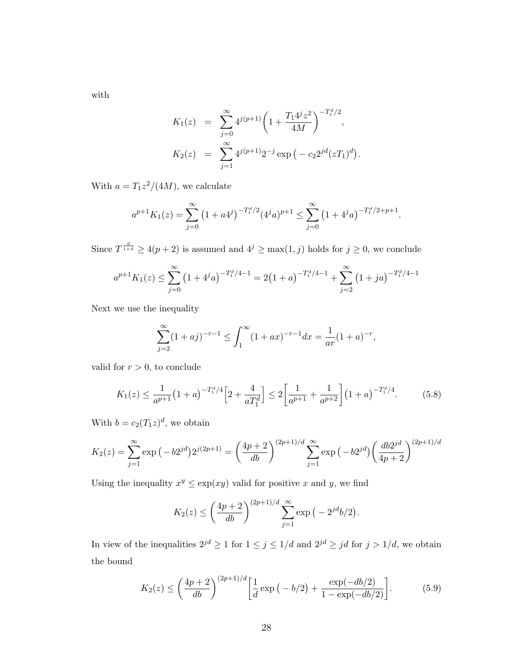with

$$
K_1(z) = \sum_{j=0}^{\infty} 4^{j(p+1)} \left( 1 + \frac{T_1 4^j z^2}{4M} \right)^{-T_1^d/2},
$$
  

$$
K_2(z) = \sum_{j=1}^{\infty} 4^{j(p+1)} 2^{-j} \exp(-c_2 2^{jd} (zT_1)^d).
$$

With  $a = T_1 z^2/(4M)$ , we calculate

$$
a^{p+1}K_1(z) = \sum_{j=0}^{\infty} (1 + a4^j)^{-T_1^d/2} (4^j a)^{p+1} \le \sum_{j=0}^{\infty} (1 + 4^j a)^{-T_1^d/2 + p + 1}.
$$

Since  $T^{\frac{d}{1+d}} \geq 4(p+2)$  is assumed and  $4^{j} \geq \max(1, j)$  holds for  $j \geq 0$ , we conclude

$$
a^{p+1}K_1(z) \le \sum_{j=0}^{\infty} \left(1 + 4^j a\right)^{-T_1^d/4 - 1} = 2\left(1 + a\right)^{-T_1^d/4 - 1} + \sum_{j=2}^{\infty} \left(1 + ja\right)^{-T_1^d/4 - 1}
$$

Next we use the inequality

$$
\sum_{j=2}^{\infty} (1+aj)^{-r-1} \le \int_1^{\infty} (1+ax)^{-r-1} dx = \frac{1}{ar} (1+a)^{-r},
$$

valid for  $r > 0$ , to conclude

$$
K_1(z) \le \frac{1}{a^{p+1}} \left(1+a\right)^{-T_1^d/4} \left[2+\frac{4}{aT_1^d}\right] \le 2 \left[\frac{1}{a^{p+1}}+\frac{1}{a^{p+2}}\right] \left(1+a\right)^{-T_1^d/4}.\tag{5.8}
$$

With  $b = c_2(T_1z)^d$ , we obtain

$$
K_2(z) = \sum_{j=1}^{\infty} \exp(-b2^{jd})2^{j(2p+1)} = \left(\frac{4p+2}{db}\right)^{(2p+1)/d} \sum_{j=1}^{\infty} \exp(-b2^{jd}) \left(\frac{db2^{jd}}{4p+2}\right)^{(2p+1)/d}
$$

Using the inequality  $x^y \leq \exp(xy)$  valid for positive x and y, we find

$$
K_2(z) \le \left(\frac{4p+2}{db}\right)^{(2p+1)/d} \sum_{j=1}^{\infty} \exp(-2^{jd}b/2).
$$

In view of the inequalities  $2^{jd} \geq 1$  for  $1 \leq j \leq 1/d$  and  $2^{jd} \geq jd$  for  $j > 1/d$ , we obtain the bound

$$
K_2(z) \le \left(\frac{4p+2}{db}\right)^{(2p+1)/d} \left[\frac{1}{d}\exp\left(-\frac{b}{2}\right) + \frac{\exp(-\frac{db}{2})}{1-\exp(-\frac{db}{2})}\right].\tag{5.9}
$$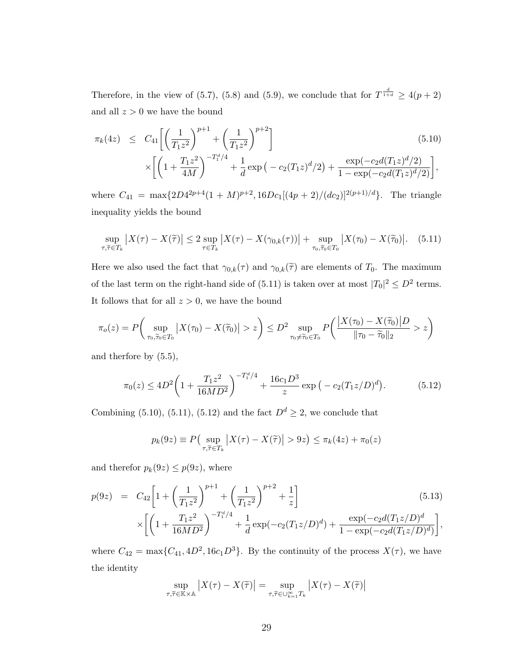Therefore, in the view of (5.7), (5.8) and (5.9), we conclude that for  $T^{\frac{d}{1+d}} \geq 4(p+2)$ and all  $z > 0$  we have the bound

$$
\pi_k(4z) \leq C_{41} \left[ \left( \frac{1}{T_1 z^2} \right)^{p+1} + \left( \frac{1}{T_1 z^2} \right)^{p+2} \right] \times \left[ \left( 1 + \frac{T_1 z^2}{4M} \right)^{-T_1^d/4} + \frac{1}{d} \exp \left( -c_2 (T_1 z)^d / 2 \right) + \frac{\exp(-c_2 d (T_1 z)^d / 2)}{1 - \exp(-c_2 d (T_1 z)^d / 2)} \right],
$$
\n(5.10)

where  $C_{41} = \max\{2D4^{2p+4}(1+M)^{p+2}, 16Dc_1[(4p+2)/(dc_2)]^{2(p+1)/d}\}.$  The triangle inequality yields the bound

$$
\sup_{\tau,\widetilde{\tau}\in T_k} \left| X(\tau) - X(\widetilde{\tau}) \right| \le 2 \sup_{\tau\in T_k} \left| X(\tau) - X(\gamma_{0,k}(\tau)) \right| + \sup_{\tau_0,\widetilde{\tau}_0\in T_0} \left| X(\tau_0) - X(\widetilde{\tau}_0) \right|. \tag{5.11}
$$

Here we also used the fact that  $\gamma_{0,k}(\tau)$  and  $\gamma_{0,k}(\tilde{\tau})$  are elements of  $T_0$ . The maximum of the last term on the right-hand side of (5.11) is taken over at most  $|T_0|^2 \le D^2$  terms. It follows that for all  $z > 0$ , we have the bound

$$
\pi_o(z) = P\bigg(\sup_{\tau_0,\widetilde{\tau}_0 \in T_0} \big| X(\tau_0) - X(\widetilde{\tau}_0) \big| > z\bigg) \le D^2 \sup_{\tau_0 \neq \widetilde{\tau}_0 \in T_0} P\bigg(\frac{\big| X(\tau_0) - X(\widetilde{\tau}_0) \big| D}{\|\tau_0 - \widetilde{\tau}_0\|_2} > z\bigg)
$$

and therfore by (5.5),

$$
\pi_0(z) \le 4D^2 \left( 1 + \frac{T_1 z^2}{16MD^2} \right)^{-T_1^d/4} + \frac{16c_1 D^3}{z} \exp\left( -c_2 (T_1 z/D)^d \right). \tag{5.12}
$$

Combining (5.10), (5.11), (5.12) and the fact  $D<sup>d</sup> \ge 2$ , we conclude that

$$
p_k(9z) \equiv P\left(\sup_{\tau,\widetilde{\tau}\in T_k} |X(\tau) - X(\widetilde{\tau})| > 9z\right) \le \pi_k(4z) + \pi_0(z)
$$

and therefor  $p_k(9z) \leq p(9z)$ , where

$$
p(9z) = C_{42} \left[ 1 + \left( \frac{1}{T_1 z^2} \right)^{p+1} + \left( \frac{1}{T_1 z^2} \right)^{p+2} + \frac{1}{z} \right]
$$
\n
$$
\times \left[ \left( 1 + \frac{T_1 z^2}{16 M D^2} \right)^{-T_1^d/4} + \frac{1}{d} \exp(-c_2 (T_1 z/D)^d) + \frac{\exp(-c_2 d (T_1 z/D)^d)}{1 - \exp(-c_2 d (T_1 z/D)^d)} \right],
$$
\n(5.13)

where  $C_{42} = \max\{C_{41}, 4D^2, 16c_1D^3\}$ . By the continuity of the process  $X(\tau)$ , we have the identity

$$
\sup_{\tau,\widetilde{\tau}\in\mathbb{K}\times\mathbb{A}}\left|X(\tau)-X(\widetilde{\tau})\right|=\sup_{\tau,\widetilde{\tau}\in\cup_{k=1}^{\infty}T_k}\left|X(\tau)-X(\widetilde{\tau})\right|
$$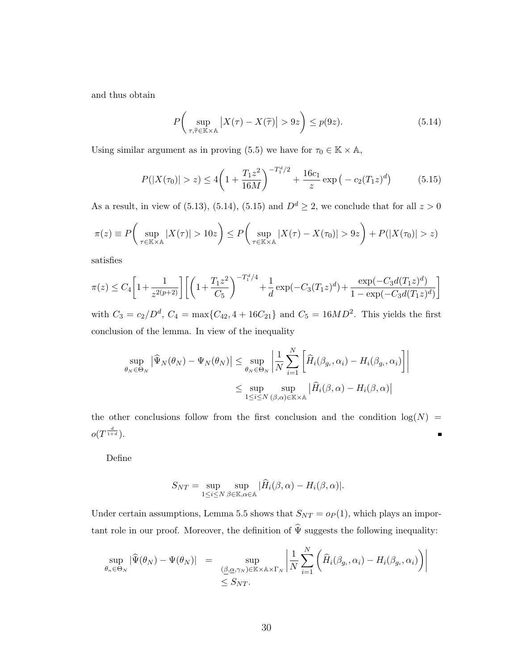and thus obtain

$$
P\left(\sup_{\tau,\tilde{\tau}\in\mathbb{K}\times\mathbb{A}}\left|X(\tau)-X(\tilde{\tau})\right|>9z\right)\leq p(9z). \tag{5.14}
$$

Using similar argument as in proving (5.5) we have for  $\tau_0 \in \mathbb{K} \times \mathbb{A}$ ,

$$
P(|X(\tau_0)| > z) \le 4\left(1 + \frac{T_1 z^2}{16M}\right)^{-T_1^d/2} + \frac{16c_1}{z} \exp\left(-c_2 (T_1 z)^d\right) \tag{5.15}
$$

As a result, in view of (5.13), (5.14), (5.15) and  $D<sup>d</sup> \ge 2$ , we conclude that for all  $z > 0$ 

$$
\pi(z) \equiv P\bigg(\sup_{\tau \in \mathbb{K} \times \mathbb{A}} |X(\tau)| > 10z\bigg) \le P\bigg(\sup_{\tau \in \mathbb{K} \times \mathbb{A}} |X(\tau) - X(\tau_0)| > 9z\bigg) + P(|X(\tau_0)| > z)
$$

satisfies

$$
\pi(z) \le C_4 \left[ 1 + \frac{1}{z^{2(p+2)}} \right] \left[ \left( 1 + \frac{T_1 z^2}{C_5} \right)^{-T_1^d/4} + \frac{1}{d} \exp(-C_3 (T_1 z)^d) + \frac{\exp(-C_3 d (T_1 z)^d)}{1 - \exp(-C_3 d (T_1 z)^d)} \right]
$$

with  $C_3 = c_2/D^d$ ,  $C_4 = \max\{C_{42}, 4 + 16C_{21}\}\$  and  $C_5 = 16MD^2$ . This yields the first conclusion of the lemma. In view of the inequality

$$
\sup_{\theta_N \in \Theta_N} \left| \widehat{\Psi}_N(\theta_N) - \Psi_N(\theta_N) \right| \leq \sup_{\theta_N \in \Theta_N} \left| \frac{1}{N} \sum_{i=1}^N \left[ \widehat{H}_i(\beta_{g_i}, \alpha_i) - H_i(\beta_{g_i}, \alpha_i) \right] \right|
$$
  

$$
\leq \sup_{1 \leq i \leq N} \sup_{(\beta, \alpha) \in \mathbb{K} \times \mathbb{A}} \left| \widehat{H}_i(\beta, \alpha) - H_i(\beta, \alpha) \right|
$$

the other conclusions follow from the first conclusion and the condition  $log(N)$  =  $o(T^{\frac{d}{1+d}}).$  $\blacksquare$ 

Define

$$
S_{NT} = \sup_{1 \le i \le N} \sup_{\beta \in \mathbb{K}, \alpha \in \mathbb{A}} |\widehat{H}_i(\beta, \alpha) - H_i(\beta, \alpha)|.
$$

Under certain assumptions, Lemma 5.5 shows that  $S_{NT} = o_P(1)$ , which plays an important role in our proof. Moreover, the definition of  $\hat{\Psi}$  suggests the following inequality:

$$
\sup_{\theta_n \in \Theta_N} |\widehat{\Psi}(\theta_N) - \Psi(\theta_N)| = \sup_{\substack{(\underline{\beta}, \underline{\alpha}, \gamma_N) \in \mathbb{K} \times \mathbb{A} \times \Gamma_N \\ \leq S_{NT}.}} \left| \frac{1}{N} \sum_{i=1}^N \left( \widehat{H}_i(\beta_{g_i}, \alpha_i) - H_i(\beta_{g_i}, \alpha_i) \right) \right|
$$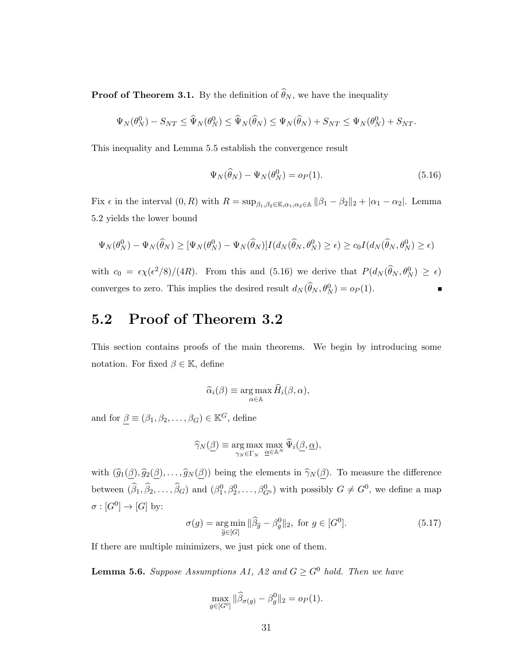**Proof of Theorem 3.1.** By the definition of  $\widehat{\theta}_N$ , we have the inequality

$$
\Psi_N(\theta_N^0) - S_{NT} \leq \widehat{\Psi}_N(\theta_N^0) \leq \widehat{\Psi}_N(\widehat{\theta}_N) \leq \Psi_N(\widehat{\theta}_N) + S_{NT} \leq \Psi_N(\theta_N^0) + S_{NT}.
$$

This inequality and Lemma 5.5 establish the convergence result

$$
\Psi_N(\widehat{\theta}_N) - \Psi_N(\theta_N^0) = o_P(1). \tag{5.16}
$$

Fix  $\epsilon$  in the interval  $(0, R)$  with  $R = \sup_{\beta_1, \beta_2 \in \mathbb{K}, \alpha_1, \alpha_2 \in \mathbb{A}} ||\beta_1 - \beta_2||_2 + |\alpha_1 - \alpha_2|$ . Lemma 5.2 yields the lower bound

$$
\Psi_N(\theta_N^0) - \Psi_N(\widehat{\theta}_N) \geq [\Psi_N(\theta_N^0) - \Psi_N(\widehat{\theta}_N)]I(d_N(\widehat{\theta}_N, \theta_N^0) \geq \epsilon) \geq c_0I(d_N(\widehat{\theta}_N, \theta_N^0) \geq \epsilon)
$$

with  $c_0 = \epsilon \chi(\epsilon^2/8)/(4R)$ . From this and (5.16) we derive that  $P(d_N(\hat{\theta}_N, \theta_N^0) \ge \epsilon)$ converges to zero. This implies the desired result  $d_N(\hat{\theta}_N, \theta_N^0) = o_P(1)$ .

### 5.2 Proof of Theorem 3.2

This section contains proofs of the main theorems. We begin by introducing some notation. For fixed  $\beta \in \mathbb{K}$ , define

$$
\widehat{\alpha}_i(\beta) \equiv \argmax_{\alpha \in \mathbb{A}} \widehat{H}_i(\beta, \alpha),
$$

and for  $\underline{\beta} \equiv (\beta_1, \beta_2, \dots, \beta_G) \in \mathbb{K}^G$ , define

$$
\widehat{\gamma}_N(\underline{\beta}) \equiv \underset{\gamma_N \in \Gamma_N}{\arg \max} \max_{\underline{\alpha} \in \mathbb{A}^N} \widehat{\Psi}_i(\underline{\beta}, \underline{\alpha}),
$$

with  $(\widehat{g}_1(\underline{\beta}), \widehat{g}_2(\underline{\beta}), \ldots, \widehat{g}_N(\underline{\beta}))$  being the elements in  $\widehat{\gamma}_N(\underline{\beta})$ . To measure the difference between  $(\hat{\beta}_1, \hat{\beta}_2, \dots, \hat{\beta}_G)$  and  $(\beta_1^0, \beta_2^0, \dots, \beta_G^0)$  with possibly  $G \neq G^0$ , we define a map  $\sigma: [G^0] \to [G]$  by:

$$
\sigma(g) = \underset{\widetilde{g} \in [G]}{\arg \min} \|\widehat{\beta}_{\widetilde{g}} - \beta_g^0\|_2, \text{ for } g \in [G^0].
$$
\n(5.17)

If there are multiple minimizers, we just pick one of them.

**Lemma 5.6.** Suppose Assumptions A1, A2 and  $G \geq G^0$  hold. Then we have

$$
\max_{g \in [G^0]} \|\widehat{\beta}_{\sigma(g)} - \beta_g^0\|_2 = o_P(1).
$$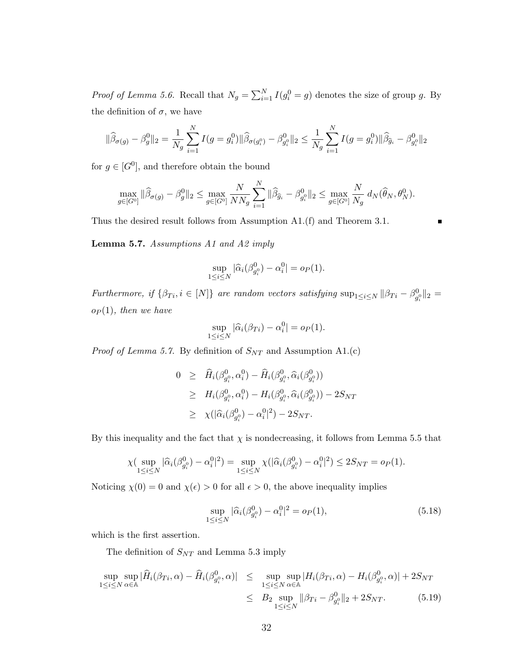*Proof of Lemma 5.6.* Recall that  $N_g = \sum_{i=1}^{N} I(g_i^0 = g)$  denotes the size of group g. By the definition of  $\sigma$ , we have

$$
\|\widehat{\beta}_{\sigma(g)} - \beta_g^0\|_2 = \frac{1}{N_g} \sum_{i=1}^N I(g = g_i^0) \|\widehat{\beta}_{\sigma(g_i^0)} - \beta_{g_i^0}^0\|_2 \le \frac{1}{N_g} \sum_{i=1}^N I(g = g_i^0) \|\widehat{\beta}_{\widehat{g}_i} - \beta_{g_i^0}^0\|_2
$$

for  $g \in [G^0]$ , and therefore obtain the bound

$$
\max_{g\in[G^0]}\|\widehat{\beta}_{\sigma(g)}-\beta_g^0\|_2\leq \max_{g\in[G^0]}\frac{N}{NN_g}\sum_{i=1}^N\|\widehat{\beta}_{\widehat{g}_i}-\beta_{g_i^0}^0\|_2\leq \max_{g\in[G^0]}\frac{N}{N_g}\;d_N(\widehat{\theta}_N,\theta_N^0).
$$

Thus the desired result follows from Assumption A1.(f) and Theorem 3.1.

Lemma 5.7. Assumptions A1 and A2 imply

$$
\sup_{1 \le i \le N} |\widehat{\alpha}_i(\beta_{g_i^0}^0) - \alpha_i^0| = o_P(1).
$$

Furthermore, if  $\{\beta_{Ti}, i \in [N]\}$  are random vectors satisfying  $\sup_{1 \le i \le N} ||\beta_{Ti} - \beta_{g_i^0}^0||_2 =$  $o_P(1)$ , then we have

$$
\sup_{1 \le i \le N} |\widehat{\alpha}_i(\beta_{Ti}) - \alpha_i^0| = o_P(1).
$$

*Proof of Lemma 5.7.* By definition of  $S_{NT}$  and Assumption A1.(c)

$$
0 \geq \hat{H}_i(\beta_{g_i^0}^0, \alpha_i^0) - \hat{H}_i(\beta_{g_i^0}^0, \hat{\alpha}_i(\beta_{g_i^0}^0))
$$
  
\n
$$
\geq H_i(\beta_{g_i^0}^0, \alpha_i^0) - H_i(\beta_{g_i^0}^0, \hat{\alpha}_i(\beta_{g_i^0}^0)) - 2S_{NT}
$$
  
\n
$$
\geq \chi(|\hat{\alpha}_i(\beta_{g_i^0}^0) - \alpha_i^0|^2) - 2S_{NT}.
$$

By this inequality and the fact that  $\chi$  is nondecreasing, it follows from Lemma 5.5 that

$$
\chi(\sup_{1 \leq i \leq N} |\widehat{\alpha}_i(\beta_{g_i^0}^0) - \alpha_i^0|^2) = \sup_{1 \leq i \leq N} \chi(|\widehat{\alpha}_i(\beta_{g_i^0}^0) - \alpha_i^0|^2) \leq 2S_{NT} = o_P(1).
$$

Noticing  $\chi(0) = 0$  and  $\chi(\epsilon) > 0$  for all  $\epsilon > 0$ , the above inequality implies

$$
\sup_{1 \le i \le N} |\widehat{\alpha}_i(\beta_{g_i^0}^0) - \alpha_i^0|^2 = o_P(1),\tag{5.18}
$$

which is the first assertion.

The definition of  $S_{NT}$  and Lemma 5.3 imply

$$
\sup_{1 \le i \le N} \sup_{\alpha \in \mathbb{A}} |\widehat{H}_i(\beta_{Ti}, \alpha) - \widehat{H}_i(\beta_{g_i^0}, \alpha)| \le \sup_{1 \le i \le N} \sup_{\alpha \in \mathbb{A}} |H_i(\beta_{Ti}, \alpha) - H_i(\beta_{g_i^0}^0, \alpha)| + 2S_{NT}
$$
  

$$
\le B_2 \sup_{1 \le i \le N} \|\beta_{Ti} - \beta_{g_i^0}^0\|_2 + 2S_{NT}.
$$
 (5.19)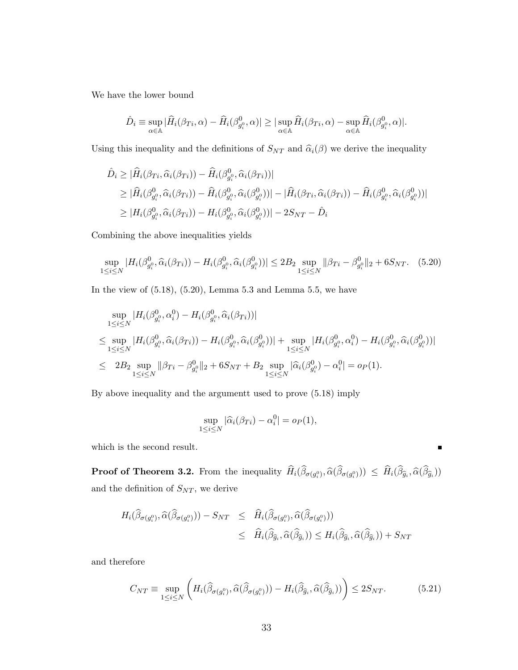We have the lower bound

$$
\hat{D}_i \equiv \sup_{\alpha \in \mathbb{A}} |\hat{H}_i(\beta_{Ti}, \alpha) - \hat{H}_i(\beta_{g_i^0}^0, \alpha)| \geq |\sup_{\alpha \in \mathbb{A}} \hat{H}_i(\beta_{Ti}, \alpha) - \sup_{\alpha \in \mathbb{A}} \hat{H}_i(\beta_{g_i^0}^0, \alpha)|.
$$

Using this inequality and the definitions of  $S_{NT}$  and  $\hat{\alpha}_i(\beta)$  we derive the inequality

$$
\hat{D}_i \geq |\hat{H}_i(\beta_{Ti}, \hat{\alpha}_i(\beta_{Ti})) - \hat{H}_i(\beta_{g_i^0}^0, \hat{\alpha}_i(\beta_{Ti}))|
$$
\n
$$
\geq |\hat{H}_i(\beta_{g_i^0}^0, \hat{\alpha}_i(\beta_{Ti})) - \hat{H}_i(\beta_{g_i^0}^0, \hat{\alpha}_i(\beta_{g_i^0}))| - |\hat{H}_i(\beta_{Ti}, \hat{\alpha}_i(\beta_{Ti})) - \hat{H}_i(\beta_{g_i^0}^0, \hat{\alpha}_i(\beta_{g_i^0}))|
$$
\n
$$
\geq |H_i(\beta_{g_i^0}^0, \hat{\alpha}_i(\beta_{Ti})) - H_i(\beta_{g_i^0}^0, \hat{\alpha}_i(\beta_{g_i^0}^0))| - 2S_{NT} - \hat{D}_i
$$

Combining the above inequalities yields

$$
\sup_{1 \leq i \leq N} |H_i(\beta_{g_i^0}^0, \widehat{\alpha}_i(\beta_{Ti})) - H_i(\beta_{g_i^0}^0, \widehat{\alpha}_i(\beta_{g_i^0}^0))| \leq 2B_2 \sup_{1 \leq i \leq N} ||\beta_{Ti} - \beta_{g_i^0}^0||_2 + 6S_{NT}.
$$
 (5.20)

In the view of  $(5.18)$ ,  $(5.20)$ , Lemma 5.3 and Lemma 5.5, we have

$$
\sup_{1 \leq i \leq N} |H_i(\beta_{g_i^0}^0, \alpha_i^0) - H_i(\beta_{g_i^0}^0, \widehat{\alpha}_i(\beta_{Ti}))|
$$
\n
$$
\leq \sup_{1 \leq i \leq N} |H_i(\beta_{g_i^0}^0, \widehat{\alpha}_i(\beta_{Ti})) - H_i(\beta_{g_i^0}^0, \widehat{\alpha}_i(\beta_{g_i^0}^0))| + \sup_{1 \leq i \leq N} |H_i(\beta_{g_i^0}^0, \alpha_i^0) - H_i(\beta_{g_i^0}^0, \widehat{\alpha}_i(\beta_{g_i^0}^0))|
$$
\n
$$
\leq 2B_2 \sup_{1 \leq i \leq N} ||\beta_{Ti} - \beta_{g_i^0}^0||_2 + 6S_{NT} + B_2 \sup_{1 \leq i \leq N} |\widehat{\alpha}_i(\beta_{g_i^0}^0) - \alpha_i^0| = o_P(1).
$$

By above inequality and the argumentt used to prove (5.18) imply

$$
\sup_{1 \le i \le N} |\widehat{\alpha}_i(\beta_{Ti}) - \alpha_i^0| = o_P(1),
$$

which is the second result.

**Proof of Theorem 3.2.** From the inequality  $H_i(\beta_{\sigma(g_i^0)}, \hat{\alpha}(\beta_{\sigma(g_i^0)})) \leq H_i(\beta_{\hat{g}_i}, \hat{\alpha}(\beta_{\hat{g}_i}))$ and the definition of  $S_{NT}$ , we derive

 $\blacksquare$ 

$$
H_i(\widehat{\beta}_{\sigma(g_i^0)}, \widehat{\alpha}(\widehat{\beta}_{\sigma(g_i^0)})) - S_{NT} \leq \widehat{H}_i(\widehat{\beta}_{\sigma(g_i^0)}, \widehat{\alpha}(\widehat{\beta}_{\sigma(g_i^0)}))
$$
  

$$
\leq \widehat{H}_i(\widehat{\beta}_{\widehat{g}_i}, \widehat{\alpha}(\widehat{\beta}_{\widehat{g}_i})) \leq H_i(\widehat{\beta}_{\widehat{g}_i}, \widehat{\alpha}(\widehat{\beta}_{\widehat{g}_i})) + S_{NT}
$$

and therefore

$$
C_{NT} \equiv \sup_{1 \le i \le N} \left( H_i(\widehat{\beta}_{\sigma(g_i^0)}, \widehat{\alpha}(\widehat{\beta}_{\sigma(g_i^0)})) - H_i(\widehat{\beta}_{\widehat{g}_i}, \widehat{\alpha}(\widehat{\beta}_{\widehat{g}_i})) \right) \le 2S_{NT}.
$$
 (5.21)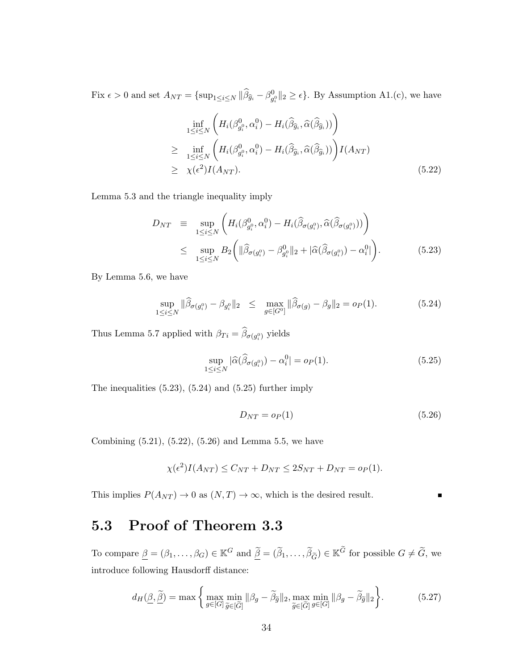Fix  $\epsilon > 0$  and set  $A_{NT} = {\sup_{1 \le i \le N} ||\widehat{\beta}_{\widehat{g}_i} - \beta_{g_i^0}^0||_2 \ge \epsilon}.$  By Assumption A1.(c), we have

$$
\inf_{1 \leq i \leq N} \left( H_i(\beta_{g_i^0}^0, \alpha_i^0) - H_i(\widehat{\beta}_{\widehat{g}_i}, \widehat{\alpha}(\widehat{\beta}_{\widehat{g}_i})) \right)
$$
\n
$$
\geq \inf_{1 \leq i \leq N} \left( H_i(\beta_{g_i^0}^0, \alpha_i^0) - H_i(\widehat{\beta}_{\widehat{g}_i}, \widehat{\alpha}(\widehat{\beta}_{\widehat{g}_i})) \right) I(A_{NT})
$$
\n
$$
\geq \chi(\epsilon^2) I(A_{NT}). \tag{5.22}
$$

Lemma 5.3 and the triangle inequality imply

$$
D_{NT} \equiv \sup_{1 \le i \le N} \left( H_i(\beta_{g_i^0}^0, \alpha_i^0) - H_i(\widehat{\beta}_{\sigma(g_i^0)}, \widehat{\alpha}(\widehat{\beta}_{\sigma(g_i^0)})) \right)
$$
  

$$
\le \sup_{1 \le i \le N} B_2 \left( \| \widehat{\beta}_{\sigma(g_i^0)} - \beta_{g_i^0}^0 \|_2 + |\widehat{\alpha}(\widehat{\beta}_{\sigma(g_i^0)}) - \alpha_i^0| \right). \tag{5.23}
$$

By Lemma 5.6, we have

$$
\sup_{1 \le i \le N} \|\widehat{\beta}_{\sigma(g_i^0)} - \beta_{g_i^0}\|_2 \le \max_{g \in [G^0]} \|\widehat{\beta}_{\sigma(g)} - \beta_g\|_2 = o_P(1). \tag{5.24}
$$

Thus Lemma 5.7 applied with  $\beta_{Ti} = \beta_{\sigma(g_i^0)}$  yields

$$
\sup_{1 \le i \le N} |\widehat{\alpha}(\widehat{\beta}_{\sigma(g_i^0)}) - \alpha_i^0| = o_P(1). \tag{5.25}
$$

The inequalities (5.23), (5.24) and (5.25) further imply

$$
D_{NT} = o_P(1) \tag{5.26}
$$

Combining (5.21), (5.22), (5.26) and Lemma 5.5, we have

$$
\chi(\epsilon^2)I(A_{NT}) \le C_{NT} + D_{NT} \le 2S_{NT} + D_{NT} = o_P(1).
$$

This implies  $P(A_{NT}) \to 0$  as  $(N, T) \to \infty$ , which is the desired result.

#### 5.3 Proof of Theorem 3.3

To compare  $\underline{\beta} = (\beta_1, \dots, \beta_G) \in \mathbb{K}^G$  and  $\underline{\tilde{\beta}} = (\tilde{\beta}_1, \dots, \tilde{\beta}_{\tilde{G}}) \in \mathbb{K}^{\tilde{G}}$  for possible  $G \neq \tilde{G}$ , we introduce following Hausdorff distance:

$$
d_H(\underline{\beta}, \tilde{\underline{\beta}}) = \max \left\{ \max_{g \in [G]} \min_{\tilde{g} \in [\tilde{G}]} \|\beta_g - \tilde{\beta}_{\tilde{g}}\|_2, \max_{\tilde{g} \in [\tilde{G}]} \min_{g \in [G]} \|\beta_g - \tilde{\beta}_{\tilde{g}}\|_2 \right\}.
$$
 (5.27)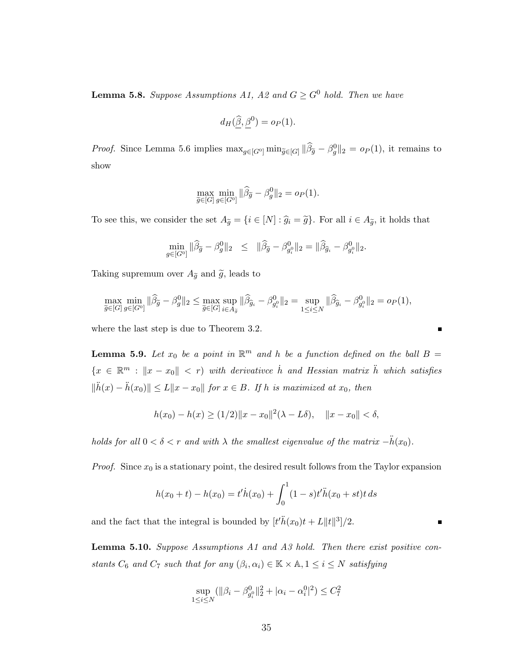**Lemma 5.8.** Suppose Assumptions A1, A2 and  $G \geq G^0$  hold. Then we have

$$
d_H(\widehat{\underline{\beta}}, \underline{\beta}^0) = o_P(1).
$$

*Proof.* Since Lemma 5.6 implies  $\max_{g \in [G^0]} \min_{\tilde{g} \in [G]} ||\hat{\beta}_{\tilde{g}} - \beta_g^0||_2 = o_P(1)$ , it remains to show

$$
\max_{\widetilde{g} \in [G]} \min_{g \in [G^0]} \|\widehat{\beta}_{\widetilde{g}} - \beta_g^0\|_2 = o_P(1).
$$

To see this, we consider the set  $A_{\tilde{g}} = \{i \in [N] : \hat{g}_i = \tilde{g}\}\$ . For all  $i \in A_{\tilde{g}}$ , it holds that

$$
\min_{g \in [G^0]} \|\widehat{\beta}_{\widetilde{g}} - \beta_g^0\|_2 \leq \|\widehat{\beta}_{\widetilde{g}} - \beta_{g_i^0}^0\|_2 = \|\widehat{\beta}_{\widehat{g}_i} - \beta_{g_i^0}^0\|_2.
$$

Taking supremum over  $A_{\tilde{g}}$  and  $\tilde{g}$ , leads to

$$
\max_{\widetilde{g} \in [G]} \min_{g \in [G^0]} \|\widehat{\beta}_{\widetilde{g}} - \beta_g^0\|_2 \le \max_{\widetilde{g} \in [G]} \sup_{i \in A_{\widetilde{g}}} \|\widehat{\beta}_{\widehat{g}_i} - \beta_{g_i^0}^0\|_2 = \sup_{1 \le i \le N} \|\widehat{\beta}_{\widehat{g}_i} - \beta_{g_i^0}^0\|_2 = o_P(1),
$$

where the last step is due to Theorem 3.2.

**Lemma 5.9.** Let  $x_0$  be a point in  $\mathbb{R}^m$  and h be a function defined on the ball  $B =$  ${x \in \mathbb{R}^m : \|x - x_0\| < r}$  with derivative h and Hessian matrix h which satisfies  $\|\ddot{h}(x) - \ddot{h}(x_0)\| \le L\|x - x_0\|$  for  $x \in B$ . If h is maximized at  $x_0$ , then

$$
h(x_0) - h(x) \ge (1/2) \|x - x_0\|^2 (\lambda - L\delta), \quad \|x - x_0\| < \delta,
$$

holds for all  $0 < \delta < r$  and with  $\lambda$  the smallest eigenvalue of the matrix  $-\ddot{h}(x_0)$ .

*Proof.* Since  $x_0$  is a stationary point, the desired result follows from the Taylor expansion

$$
h(x_0 + t) - h(x_0) = t'h(x_0) + \int_0^1 (1 - s)t'h(x_0 + st)t ds
$$

 $\blacksquare$ 

and the fact that the integral is bounded by  $[t'\ddot{h}(x_0)t + L||t||^3]/2$ .

**Lemma 5.10.** Suppose Assumptions A1 and A3 hold. Then there exist positive constants  $C_6$  and  $C_7$  such that for any  $(\beta_i, \alpha_i) \in \mathbb{K} \times \mathbb{A}, 1 \le i \le N$  satisfying

$$
\sup_{1 \le i \le N} (\|\beta_i - \beta_{g_i^0}^0\|_2^2 + |\alpha_i - \alpha_i^0|^2) \le C_7^2
$$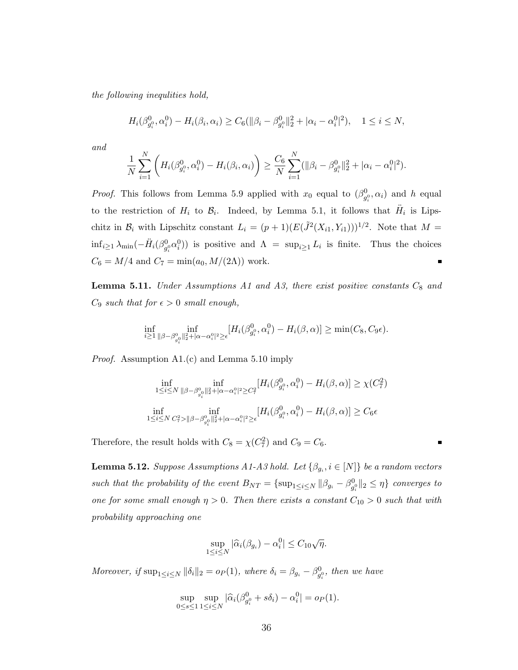the following inequlities hold,

$$
H_i(\beta_{g_i^0}^0, \alpha_i^0) - H_i(\beta_i, \alpha_i) \ge C_6(||\beta_i - \beta_{g_i^0}^0||_2^2 + |\alpha_i - \alpha_i^0|^2), \quad 1 \le i \le N,
$$

and

$$
\frac{1}{N} \sum_{i=1}^N \left( H_i(\beta_{g_i^0}^0, \alpha_i^0) - H_i(\beta_i, \alpha_i) \right) \ge \frac{C_6}{N} \sum_{i=1}^N (\|\beta_i - \beta_{g_i^0}^0\|_2^2 + |\alpha_i - \alpha_i^0|^2).
$$

*Proof.* This follows from Lemma 5.9 applied with  $x_0$  equal to  $(\beta_{g_i^0}^0, \alpha_i)$  and h equal to the restriction of  $H_i$  to  $\mathcal{B}_i$ . Indeed, by Lemma 5.1, it follows that  $\ddot{H}_i$  is Lipschitz in  $\mathcal{B}_i$  with Lipschitz constant  $L_i = (p+1)(E(\tilde{J}^2(X_{i1}, Y_{i1})))^{1/2}$ . Note that  $M =$  $\inf_{i\geq 1}\lambda_{\min}(-\ddot{H}_i(\beta_{g_i^0}^0\alpha_i^0))$  is positive and  $\Lambda = \sup_{i\geq 1}L_i$  is finite. Thus the choices  $C_6 = M/4$  and  $C_7 = \min(a_0, M/(2\Lambda))$  work.

**Lemma 5.11.** Under Assumptions A1 and A3, there exist positive constants  $C_8$  and  $C_9$  such that for  $\epsilon > 0$  small enough,

$$
\inf_{i\geq 1}\inf_{\|\beta-\beta^0_{g_i^0}\|_2^2+|\alpha-\alpha_i^0|^2\geq\epsilon}[H_i(\beta^0_{g_i^0},\alpha_i^0)-H_i(\beta,\alpha)]\geq \min(C_8,C_9\epsilon).
$$

Proof. Assumption A1.(c) and Lemma 5.10 imply

$$
\inf_{1 \leq i \leq N} \inf_{\|\beta - \beta_{g_i^0}^0\|_2^2 + |\alpha - \alpha_i^0|^2 \geq C_i^2} [H_i(\beta_{g_i^0}^0, \alpha_i^0) - H_i(\beta, \alpha)] \geq \chi(C_7^2)
$$
  

$$
\inf_{1 \leq i \leq N} \inf_{C_7^2 > \|\beta - \beta_{g_i^0}^0\|_2^2 + |\alpha - \alpha_i^0|^2 \geq \epsilon} [H_i(\beta_{g_i^0}^0, \alpha_i^0) - H_i(\beta, \alpha)] \geq C_6 \epsilon
$$

Therefore, the result holds with  $C_8 = \chi(C_7^2)$  and  $C_9 = C_6$ .

**Lemma 5.12.** Suppose Assumptions A1-A3 hold. Let  $\{\beta_{g_i}, i \in [N]\}$  be a random vectors such that the probability of the event  $B_{NT} = \{\sup_{1 \le i \le N} ||\beta_{g_i} - \beta_{g_i^0}^0||_2 \le \eta\}$  converges to one for some small enough  $\eta > 0$ . Then there exists a constant  $C_{10} > 0$  such that with probability approaching one

$$
\sup_{1 \le i \le N} |\widehat{\alpha}_i(\beta_{g_i}) - \alpha_i^0| \le C_{10} \sqrt{\eta}.
$$

Moreover, if  $\sup_{1 \le i \le N} ||\delta_i||_2 = o_P(1)$ , where  $\delta_i = \beta_{g_i} - \beta_{g_i^0}^0$ , then we have

$$
\sup_{0 \le s \le 1} \sup_{1 \le i \le N} |\widehat{\alpha}_i(\beta_{g_i^0}^0 + s\delta_i) - \alpha_i^0| = o_P(1).
$$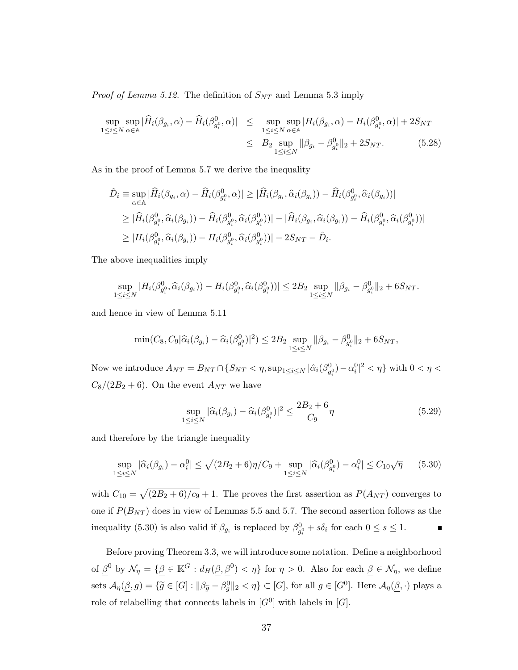*Proof of Lemma 5.12.* The definition of  $S_{NT}$  and Lemma 5.3 imply

$$
\sup_{1 \le i \le N} \sup_{\alpha \in \mathbb{A}} |\widehat{H}_i(\beta_{g_i}, \alpha) - \widehat{H}_i(\beta_{g_i^0}^0, \alpha)| \le \sup_{1 \le i \le N} \sup_{\alpha \in \mathbb{A}} |H_i(\beta_{g_i}, \alpha) - H_i(\beta_{g_i^0}^0, \alpha)| + 2S_{NT}
$$
  

$$
\le B_2 \sup_{1 \le i \le N} \|\beta_{g_i} - \beta_{g_i^0}^0\|_2 + 2S_{NT}.
$$
 (5.28)

As in the proof of Lemma 5.7 we derive the inequality

$$
\hat{D}_i \equiv \sup_{\alpha \in \mathbb{A}} |\hat{H}_i(\beta_{g_i}, \alpha) - \hat{H}_i(\beta_{g_i}^0, \alpha)| \geq |\hat{H}_i(\beta_{g_i}, \hat{\alpha}_i(\beta_{g_i})) - \hat{H}_i(\beta_{g_i}^0, \hat{\alpha}_i(\beta_{g_i}))|
$$
\n
$$
\geq |\hat{H}_i(\beta_{g_i^0}^0, \hat{\alpha}_i(\beta_{g_i})) - \hat{H}_i(\beta_{g_i^0}^0, \hat{\alpha}_i(\beta_{g_i^0}))| - |\hat{H}_i(\beta_{g_i}, \hat{\alpha}_i(\beta_{g_i})) - \hat{H}_i(\beta_{g_i^0}^0, \hat{\alpha}_i(\beta_{g_i^0}))|
$$
\n
$$
\geq |H_i(\beta_{g_i^0}^0, \hat{\alpha}_i(\beta_{g_i})) - H_i(\beta_{g_i^0}^0, \hat{\alpha}_i(\beta_{g_i^0}))| - 2S_{NT} - \hat{D}_i.
$$

The above inequalities imply

$$
\sup_{1 \leq i \leq N} |H_i(\beta_{g_i^0}^0, \widehat{\alpha}_i(\beta_{g_i})) - H_i(\beta_{g_i^0}^0, \widehat{\alpha}_i(\beta_{g_i^0}^0))| \leq 2B_2 \sup_{1 \leq i \leq N} ||\beta_{g_i} - \beta_{g_i^0}^0||_2 + 6S_{NT}.
$$

and hence in view of Lemma 5.11

$$
\min(C_8, C_9|\widehat{\alpha}_i(\beta_{g_i}) - \widehat{\alpha}_i(\beta_{g_i^0}^0)|^2) \le 2B_2 \sup_{1 \le i \le N} \|\beta_{g_i} - \beta_{g_i^0}^0\|_2 + 6S_{NT},
$$

Now we introduce  $A_{NT} = B_{NT} \cap \{S_{NT} < \eta, \sup_{1 \le i \le N} |\hat{\alpha}_i(\beta_{g_i^0}^0) - \alpha_i^0|^2 < \eta\}$  with  $0 < \eta <$  $C_8/(2B_2+6)$ . On the event  $A_{NT}$  we have

$$
\sup_{1 \le i \le N} |\widehat{\alpha}_i(\beta_{g_i}) - \widehat{\alpha}_i(\beta_{g_i^0}^0)|^2 \le \frac{2B_2 + 6}{C_9} \eta
$$
\n(5.29)

and therefore by the triangle inequality

$$
\sup_{1 \le i \le N} |\widehat{\alpha}_i(\beta_{g_i}) - \alpha_i^0| \le \sqrt{(2B_2 + 6)\eta/C_9} + \sup_{1 \le i \le N} |\widehat{\alpha}_i(\beta_{g_i^0}^0) - \alpha_i^0| \le C_{10}\sqrt{\eta} \tag{5.30}
$$

with  $C_{10} = \sqrt{(2B_2 + 6)/c_9} + 1$ . The proves the first assertion as  $P(A_{NT})$  converges to one if  $P(B_{NT})$  does in view of Lemmas 5.5 and 5.7. The second assertion follows as the inequality (5.30) is also valid if  $\beta_{g_i}$  is replaced by  $\beta_{g_i^0}^0 + s\delta_i$  for each  $0 \le s \le 1$ .

Before proving Theorem 3.3, we will introduce some notation. Define a neighborhood of  $\beta^0$  by  $\mathcal{N}_\eta = \{ \beta \in \mathbb{K}^G : d_H(\beta, \beta^0) < \eta \}$  for  $\eta > 0$ . Also for each  $\beta \in \mathcal{N}_\eta$ , we define sets  $\mathcal{A}_{\eta}(\underline{\beta}, g) = {\{\widetilde{g} \in [G] : ||\beta_{\widetilde{g}} - \beta_g^0||_2 < \eta\}} \subset [G]$ , for all  $g \in [G^0]$ . Here  $\mathcal{A}_{\eta}(\underline{\beta}, \cdot)$  plays a role of relabelling that connects labels in  $[G^0]$  with labels in  $[G]$ .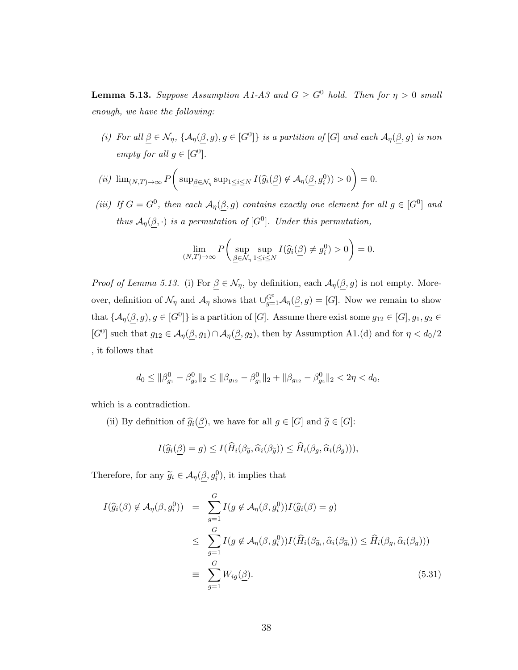**Lemma 5.13.** Suppose Assumption A1-A3 and  $G \geq G^0$  hold. Then for  $\eta > 0$  small enough, we have the following:

(i) For all  $\beta \in \mathcal{N}_{\eta}$ ,  $\{A_{\eta}(\beta, g), g \in [G^0]\}$  is a partition of  $[G]$  and each  $\mathcal{A}_{\eta}(\beta, g)$  is non empty for all  $g \in [G^0]$ .

$$
(ii) \ \lim_{(N,T)\to\infty} P\bigg(\sup_{\underline{\beta}\in\mathcal{N}_{\eta}} \sup_{1\leq i\leq N} I(\widehat{g}_i(\underline{\beta}) \notin \mathcal{A}_{\eta}(\underline{\beta}, g_i^0)) > 0\bigg) = 0.
$$

(iii) If  $G = G^0$ , then each  $\mathcal{A}_{\eta}(\beta, g)$  contains exactly one element for all  $g \in [G^0]$  and thus  $\mathcal{A}_{\eta}(\beta, \cdot)$  is a permutation of [G<sup>0</sup>]. Under this permutation,

$$
\lim_{(N,T)\to\infty} P\bigg(\sup_{\underline{\beta}\in\mathcal{N}_{\eta}} \sup_{1\leq i\leq N} I(\widehat{g}_i(\underline{\beta}) \neq g_i^0) > 0\bigg) = 0.
$$

*Proof of Lemma 5.13.* (i) For  $\underline{\beta} \in \mathcal{N}_{\eta}$ , by definition, each  $\mathcal{A}_{\eta}(\underline{\beta}, g)$  is not empty. Moreover, definition of  $\mathcal{N}_{\eta}$  and  $\mathcal{A}_{\eta}$  shows that  $\cup_{g=1}^{G^0} \mathcal{A}_{\eta}(\underline{\beta},g) = [G]$ . Now we remain to show that  $\{\mathcal{A}_{\eta}(\beta, g), g \in [G^0]\}$  is a partition of [G]. Assume there exist some  $g_{12} \in [G], g_1, g_2 \in$ [G<sup>0</sup>] such that  $g_{12} \in \mathcal{A}_{\eta}(\beta, g_1) \cap \mathcal{A}_{\eta}(\beta, g_2)$ , then by Assumption A1.(d) and for  $\eta < d_0/2$ , it follows that

$$
d_0 \leq \|\beta_{g_1}^0 - \beta_{g_2}^0\|_2 \leq \|\beta_{g_{12}} - \beta_{g_1}^0\|_2 + \|\beta_{g_{12}} - \beta_{g_2}^0\|_2 < 2\eta < d_0,
$$

which is a contradiction.

(ii) By definition of  $\widehat{g}_i(\underline{\beta})$ , we have for all  $g \in [G]$  and  $\widetilde{g} \in [G]$ :

$$
I(\widehat{g}_i(\underline{\beta})=g) \leq I(\widehat{H}_i(\beta_{\widetilde{g}},\widehat{\alpha}_i(\beta_{\widetilde{g}})) \leq \widehat{H}_i(\beta_g,\widehat{\alpha}_i(\beta_g))),
$$

Therefore, for any  $\widetilde{g}_i \in \mathcal{A}_{\eta}(\underline{\beta}, g_i^0)$ , it implies that

$$
I(\widehat{g}_{i}(\underline{\beta}) \notin \mathcal{A}_{\eta}(\underline{\beta}, g_{i}^{0})) = \sum_{g=1}^{G} I(g \notin \mathcal{A}_{\eta}(\underline{\beta}, g_{i}^{0})) I(\widehat{g}_{i}(\underline{\beta}) = g)
$$
  

$$
\leq \sum_{g=1}^{G} I(g \notin \mathcal{A}_{\eta}(\underline{\beta}, g_{i}^{0})) I(\widehat{H}_{i}(\beta_{\widetilde{g}_{i}}, \widehat{\alpha}_{i}(\beta_{\widetilde{g}_{i}})) \leq \widehat{H}_{i}(\beta_{g}, \widehat{\alpha}_{i}(\beta_{g})))
$$
  

$$
\equiv \sum_{g=1}^{G} W_{ig}(\underline{\beta}). \tag{5.31}
$$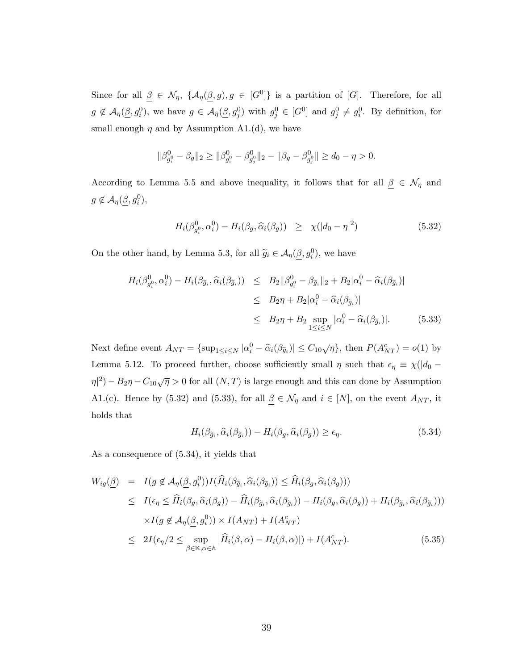Since for all  $\beta \in \mathcal{N}_{\eta}$ ,  $\{A_{\eta}(\beta, g), g \in [G^0]\}$  is a partition of [G]. Therefore, for all  $g \notin \mathcal{A}_{\eta}(\underline{\beta}, g_i^0)$ , we have  $g \in \mathcal{A}_{\eta}(\underline{\beta}, g_j^0)$  with  $g_j^0 \in [G^0]$  and  $g_j^0 \neq g_i^0$ . By definition, for small enough  $\eta$  and by Assumption A1.(d), we have

$$
\|\beta_{g_i^0}^0 - \beta_g\|_2 \ge \|\beta_{g_i^0}^0 - \beta_{g_j^0}^0\|_2 - \|\beta_g - \beta_{g_j^0}^0\| \ge d_0 - \eta > 0.
$$

According to Lemma 5.5 and above inequality, it follows that for all  $\beta \in \mathcal{N}_{\eta}$  and  $g \not\in \mathcal{A}_{\eta}(\underline{\beta}, g_i^0),$ 

$$
H_i(\beta_{g_i^0}^0, \alpha_i^0) - H_i(\beta_g, \widehat{\alpha}_i(\beta_g)) \ge \chi(|d_0 - \eta|^2) \tag{5.32}
$$

On the other hand, by Lemma 5.3, for all  $\widetilde{g}_i \in \mathcal{A}_{\eta}(\underline{\beta}, g_i^0)$ , we have

$$
H_i(\beta_{g_i^0}^0, \alpha_i^0) - H_i(\beta_{\widetilde{g}_i}, \widehat{\alpha}_i(\beta_{\widetilde{g}_i})) \leq B_2 || \beta_{g_i^0}^0 - \beta_{\widetilde{g}_i} ||_2 + B_2 |\alpha_i^0 - \widehat{\alpha}_i(\beta_{\widetilde{g}_i})|
$$
  
\n
$$
\leq B_2 \eta + B_2 |\alpha_i^0 - \widehat{\alpha}_i(\beta_{\widetilde{g}_i})|
$$
  
\n
$$
\leq B_2 \eta + B_2 \sup_{1 \leq i \leq N} |\alpha_i^0 - \widehat{\alpha}_i(\beta_{\widetilde{g}_i})|.
$$
 (5.33)

Next define event  $A_{NT} = \{\sup_{1 \le i \le N} |\alpha_i^0 - \widehat{\alpha}_i(\beta_{\widetilde{g}_i})| \le C_{10} \sqrt{\eta}\}\)$ , then  $P(A_{NT}^c) = o(1)$  by Lemma 5.12. To proceed further, choose sufficiently small  $\eta$  such that  $\epsilon_{\eta} \equiv \chi(|d_0 - \eta|)$  $\eta^{2}$ ) –  $B_{2}\eta$  –  $C_{10}\sqrt{\eta} > 0$  for all  $(N, T)$  is large enough and this can done by Assumption A1.(c). Hence by (5.32) and (5.33), for all  $\underline{\beta} \in \mathcal{N}_{\eta}$  and  $i \in [N]$ , on the event  $A_{NT}$ , it holds that

$$
H_i(\beta_{\widetilde{g}_i}, \widehat{\alpha}_i(\beta_{\widetilde{g}_i})) - H_i(\beta_g, \widehat{\alpha}_i(\beta_g)) \ge \epsilon_\eta.
$$
\n(5.34)

As a consequence of (5.34), it yields that

$$
W_{ig}(\underline{\beta}) = I(g \notin \mathcal{A}_{\eta}(\underline{\beta}, g_{i}^{0}))I(\hat{H}_{i}(\beta_{\widetilde{g}_{i}}, \widehat{\alpha}_{i}(\beta_{\widetilde{g}_{i}})) \leq \widehat{H}_{i}(\beta_{g}, \widehat{\alpha}_{i}(\beta_{g})))
$$
  
\n
$$
\leq I(\epsilon_{\eta} \leq \widehat{H}_{i}(\beta_{g}, \widehat{\alpha}_{i}(\beta_{g})) - \widehat{H}_{i}(\beta_{\widetilde{g}_{i}}, \widehat{\alpha}_{i}(\beta_{\widetilde{g}_{i}})) - H_{i}(\beta_{g}, \widehat{\alpha}_{i}(\beta_{g})) + H_{i}(\beta_{\widetilde{g}_{i}}, \widehat{\alpha}_{i}(\beta_{\widetilde{g}_{i}})))
$$
  
\n
$$
\times I(g \notin \mathcal{A}_{\eta}(\underline{\beta}, g_{i}^{0})) \times I(A_{NT}) + I(A_{NT}^{c})
$$
  
\n
$$
\leq 2I(\epsilon_{\eta}/2 \leq \sup_{\beta \in \mathbb{K}, \alpha \in \mathbb{A}} |\widehat{H}_{i}(\beta, \alpha) - H_{i}(\beta, \alpha)|) + I(A_{NT}^{c}). \tag{5.35}
$$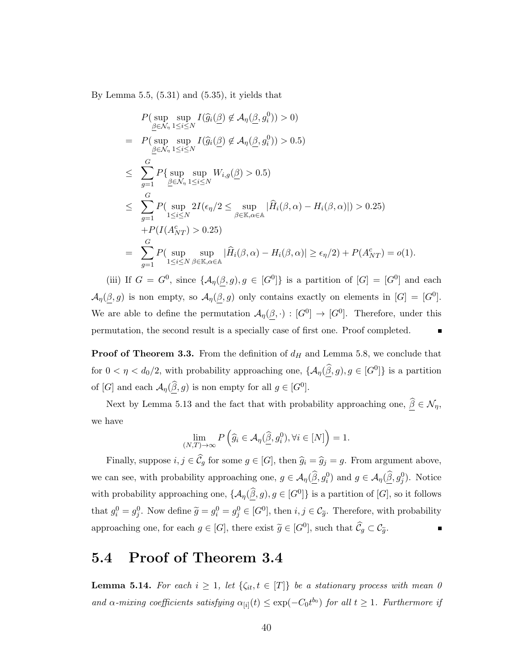By Lemma 5.5,  $(5.31)$  and  $(5.35)$ , it yields that

$$
P(\sup_{\underline{\beta}\in\mathcal{N}_{\eta}}\sup_{1\leq i\leq N} I(\widehat{g}_{i}(\underline{\beta}) \notin \mathcal{A}_{\eta}(\underline{\beta}, g_{i}^{0})) > 0)
$$
\n
$$
= P(\sup_{\underline{\beta}\in\mathcal{N}_{\eta}}\sup_{1\leq i\leq N} I(\widehat{g}_{i}(\underline{\beta}) \notin \mathcal{A}_{\eta}(\underline{\beta}, g_{i}^{0})) > 0.5)
$$
\n
$$
\leq \sum_{g=1}^{G} P\{\sup_{\underline{\beta}\in\mathcal{N}_{\eta}}\sup_{1\leq i\leq N} W_{i,g}(\underline{\beta}) > 0.5\}
$$
\n
$$
\leq \sum_{g=1}^{G} P(\sup_{1\leq i\leq N} 2I(\epsilon_{\eta}/2 \leq \sup_{\beta\in\mathbb{K},\alpha\in\mathbb{A}} |\widehat{H}_{i}(\beta,\alpha) - H_{i}(\beta,\alpha)|) > 0.25)
$$
\n
$$
+ P(I(A_{NT}^{c}) > 0.25)
$$
\n
$$
= \sum_{g=1}^{G} P(\sup_{1\leq i\leq N} \sup_{\beta\in\mathbb{K},\alpha\in\mathbb{A}} |\widehat{H}_{i}(\beta,\alpha) - H_{i}(\beta,\alpha)| \geq \epsilon_{\eta}/2) + P(A_{NT}^{c}) = o(1).
$$

(iii) If  $G = G^0$ , since  $\{A_\eta(\beta, g), g \in [G^0]\}$  is a partition of  $[G] = [G^0]$  and each  $\mathcal{A}_{\eta}(\beta, g)$  is non empty, so  $\mathcal{A}_{\eta}(\beta, g)$  only contains exactly on elements in  $[G] = [G^0]$ . We are able to define the permutation  $\mathcal{A}_{\eta}(\beta, \cdot) : [G^0] \to [G^0]$ . Therefore, under this permutation, the second result is a specially case of first one. Proof completed.

**Proof of Theorem 3.3.** From the definition of  $d_H$  and Lemma 5.8, we conclude that for  $0 < \eta < d_0/2$ , with probability approaching one,  $\{\mathcal{A}_{\eta}(\widehat{\beta}, g), g \in [G^0]\}$  is a partition of [G] and each  $\mathcal{A}_{\eta}(\widehat{\underline{\beta}}, g)$  is non empty for all  $g \in [G^0]$ .

Next by Lemma 5.13 and the fact that with probability approaching one,  $\widehat{\underline{\beta}}\in\mathcal{N}_\eta,$ we have

$$
\lim_{(N,T)\to\infty} P\left(\widehat{g}_i \in \mathcal{A}_{\eta}(\widehat{\underline{\beta}}, g_i^0), \forall i \in [N]\right) = 1.
$$

Finally, suppose  $i, j \in \widehat{\mathcal{C}}_g$  for some  $g \in [G]$ , then  $\widehat{g}_i = \widehat{g}_j = g$ . From argument above, we can see, with probability approaching one,  $g \in \mathcal{A}_{\eta}(\widehat{\beta}, g_i^0)$  and  $g \in \mathcal{A}_{\eta}(\widehat{\beta}, g_j^0)$ . Notice with probability approaching one,  $\{\mathcal{A}_{\eta}(\widehat{\beta}, g), g \in [G^0]\}$  is a partition of  $[G]$ , so it follows that  $g_i^0 = g_j^0$ . Now define  $\tilde{g} = g_i^0 = g_j^0 \in [G^0]$ , then  $i, j \in C_{\tilde{g}}$ . Therefore, with probability approaching one, for each  $g \in [G]$ , there exist  $\widetilde{g} \in [G^0]$ , such that  $\widehat{C}_g \subset \mathcal{C}_{\widetilde{g}}$ .

#### 5.4 Proof of Theorem 3.4

**Lemma 5.14.** For each  $i \geq 1$ , let  $\{\zeta_{it}, t \in [T]\}$  be a stationary process with mean 0 and  $\alpha$ -mixing coefficients satisfying  $\alpha_{[i]}(t) \leq \exp(-C_0 t^{b_0})$  for all  $t \geq 1$ . Furthermore if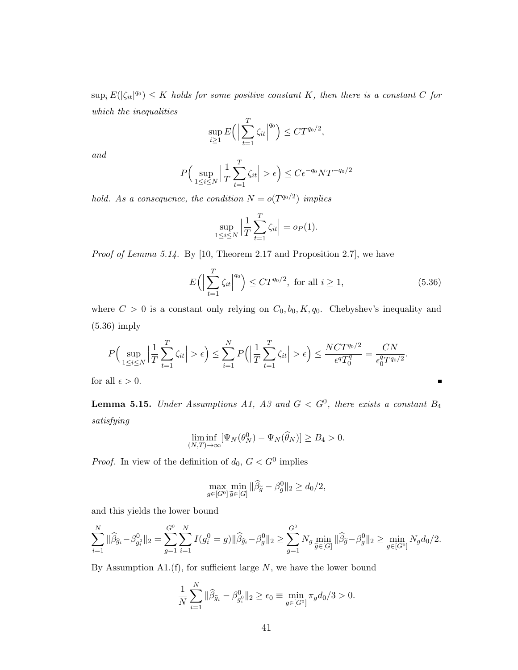$\sup_i E(|\zeta_{it}|^{q_0}) \leq K$  holds for some positive constant K, then there is a constant C for which the inequalities

$$
\sup_{i\geq 1} E\Big(\Big|\sum_{t=1}^T \zeta_{it}\Big|^{q_0}\Big) \leq C T^{q_0/2},
$$

and

$$
P\Big(\sup_{1\leq i\leq N}\Big|\frac{1}{T}\sum_{t=1}^T\zeta_{it}\Big|>\epsilon\Big)\leq C\epsilon^{-q_0}NT^{-q_0/2}
$$

hold. As a consequence, the condition  $N = o(T^{q_0/2})$  implies

$$
\sup_{1 \leq i \leq N} \left| \frac{1}{T} \sum_{t=1}^{T} \zeta_{it} \right| = o_P(1).
$$

Proof of Lemma 5.14. By [10, Theorem 2.17 and Proposition 2.7], we have

$$
E\left(\left|\sum_{t=1}^{T}\zeta_{it}\right|^{q_0}\right) \le CT^{q_0/2}, \text{ for all } i \ge 1,
$$
\n
$$
(5.36)
$$

п

where  $C > 0$  is a constant only relying on  $C_0$ ,  $b_0$ ,  $K$ ,  $q_0$ . Chebyshev's inequality and (5.36) imply

$$
P\Big(\sup_{1\leq i\leq N}\Big|\frac{1}{T}\sum_{t=1}^T\zeta_{it}\Big|>\epsilon\Big)\leq \sum_{i=1}^N P\Big(\Big|\frac{1}{T}\sum_{t=1}^T\zeta_{it}\Big|>\epsilon\Big)\leq \frac{NCT^{q_0/2}}{\epsilon^qT_0^q}=\frac{CN}{\epsilon_0^qT^{q_0/2}}.
$$

for all  $\epsilon > 0.$ 

**Lemma 5.15.** Under Assumptions A1, A3 and  $G < G^0$ , there exists a constant  $B_4$ satisfying

$$
\liminf_{(N,T)\to\infty} [\Psi_N(\theta_N^0) - \Psi_N(\widehat{\theta}_N)] \ge B_4 > 0.
$$

*Proof.* In view of the definition of  $d_0$ ,  $G < G^0$  implies

$$
\max_{g \in [G^0]} \min_{\widetilde{g} \in [G]} \|\widehat{\beta}_{\widetilde{g}} - \beta_g^0\|_2 \ge d_0/2,
$$

and this yields the lower bound

$$
\sum_{i=1}^N \|\widehat{\beta}_{\widehat{g}_i} - \beta_{g_i^0}^0\|_2 = \sum_{g=1}^{G^0} \sum_{i=1}^N I(g_i^0 = g)\|\widehat{\beta}_{\widehat{g}_i} - \beta_g^0\|_2 \ge \sum_{g=1}^{G^0} N_g \min_{\widetilde{g} \in [G]} \|\widehat{\beta}_{\widetilde{g}} - \beta_g^0\|_2 \ge \min_{g \in [G^0]} N_g d_0 / 2.
$$

By Assumption A1. $(f)$ , for sufficient large N, we have the lower bound

$$
\frac{1}{N} \sum_{i=1}^{N} \|\widehat{\beta}_{\widehat{g}_i} - \beta_{g_i^0}^0\|_2 \ge \epsilon_0 \equiv \min_{g \in [G^0]} \pi_g d_0 / 3 > 0.
$$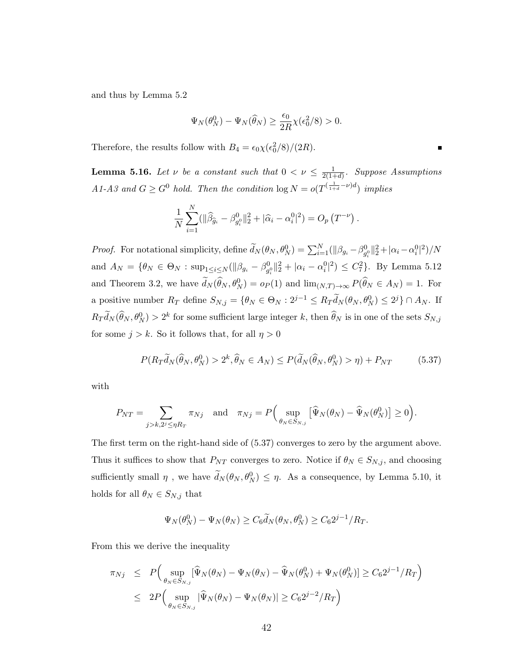and thus by Lemma 5.2

$$
\Psi_N(\theta_N^0) - \Psi_N(\widehat{\theta}_N) \ge \frac{\epsilon_0}{2R} \chi(\epsilon_0^2/8) > 0.
$$

Therefore, the results follow with  $B_4 = \epsilon_0 \chi(\epsilon_0^2/8)/(2R)$ .

**Lemma 5.16.** Let  $\nu$  be a constant such that  $0 < \nu \leq \frac{1}{2(1+\nu)}$  $\frac{1}{2(1+d)}$ . Suppose Assumptions A1-A3 and  $G \geq G^0$  hold. Then the condition  $\log N = o(T^{(\frac{1}{1+d}-\nu)d})$  implies

$$
\frac{1}{N} \sum_{i=1}^{N} (||\widehat{\beta}_{\widehat{g}_i} - \beta_{g_i^0}^0||_2^2 + |\widehat{\alpha}_i - \alpha_i^0|^2) = O_p(T^{-\nu}).
$$

*Proof.* For notational simplicity, define  $\tilde{d}_N(\theta_N, \theta_N^0) = \sum_{i=1}^N (||\beta_{g_i} - \beta_{g_i^0}^0||_2^2 + |\alpha_i - \alpha_i^0|^2)/N$ and  $A_N = \{\theta_N \in \Theta_N : \sup_{1 \le i \le N} (\|\beta_{g_i} - \beta_{g_i^0}^0\|_2^2 + |\alpha_i - \alpha_i^0|^2) \le C_7^2\}$ . By Lemma 5.12 and Theorem 3.2, we have  $\tilde{d}_N(\hat{\theta}_N, \theta_N^0) = o_P(1)$  and  $\lim_{(N,T)\to\infty} P(\hat{\theta}_N \in A_N) = 1$ . For a positive number  $R_T$  define  $S_{N,j} = \{ \theta_N \in \Theta_N : 2^{j-1} \le R_T \widetilde{d}_N(\theta_N, \theta_N^0) \le 2^j \} \cap A_N$ . If  $R_T d_N(\hat{\theta}_N, \theta_N^0) > 2^k$  for some sufficient large integer k, then  $\hat{\theta}_N$  is in one of the sets  $S_{N,j}$ for some  $j > k$ . So it follows that, for all  $\eta > 0$ 

$$
P(R_T\widetilde{d}_N(\widehat{\theta}_N,\theta_N^0) > 2^k, \widehat{\theta}_N \in A_N) \le P(\widetilde{d}_N(\widehat{\theta}_N,\theta_N^0) > \eta) + P_{NT}
$$
(5.37)

with

$$
P_{NT} = \sum_{j>k,2^j \leq \eta R_T} \pi_{Nj} \quad \text{and} \quad \pi_{Nj} = P\Big(\sup_{\theta_N \in S_{N,j}} \big[\widehat{\Psi}_N(\theta_N) - \widehat{\Psi}_N(\theta_N^0)\big] \geq 0\Big).
$$

The first term on the right-hand side of (5.37) converges to zero by the argument above. Thus it suffices to show that  $P_{NT}$  converges to zero. Notice if  $\theta_N \in S_{N,j}$ , and choosing sufficiently small  $\eta$ , we have  $\tilde{d}_N(\theta_N, \theta_N^0) \leq \eta$ . As a consequence, by Lemma 5.10, it holds for all  $\theta_N \in S_{N,j}$  that

$$
\Psi_N(\theta_N^0) - \Psi_N(\theta_N) \ge C_6 \widetilde{d}_N(\theta_N, \theta_N^0) \ge C_6 2^{j-1} / R_T.
$$

From this we derive the inequality

$$
\pi_{Nj} \le P\Big(\sup_{\theta_N \in S_{N,j}} [\widehat{\Psi}_N(\theta_N) - \Psi_N(\theta_N) - \widehat{\Psi}_N(\theta_N^0) + \Psi_N(\theta_N^0)] \ge C_6 2^{j-1} / R_T\Big)
$$
  

$$
\le 2P\Big(\sup_{\theta_N \in S_{N,j}} |\widehat{\Psi}_N(\theta_N) - \Psi_N(\theta_N)| \ge C_6 2^{j-2} / R_T\Big)
$$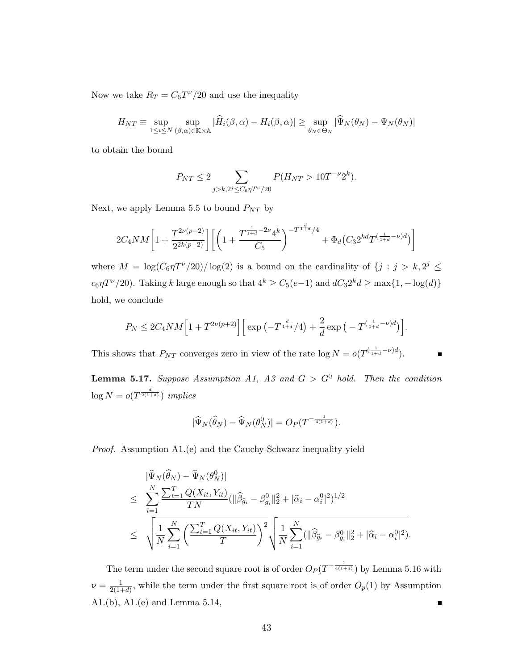Now we take  $R_T = C_6 T^{\nu}/20$  and use the inequality

$$
H_{NT} \equiv \sup_{1 \le i \le N} \sup_{(\beta,\alpha) \in \mathbb{K} \times \mathbb{A}} |\widehat{H}_i(\beta,\alpha) - H_i(\beta,\alpha)| \ge \sup_{\theta_N \in \Theta_N} |\widehat{\Psi}_N(\theta_N) - \Psi_N(\theta_N)|
$$

to obtain the bound

$$
P_{NT} \le 2 \sum_{j > k, 2^j \le C_6 \eta T^{\nu}/20} P(H_{NT} > 10T^{-\nu}2^k).
$$

Next, we apply Lemma 5.5 to bound  $P_{NT}$  by

$$
2C_4NM\bigg[1+\frac{T^{2\nu(p+2)}}{2^{2k(p+2)}}\bigg]\bigg[\bigg(1+\frac{T^{\frac{1}{1+d}-2\nu}4^k}{C_5}\bigg)^{-T^{\frac{d}{1+d}}/4}+\Phi_d\big(C_32^{kd}T^{(\frac{1}{1+d}-\nu)d}\big)\bigg]
$$

where  $M = \log(C_6 \eta T^{\nu}/20) / \log(2)$  is a bound on the cardinality of  $\{j : j > k, 2^{j} \leq j \}$  $c_6\eta T^{\nu}/20$ ). Taking k large enough so that  $4^k \geq C_5(e-1)$  and  $dC_3 2^k d \geq \max\{1, -\log(d)\}$ hold, we conclude

$$
P_N \leq 2C_4NM\Big[1+T^{2\nu(p+2)}\Big]\Big[\exp\left(-T^{\frac{d}{1+d}}/4\right)+\frac{2}{d}\exp\left(-T^{(\frac{1}{1+d}-\nu)d}\right)\Big].
$$

 $\blacksquare$ 

This shows that  $P_{NT}$  converges zero in view of the rate  $\log N = o(T^{\left(\frac{1}{1+d}-\nu\right)d}).$ 

**Lemma 5.17.** Suppose Assumption A1, A3 and  $G > G^0$  hold. Then the condition  $\log N = o(T^{\frac{d}{2(1+d)}})$  implies

$$
|\widehat{\Psi}_N(\widehat{\theta}_N) - \widehat{\Psi}_N(\theta_N^0)| = O_P(T^{-\frac{1}{4(1+d)}}).
$$

Proof. Assumption A1.(e) and the Cauchy-Schwarz inequality yield

$$
\begin{split}\n&|\widehat{\Psi}_{N}(\widehat{\theta}_{N}) - \widehat{\Psi}_{N}(\theta_{N}^{0})| \\
&\leq \sum_{i=1}^{N} \frac{\sum_{t=1}^{T} Q(X_{it}, Y_{it})}{TN} (||\widehat{\beta}_{\widehat{g}_{i}} - \beta_{g_{i}}^{0}||_{2}^{2} + |\widehat{\alpha}_{i} - \alpha_{i}^{0}|^{2})^{1/2} \\
&\leq \sqrt{\frac{1}{N} \sum_{i=1}^{N} \left( \frac{\sum_{t=1}^{T} Q(X_{it}, Y_{it})}{T} \right)^{2}} \sqrt{\frac{1}{N} \sum_{i=1}^{N} (||\widehat{\beta}_{\widehat{g}_{i}} - \beta_{g_{i}}^{0}||_{2}^{2} + |\widehat{\alpha}_{i} - \alpha_{i}^{0}|^{2})}.\n\end{split}
$$

The term under the second square root is of order  $O_P(T^{-\frac{1}{4(1+d)}})$  by Lemma 5.16 with  $\nu = \frac{1}{2(1-\frac{1}{2})}$  $\frac{1}{2(1+d)}$ , while the term under the first square root is of order  $O_p(1)$  by Assumption A1.(b), A1.(e) and Lemma 5.14,  $\blacksquare$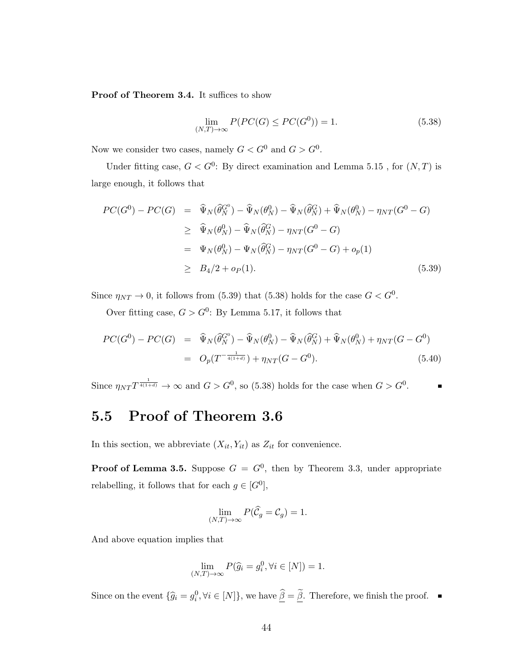Proof of Theorem 3.4. It suffices to show

$$
\lim_{(N,T)\to\infty} P(PC(G) \le PC(G^0)) = 1.
$$
\n(5.38)

Now we consider two cases, namely  $G < G^0$  and  $G > G^0$ .

Under fitting case,  $G < G^0$ : By direct examination and Lemma 5.15, for  $(N, T)$  is large enough, it follows that

$$
PC(G^{0}) - PC(G) = \widehat{\Psi}_{N}(\widehat{\theta}_{N}^{G^{0}}) - \widehat{\Psi}_{N}(\theta_{N}^{0}) - \widehat{\Psi}_{N}(\widehat{\theta}_{N}^{G}) + \widehat{\Psi}_{N}(\theta_{N}^{0}) - \eta_{NT}(G^{0} - G)
$$
  
\n
$$
\geq \widehat{\Psi}_{N}(\theta_{N}^{0}) - \widehat{\Psi}_{N}(\widehat{\theta}_{N}^{G}) - \eta_{NT}(G^{0} - G)
$$
  
\n
$$
= \Psi_{N}(\theta_{N}^{0}) - \Psi_{N}(\widehat{\theta}_{N}^{G}) - \eta_{NT}(G^{0} - G) + o_{p}(1)
$$
  
\n
$$
\geq B_{4}/2 + o_{P}(1).
$$
 (5.39)

Since  $\eta_{NT} \to 0$ , it follows from (5.39) that (5.38) holds for the case  $G < G^0$ .

Over fitting case,  $G > G^0$ : By Lemma 5.17, it follows that

$$
PC(G^{0}) - PC(G) = \hat{\Psi}_{N}(\hat{\theta}_{N}^{G^{0}}) - \hat{\Psi}_{N}(\theta_{N}^{0}) - \hat{\Psi}_{N}(\hat{\theta}_{N}^{G}) + \hat{\Psi}_{N}(\theta_{N}^{0}) + \eta_{NT}(G - G^{0})
$$
  
= 
$$
O_{p}(T^{-\frac{1}{4(1+d)}}) + \eta_{NT}(G - G^{0}).
$$
 (5.40)

Since  $\eta_{NT}T^{\frac{1}{4(1+d)}} \to \infty$  and  $G > G^0$ , so (5.38) holds for the case when  $G > G^0$ .

### 5.5 Proof of Theorem 3.6

In this section, we abbreviate  $(X_{it}, Y_{it})$  as  $Z_{it}$  for convenience.

**Proof of Lemma 3.5.** Suppose  $G = G^0$ , then by Theorem 3.3, under appropriate relabelling, it follows that for each  $g \in [G^0]$ ,

$$
\lim_{(N,T)\to\infty} P(\widehat{\mathcal{C}}_g = \mathcal{C}_g) = 1.
$$

And above equation implies that

$$
\lim_{(N,T)\to\infty} P(\hat{g}_i = g_i^0, \forall i \in [N]) = 1.
$$

Since on the event  $\{\widehat{g}_i = g_i^0, \forall i \in [N]\}$ , we have  $\widehat{\underline{\beta}} = \widehat{\underline{\beta}}$ . Therefore, we finish the proof.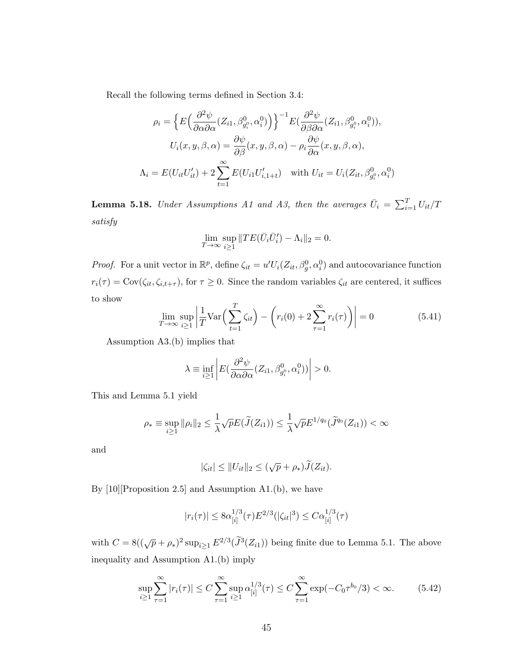Recall the following terms defined in Section 3.4:

$$
\rho_i = \left\{ E\left(\frac{\partial^2 \psi}{\partial \alpha \partial \alpha}(Z_{i1}, \beta_{g_i^0}^0, \alpha_i^0)\right) \right\}^{-1} E\left(\frac{\partial^2 \psi}{\partial \beta \partial \alpha}(Z_{i1}, \beta_{g_i^0}^0, \alpha_i^0)\right),
$$
  

$$
U_i(x, y, \beta, \alpha) = \frac{\partial \psi}{\partial \beta}(x, y, \beta, \alpha) - \rho_i \frac{\partial \psi}{\partial \alpha}(x, y, \beta, \alpha),
$$
  

$$
\Lambda_i = E(U_{it}U'_{it}) + 2 \sum_{t=1}^{\infty} E(U_{i1}U'_{i, 1+t}) \quad \text{with } U_{it} = U_i(Z_{it}, \beta_{g_i^0}^0, \alpha_i^0)
$$

**Lemma 5.18.** Under Assumptions A1 and A3, then the averages  $\bar{U}_i = \sum_{i=1}^{T} U_{it}/T$ satisfy

$$
\lim_{T \to \infty} \sup_{i \ge 1} ||TE(\bar{U}_i \bar{U}'_i) - \Lambda_i||_2 = 0.
$$

*Proof.* For a unit vector in  $\mathbb{R}^p$ , define  $\zeta_{it} = u'U_i(Z_{it}, \beta_g^0, \alpha_i^0)$  and autocovariance function  $r_i(\tau) = \text{Cov}(\zeta_{it}, \zeta_{i,t+\tau})$ , for  $\tau \geq 0$ . Since the random variables  $\zeta_{it}$  are centered, it suffices to show

$$
\lim_{T \to \infty} \sup_{i \ge 1} \left| \frac{1}{T} \text{Var}\left(\sum_{t=1}^{T} \zeta_{it}\right) - \left(r_i(0) + 2\sum_{\tau=1}^{\infty} r_i(\tau)\right) \right| = 0 \tag{5.41}
$$

Assumption A3.(b) implies that

$$
\lambda \equiv \inf_{i \ge 1} \left| E(\frac{\partial^2 \psi}{\partial \alpha \partial \alpha}(Z_{i1}, \beta_{g_i^0}^0, \alpha_i^0)) \right| > 0.
$$

This and Lemma 5.1 yield

$$
\rho_* \equiv \sup_{i \ge 1} \|\rho_i\|_2 \le \frac{1}{\lambda} \sqrt{p} E(\widetilde{J}(Z_{i1})) \le \frac{1}{\lambda} \sqrt{p} E^{1/q_0}(\widetilde{J}^{q_0}(Z_{i1})) < \infty
$$

and

$$
|\zeta_{it}| \leq ||U_{it}||_2 \leq (\sqrt{p} + \rho_*)\widetilde{J}(Z_{it}).
$$

By [10][Proposition 2.5] and Assumption A1.(b), we have

$$
|r_i(\tau)| \le 8\alpha_{[i]}^{1/3}(\tau) E^{2/3}(|\zeta_{it}|^3) \le C\alpha_{[i]}^{1/3}(\tau)
$$

with  $C = 8((\sqrt{p} + \rho_*)^2 \sup_{i \ge 1} E^{2/3}(\tilde{J}^3(Z_{i1}))$  being finite due to Lemma 5.1. The above inequality and Assumption A1.(b) imply

$$
\sup_{i\geq 1} \sum_{\tau=1}^{\infty} |r_i(\tau)| \leq C \sum_{\tau=1}^{\infty} \sup_{i\geq 1} \alpha_{[i]}^{1/3}(\tau) \leq C \sum_{\tau=1}^{\infty} \exp(-C_0 \tau^{b_0}/3) < \infty.
$$
 (5.42)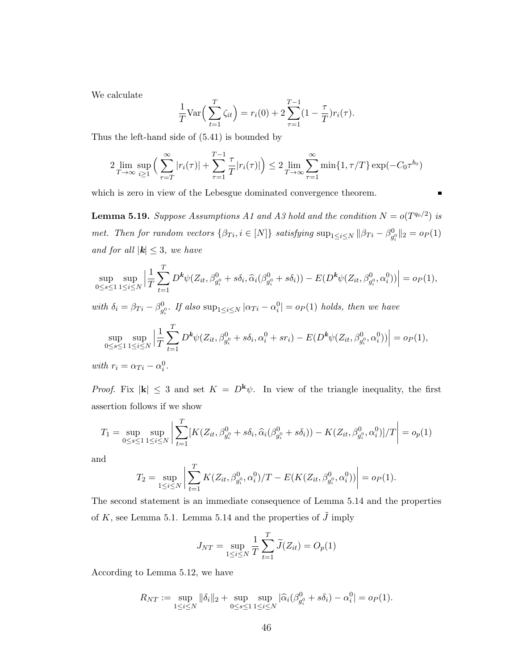We calculate

$$
\frac{1}{T} \text{Var}\Big(\sum_{t=1}^{T} \zeta_{it}\Big) = r_i(0) + 2 \sum_{\tau=1}^{T-1} (1 - \frac{\tau}{T}) r_i(\tau).
$$

Thus the left-hand side of (5.41) is bounded by

$$
2 \lim_{T \to \infty} \sup_{i \ge 1} \left( \sum_{\tau=T}^{\infty} |r_i(\tau)| + \sum_{\tau=1}^{T-1} \frac{\tau}{T} |r_i(\tau)| \right) \le 2 \lim_{T \to \infty} \sum_{\tau=1}^{\infty} \min\{1, \tau/T\} \exp(-C_0 \tau^{b_0})
$$

 $\blacksquare$ 

which is zero in view of the Lebesgue dominated convergence theorem.

**Lemma 5.19.** Suppose Assumptions A1 and A3 hold and the condition  $N = o(T^{q_0/2})$  is met. Then for random vectors  $\{\beta_{Ti}, i \in [N]\}$  satisfying  $\sup_{1 \le i \le N} ||\beta_{Ti} - \beta_{g_i^0}^0||_2 = o_P(1)$ and for all  $|\mathbf{k}| \leq 3$ , we have

$$
\sup_{0\leq s\leq 1}\sup_{1\leq i\leq N}\Big|\frac{1}{T}\sum_{t=1}^T D^k\psi(Z_{it},\beta_{g_i^0}^0+s\delta_i,\widehat{\alpha}_i(\beta_{g_i^0}^0+s\delta_i)) - E(D^k\psi(Z_{it},\beta_{g_i^0}^0,\alpha_i^0))\Big| = o_P(1),
$$
  
with  $\delta_i = \beta_{Ti} - \beta_{g_i^0}^0$ . If also  $\sup_{1\leq i\leq N} |\alpha_{Ti} - \alpha_i^0| = o_P(1)$  holds, then we have  

$$
\sup_{0\leq s\leq 1}\sup_{1\leq i\leq N}\Big|\frac{1}{T}\sum_{t=1}^T D^k\psi(Z_{it},\beta_{g_i^0}^0+s\delta_i,\alpha_i^0+s r_i) - E(D^k\psi(Z_{it},\beta_{g_i^0}^0,\alpha_i^0))\Big| = o_P(1),
$$
  
with  $r_i = \alpha_{Ti} - \alpha_i^0$ .

*Proof.* Fix  $|\mathbf{k}| \leq 3$  and set  $K = D^{\mathbf{k}}\psi$ . In view of the triangle inequality, the first assertion follows if we show

$$
T_1 = \sup_{0 \le s \le 1} \sup_{1 \le i \le N} \left| \sum_{t=1}^T \left[ K(Z_{it}, \beta_{g_i^0}^0 + s\delta_i, \widehat{\alpha}_i(\beta_{g_i^0}^0 + s\delta_i)) - K(Z_{it}, \beta_{g_i^0}^0, \alpha_i^0) \right] / T \right| = o_p(1)
$$

and

$$
T_2 = \sup_{1 \le i \le N} \left| \sum_{t=1}^T K(Z_{it}, \beta_{g_i^0}^0, \alpha_i^0) / T - E(K(Z_{it}, \beta_{g_i^0}^0, \alpha_i^0)) \right| = o_P(1).
$$

The second statement is an immediate consequence of Lemma 5.14 and the properties of K, see Lemma 5.1. Lemma 5.14 and the properties of  $\tilde{J}$  imply

$$
J_{NT} = \sup_{1 \le i \le N} \frac{1}{T} \sum_{t=1}^{T} \widetilde{J}(Z_{it}) = O_p(1)
$$

According to Lemma 5.12, we have

$$
R_{NT} := \sup_{1 \le i \le N} \|\delta_i\|_2 + \sup_{0 \le s \le 1} \sup_{1 \le i \le N} |\widehat{\alpha}_i(\beta_{g_i^0}^0 + s\delta_i) - \alpha_i^0| = o_P(1).
$$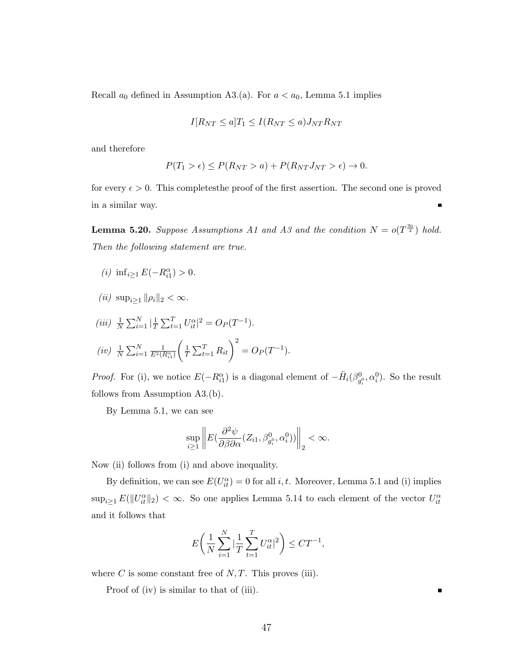Recall  $a_0$  defined in Assumption A3.(a). For  $a < a_0$ , Lemma 5.1 implies

$$
I[R_{NT} \le a]T_1 \le I(R_{NT} \le a)J_{NT}R_{NT}
$$

and therefore

$$
P(T_1 > \epsilon) \le P(R_{NT} > a) + P(R_{NT} J_{NT} > \epsilon) \to 0.
$$

for every  $\epsilon > 0$ . This completes the proof of the first assertion. The second one is proved in a similar way. Ē

**Lemma 5.20.** Suppose Assumptions A1 and A3 and the condition  $N = o(T^{\frac{q_0}{2}})$  hold. Then the following statement are true.

- (*i*)  $\inf_{i \geq 1} E(-R_{i1}^{\alpha}) > 0.$
- (*ii*)  $\sup_{i>1} ||\rho_i||_2 < \infty$ .

$$
(iii) \frac{1}{N} \sum_{i=1}^{N} |\frac{1}{T} \sum_{t=1}^{T} U_{it}^{\alpha}|^2 = O_P(T^{-1}).
$$
  

$$
(iv) \frac{1}{N} \sum_{i=1}^{N} \frac{1}{E^2(R_{i1}^{\alpha})} \left(\frac{1}{T} \sum_{t=1}^{T} R_{it}\right)^2 = O_P(T^{-1}).
$$

*Proof.* For (i), we notice  $E(-R_{i1}^{\alpha})$  is a diagonal element of  $-\ddot{H}_i(\beta_{g_i^0}^0, \alpha_i^0)$ . So the result follows from Assumption A3.(b).

By Lemma 5.1, we can see

$$
\sup_{i\geq 1}\left\|E\left(\frac{\partial^2\psi}{\partial\beta\partial\alpha}(Z_{i1},\beta_{g_i^0}^0,\alpha_i^0)\right)\right\|_2 < \infty.
$$

Now (ii) follows from (i) and above inequality.

By definition, we can see  $E(U_{it}^{\alpha}) = 0$  for all *i*, *t*. Moreover, Lemma 5.1 and (i) implies  $\sup_{i\geq 1} E(||U_{it}^{\alpha}||_2) < \infty$ . So one applies Lemma 5.14 to each element of the vector  $U_{it}^{\alpha}$ and it follows that

$$
E\bigg(\frac{1}{N}\sum_{i=1}^{N}|\frac{1}{T}\sum_{t=1}^{T}U_{it}^{\alpha}|^{2}\bigg) \leq CT^{-1},
$$

where C is some constant free of  $N, T$ . This proves (iii).

Proof of (iv) is similar to that of (iii).

П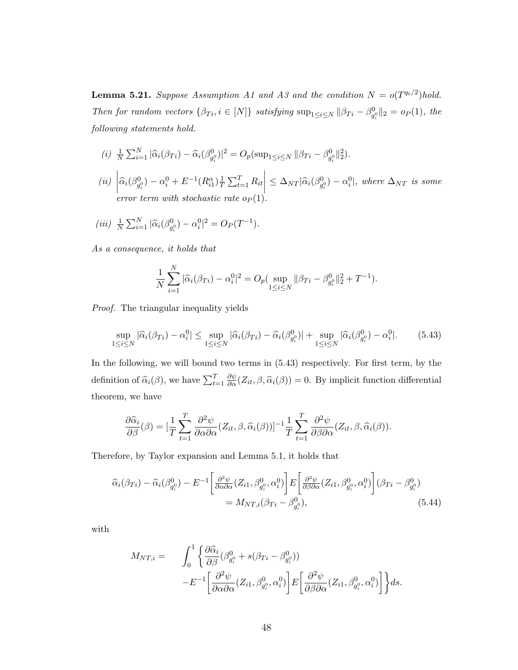**Lemma 5.21.** Suppose Assumption A1 and A3 and the condition  $N = o(T^{q_0/2})$ hold. Then for random vectors  $\{\beta_{Ti}, i \in [N]\}$  satisfying  $\sup_{1 \leq i \leq N} ||\beta_{Ti} - \beta_{g_i^0}^0||_2 = o_P(1)$ , the following statements hold.

- (i)  $\frac{1}{N} \sum_{i=1}^{N} |\widehat{\alpha}_i(\beta_{Ti}) \widehat{\alpha}_i(\beta_{g_i^0}^0)|^2 = O_p(\sup_{1 \le i \le N} ||\beta_{Ti} \beta_{g_i^0}^0||_2^2).$
- $(ii)$   $\left| \widehat{\alpha}_i (\beta_{g_i^0}^0) \alpha_i^0 + E^{-1} (R_{i1}^\alpha) \frac{1}{T} \right|$  $\frac{1}{T} \sum_{t=1}^{T} R_{it}$  $\left| \leq \Delta_{NT} | \widehat{\alpha}_i(\beta_{g_i^0}^0) - \alpha_i^0 |, \text{ where } \Delta_{NT} \text{ is some} \right|$ error term with stochastic rate  $o_P(1)$ .
- (iii)  $\frac{1}{N} \sum_{i=1}^{N} |\hat{\alpha}_i(\beta_{g_i^0}^0) \alpha_i^0|^2 = O_P(T^{-1}).$

As a consequence, it holds that

$$
\frac{1}{N} \sum_{i=1}^{N} |\widehat{\alpha}_i(\beta_{Ti}) - \alpha_i^0|^2 = O_p(\sup_{1 \le i \le N} \|\beta_{Ti} - \beta_{g_i^0}^0\|_2^2 + T^{-1}).
$$

Proof. The triangular inequality yields

$$
\sup_{1 \leq i \leq N} |\widehat{\alpha}_i(\beta_{Ti}) - \alpha_i^0| \leq \sup_{1 \leq i \leq N} |\widehat{\alpha}_i(\beta_{Ti}) - \widehat{\alpha}_i(\beta_{g_i^0}^0)| + \sup_{1 \leq i \leq N} |\widehat{\alpha}_i(\beta_{g_i^0}^0) - \alpha_i^0|. \tag{5.43}
$$

In the following, we will bound two terms in (5.43) respectively. For first term, by the definition of  $\widehat{\alpha}_i(\beta)$ , we have  $\sum_{t=1}^T$  $\frac{\partial \psi}{\partial \alpha}(Z_{it}, \beta, \widehat{\alpha}_i(\beta)) = 0.$  By implicit function differential theorem, we have

$$
\frac{\partial \widehat{\alpha}_i}{\partial \beta}(\beta) = \left[\frac{1}{T} \sum_{t=1}^T \frac{\partial^2 \psi}{\partial \alpha \partial \alpha} (Z_{it}, \beta, \widehat{\alpha}_i(\beta))\right]^{-1} \frac{1}{T} \sum_{t=1}^T \frac{\partial^2 \psi}{\partial \beta \partial \alpha} (Z_{it}, \beta, \widehat{\alpha}_i(\beta)).
$$

Therefore, by Taylor expansion and Lemma 5.1, it holds that

$$
\widehat{\alpha}_{i}(\beta_{Ti}) - \widehat{\alpha}_{i}(\beta_{g_i^0}^0) - E^{-1} \bigg[ \frac{\partial^2 \psi}{\partial \alpha \partial \alpha} (Z_{i1}, \beta_{g_i^0}^0, \alpha_i^0) \bigg] E \bigg[ \frac{\partial^2 \psi}{\partial \beta \partial \alpha} (Z_{i1}, \beta_{g_i^0}^0, \alpha_i^0) \bigg] (\beta_{Ti} - \beta_{g_i^0}^0) \n= M_{NT,i} (\beta_{Ti} - \beta_{g_i^0}^0),
$$
\n(5.44)

with

$$
M_{NT,i} = \int_0^1 \left\{ \frac{\partial \widehat{\alpha}_i}{\partial \beta} (\beta_{g_i^0}^0 + s(\beta_{Ti} - \beta_{g_i^0}^0)) - E^{-1} \left[ \frac{\partial^2 \psi}{\partial \alpha \partial \alpha} (Z_{i1}, \beta_{g_i^0}^0, \alpha_i^0) \right] E \left[ \frac{\partial^2 \psi}{\partial \beta \partial \alpha} (Z_{i1}, \beta_{g_i^0}^0, \alpha_i^0) \right] \right\} ds.
$$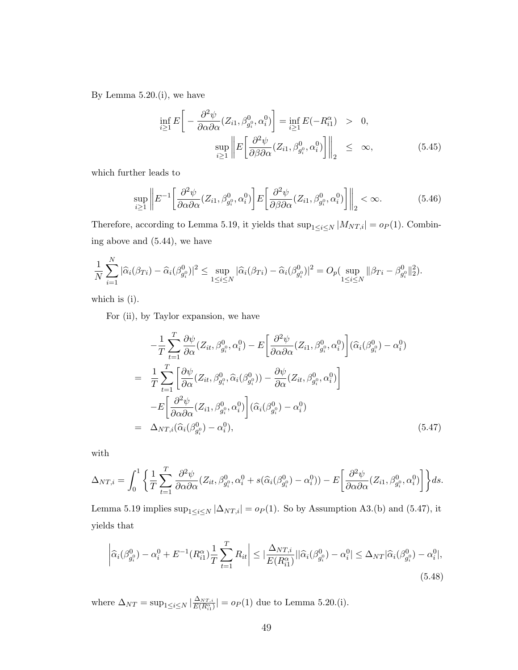By Lemma 5.20.(i), we have

$$
\inf_{i\geq 1} E\left[ -\frac{\partial^2 \psi}{\partial \alpha \partial \alpha} (Z_{i1}, \beta_{g_i^0}^0, \alpha_i^0) \right] = \inf_{i\geq 1} E(-R_{i1}^\alpha) > 0,
$$
  
\n
$$
\sup_{i\geq 1} \left\| E\left[ \frac{\partial^2 \psi}{\partial \beta \partial \alpha} (Z_{i1}, \beta_{g_i^0}^0, \alpha_i^0) \right] \right\|_2 \leq \infty,
$$
\n(5.45)

which further leads to

$$
\sup_{i\geq 1} \left\| E^{-1} \left[ \frac{\partial^2 \psi}{\partial \alpha \partial \alpha} (Z_{i1}, \beta_{g_i^0}^0, \alpha_i^0) \right] E \left[ \frac{\partial^2 \psi}{\partial \beta \partial \alpha} (Z_{i1}, \beta_{g_i^0}^0, \alpha_i^0) \right] \right\|_2 < \infty.
$$
 (5.46)

Therefore, according to Lemma 5.19, it yields that  $\sup_{1\leq i\leq N}|M_{NT,i}| = o_P(1)$ . Combining above and (5.44), we have

$$
\frac{1}{N} \sum_{i=1}^N |\widehat{\alpha}_i(\beta_{Ti}) - \widehat{\alpha}_i(\beta_{g_i^0}^0)|^2 \le \sup_{1 \le i \le N} |\widehat{\alpha}_i(\beta_{Ti}) - \widehat{\alpha}_i(\beta_{g_i^0}^0)|^2 = O_p(\sup_{1 \le i \le N} \|\beta_{Ti} - \beta_{g_i^0}^0\|_2^2).
$$

which is (i).

For (ii), by Taylor expansion, we have

$$
-\frac{1}{T} \sum_{t=1}^{T} \frac{\partial \psi}{\partial \alpha} (Z_{it}, \beta_{g_i^0}^0, \alpha_i^0) - E \bigg[ \frac{\partial^2 \psi}{\partial \alpha \partial \alpha} (Z_{i1}, \beta_{g_i^0}^0, \alpha_i^0) \bigg] (\hat{\alpha}_i (\beta_{g_i^0}^0) - \alpha_i^0)
$$
  
\n
$$
= \frac{1}{T} \sum_{t=1}^{T} \bigg[ \frac{\partial \psi}{\partial \alpha} (Z_{it}, \beta_{g_i^0}^0, \hat{\alpha}_i (\beta_{g_i^0}^0)) - \frac{\partial \psi}{\partial \alpha} (Z_{it}, \beta_{g_i^0}^0, \alpha_i^0) \bigg]
$$
  
\n
$$
-E \bigg[ \frac{\partial^2 \psi}{\partial \alpha \partial \alpha} (Z_{i1}, \beta_{g_i^0}^0, \alpha_i^0) \bigg] (\hat{\alpha}_i (\beta_{g_i^0}^0) - \alpha_i^0)
$$
  
\n
$$
= \Delta_{NT,i} (\hat{\alpha}_i (\beta_{g_i^0}^0) - \alpha_i^0), \qquad (5.47)
$$

with

$$
\Delta_{NT,i} = \int_0^1 \left\{ \frac{1}{T} \sum_{t=1}^T \frac{\partial^2 \psi}{\partial \alpha \partial \alpha} (Z_{it}, \beta_{g_i^0}^0, \alpha_i^0 + s(\widehat{\alpha}_i(\beta_{g_i^0}^0) - \alpha_i^0)) - E \bigg[ \frac{\partial^2 \psi}{\partial \alpha \partial \alpha} (Z_{i1}, \beta_{g_i^0}^0, \alpha_i^0) \bigg] \right\} ds.
$$

Lemma 5.19 implies  $\sup_{1 \leq i \leq N} |\Delta_{NT,i}| = o_P(1)$ . So by Assumption A3.(b) and (5.47), it yields that

$$
\left| \hat{\alpha}_{i}(\beta_{g_{i}^{0}}^{0}) - \alpha_{i}^{0} + E^{-1}(R_{i1}^{\alpha}) \frac{1}{T} \sum_{t=1}^{T} R_{it} \right| \leq \left| \frac{\Delta_{NT,i}}{E(R_{i1}^{\alpha})} ||\hat{\alpha}_{i}(\beta_{g_{i}^{0}}^{0}) - \alpha_{i}^{0}| \leq \Delta_{NT} |\hat{\alpha}_{i}(\beta_{g_{i}^{0}}^{0}) - \alpha_{i}^{0}|, \right|
$$
\n(5.48)

where  $\Delta_{NT} = \sup_{1 \leq i \leq N} |\frac{\Delta_{NT,i}}{E(R_i^{\alpha_i})}|$  $\frac{\Delta_{NT,i}}{E(R_{i1}^{\alpha})}| = op(1)$  due to Lemma 5.20.(i).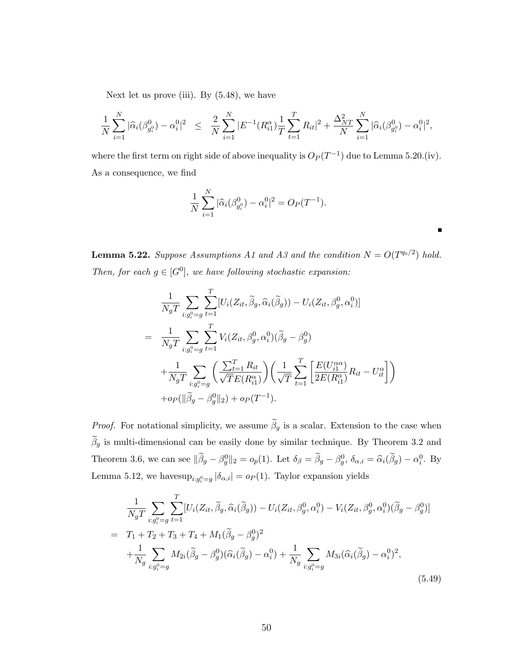Next let us prove (iii). By  $(5.48)$ , we have

$$
\frac{1}{N}\sum_{i=1}^N|\widehat{\alpha}_i(\beta_{g_i^0}^0)-\alpha_i^0|^2 \leq \frac{2}{N}\sum_{i=1}^N|E^{-1}(R_{i1}^{\alpha})\frac{1}{T}\sum_{t=1}^T R_{it}|^2+\frac{\Delta_{NT}^2}{N}\sum_{i=1}^N|\widehat{\alpha}_i(\beta_{g_i^0}^0)-\alpha_i^0|^2,
$$

where the first term on right side of above inequality is  $O_P(T^{-1})$  due to Lemma 5.20.(iv). As a consequence, we find

$$
\frac{1}{N} \sum_{i=1}^{N} |\widehat{\alpha}_i(\beta_{g_i^0}^0) - \alpha_i^0|^2 = O_P(T^{-1}).
$$

**Lemma 5.22.** Suppose Assumptions A1 and A3 and the condition  $N = O(T^{q_0/2})$  hold. Then, for each  $g \in [G^0]$ , we have following stochastic expansion:

 $\blacksquare$ 

$$
\frac{1}{N_g T} \sum_{i:g_i^0 = g} \sum_{t=1}^T [U_i(Z_{it}, \widetilde{\beta}_g, \widehat{\alpha}_i(\widetilde{\beta}_g)) - U_i(Z_{it}, \beta_g^0, \alpha_i^0)]
$$
\n
$$
= \frac{1}{N_g T} \sum_{i:g_i^0 = g} \sum_{t=1}^T V_i(Z_{it}, \beta_g^0, \alpha_i^0)(\widetilde{\beta}_g - \beta_g^0)
$$
\n
$$
+ \frac{1}{N_g T} \sum_{i:g_i^0 = g} \left( \frac{\sum_{t=1}^T R_{it}}{\sqrt{T} E(R_{i1}^{\alpha})} \right) \left( \frac{1}{\sqrt{T}} \sum_{t=1}^T \left[ \frac{E(U_{i1}^{\alpha \alpha})}{2E(R_{i1}^{\alpha})} R_{it} - U_{it}^{\alpha} \right] \right)
$$
\n
$$
+ op(\|\widetilde{\beta}_g - \beta_g^0\|_2) + op(T^{-1}).
$$

*Proof.* For notational simplicity, we assume  $\tilde{\beta}_g$  is a scalar. Extension to the case when  $\widetilde{\beta}_g$  is multi-dimensional can be easily done by similar technique. By Theorem 3.2 and Theorem 3.6, we can see  $\|\tilde{\beta}_g - \beta_g^0\|_2 = o_p(1)$ . Let  $\delta_\beta = \tilde{\beta}_g - \beta_g^0$ ,  $\delta_{\alpha,i} = \hat{\alpha}_i(\tilde{\beta}_g) - \alpha_i^0$ . By Lemma 5.12, we have  $\sup_{i,g_i^0=g} |\delta_{\alpha,i}| = o_P(1)$ . Taylor expansion yields

$$
\frac{1}{N_g T} \sum_{i:g_i^0 = g} \sum_{t=1}^T [U_i(Z_{it}, \widetilde{\beta}_g, \widehat{\alpha}_i(\widetilde{\beta}_g)) - U_i(Z_{it}, \beta_g^0, \alpha_i^0) - V_i(Z_{it}, \beta_g^0, \alpha_i^0)(\widetilde{\beta}_g - \beta_g^0)]
$$
\n
$$
= T_1 + T_2 + T_3 + T_4 + M_1(\widetilde{\beta}_g - \beta_g^0)^2
$$
\n
$$
+ \frac{1}{N_g} \sum_{i:g_i^0 = g} M_{2i}(\widetilde{\beta}_g - \beta_g^0)(\widehat{\alpha}_i(\widetilde{\beta}_g) - \alpha_i^0) + \frac{1}{N_g} \sum_{i:g_i^0 = g} M_{3i}(\widehat{\alpha}_i(\widetilde{\beta}_g) - \alpha_i^0)^2,
$$
\n(5.49)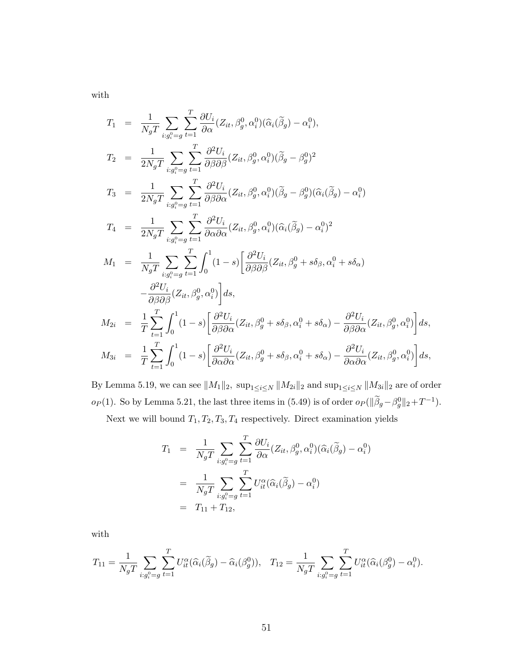with

$$
T_1 = \frac{1}{N_g T} \sum_{i:g_i^0 = g} \sum_{t=1}^T \frac{\partial U_i}{\partial \alpha} (Z_{it}, \beta_g^0, \alpha_i^0)(\hat{\alpha}_i(\tilde{\beta}_g) - \alpha_i^0),
$$
  
\n
$$
T_2 = \frac{1}{2N_g T} \sum_{i:g_i^0 = g} \sum_{t=1}^T \frac{\partial^2 U_i}{\partial \beta \partial \beta} (Z_{it}, \beta_g^0, \alpha_i^0)(\tilde{\beta}_g - \beta_g^0)^2
$$
  
\n
$$
T_3 = \frac{1}{2N_g T} \sum_{i:g_i^0 = g} \sum_{t=1}^T \frac{\partial^2 U_i}{\partial \beta \partial \alpha} (Z_{it}, \beta_g^0, \alpha_i^0)(\tilde{\beta}_g - \beta_g^0)(\hat{\alpha}_i(\tilde{\beta}_g) - \alpha_i^0)
$$
  
\n
$$
T_4 = \frac{1}{2N_g T} \sum_{i:g_i^0 = g} \sum_{t=1}^T \frac{\partial^2 U_i}{\partial \alpha \partial \alpha} (Z_{it}, \beta_g^0, \alpha_i^0)(\hat{\alpha}_i(\tilde{\beta}_g) - \alpha_i^0)^2
$$
  
\n
$$
M_1 = \frac{1}{N_g T} \sum_{i:g_i^0 = g} \sum_{t=1}^T \int_0^1 (1 - s) \left[ \frac{\partial^2 U_i}{\partial \beta \partial \beta} (Z_{it}, \beta_g^0 + s\delta_\beta, \alpha_i^0 + s\delta_\alpha) - \frac{\partial^2 U_i}{\partial \beta \partial \alpha} (Z_{it}, \beta_g^0, \alpha_i^0) \right] ds,
$$
  
\n
$$
M_{2i} = \frac{1}{T} \sum_{t=1}^T \int_0^1 (1 - s) \left[ \frac{\partial^2 U_i}{\partial \beta \partial \alpha} (Z_{it}, \beta_g^0 + s\delta_\beta, \alpha_i^0 + s\delta_\alpha) - \frac{\partial^2 U_i}{\partial \beta \partial \alpha} (Z_{it}, \beta_g^0, \alpha_i^0) \right] ds,
$$
  
\n
$$
M_{3i} = \frac{1}{T} \sum_{t=1}^T \int_0^1 (1 - s) \left[ \frac{\partial^2 U_i}{\partial \alpha \partial \alpha} (Z_{it}, \beta_g^0 + s\delta_\
$$

By Lemma 5.19, we can see  $||M_1||_2$ ,  $\sup_{1\leq i\leq N}||M_{2i}||_2$  and  $\sup_{1\leq i\leq N}||M_{3i}||_2$  are of order  $o_P(1)$ . So by Lemma 5.21, the last three items in (5.49) is of order  $o_P(||\tilde{\beta}_g - \beta_g^0||_2 + T^{-1})$ .

Next we will bound  $T_1, T_2, T_3, T_4$  respectively. Direct examination yields

$$
T_1 = \frac{1}{N_g T} \sum_{i:g_i^0 = g} \sum_{t=1}^T \frac{\partial U_i}{\partial \alpha} (Z_{it}, \beta_g^0, \alpha_i^0)(\widehat{\alpha}_i(\widetilde{\beta}_g) - \alpha_i^0)
$$
  
= 
$$
\frac{1}{N_g T} \sum_{i:g_i^0 = g} \sum_{t=1}^T U_{it}^{\alpha}(\widehat{\alpha}_i(\widetilde{\beta}_g) - \alpha_i^0)
$$
  
= 
$$
T_{11} + T_{12},
$$

with

$$
T_{11} = \frac{1}{N_g T} \sum_{i:g_i^0 = g} \sum_{t=1}^T U_{it}^{\alpha} (\hat{\alpha}_i(\tilde{\beta}_g) - \hat{\alpha}_i(\beta_g^0)), \quad T_{12} = \frac{1}{N_g T} \sum_{i:g_i^0 = g} \sum_{t=1}^T U_{it}^{\alpha} (\hat{\alpha}_i(\beta_g^0) - \alpha_i^0).
$$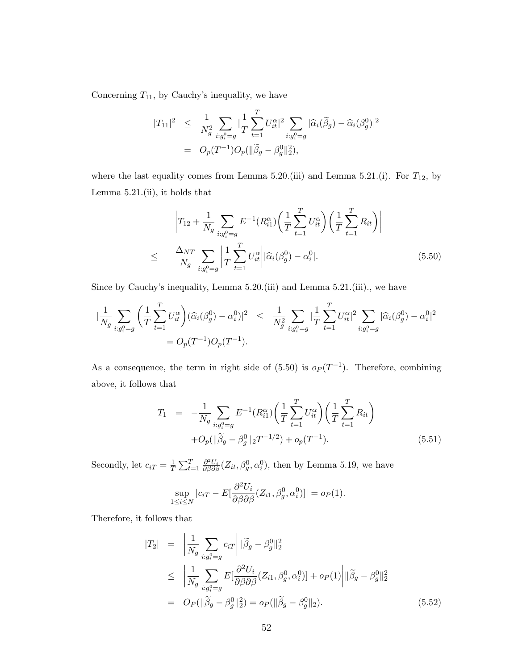Concerning  $T_{11}$ , by Cauchy's inequality, we have

$$
|T_{11}|^2 \leq \frac{1}{N_g^2} \sum_{i:g_i^0 = g} |\frac{1}{T} \sum_{t=1}^T U_{it}^{\alpha}|^2 \sum_{i:g_i^0 = g} |\widehat{\alpha}_i(\widetilde{\beta}_g) - \widehat{\alpha}_i(\beta_g^0)|^2
$$
  
=  $O_p(T^{-1})O_p(||\widetilde{\beta}_g - \beta_g^0||_2^2),$ 

where the last equality comes from Lemma 5.20.(iii) and Lemma 5.21.(i). For  $T_{12}$ , by Lemma 5.21.(ii), it holds that

$$
\left| T_{12} + \frac{1}{N_g} \sum_{i:g_i^0 = g} E^{-1}(R_{i1}^{\alpha}) \left( \frac{1}{T} \sum_{t=1}^T U_{it}^{\alpha} \right) \left( \frac{1}{T} \sum_{t=1}^T R_{it} \right) \right|
$$
\n
$$
\leq \frac{\Delta_{NT}}{N_g} \sum_{i:g_i^0 = g} \left| \frac{1}{T} \sum_{t=1}^T U_{it}^{\alpha} \right| |\widehat{\alpha}_i(\beta_g^0) - \alpha_i^0|.
$$
\n(5.50)

Since by Cauchy's inequality, Lemma 5.20.(iii) and Lemma 5.21.(iii)., we have

$$
\begin{split} |\frac{1}{N_g} \sum_{i:g_i^0 = g} \left( \frac{1}{T} \sum_{t=1}^T U_{it}^\alpha \right) (\widehat{\alpha}_i(\beta_g^0) - \alpha_i^0)|^2 &\leq \frac{1}{N_g^2} \sum_{i:g_i^0 = g} |\frac{1}{T} \sum_{t=1}^T U_{it}^\alpha|^2 \sum_{i:g_i^0 = g} |\widehat{\alpha}_i(\beta_g^0) - \alpha_i^0|^2 \\ &\quad= O_p(T^{-1}) O_p(T^{-1}). \end{split}
$$

As a consequence, the term in right side of  $(5.50)$  is  $o_p(T^{-1})$ . Therefore, combining above, it follows that

$$
T_1 = -\frac{1}{N_g} \sum_{i:g_i^0 = g} E^{-1}(R_{i1}^{\alpha}) \left(\frac{1}{T} \sum_{t=1}^T U_{it}^{\alpha}\right) \left(\frac{1}{T} \sum_{t=1}^T R_{it}\right)
$$

$$
+ O_p(||\widetilde{\beta}_g - \beta_g^0||_2 T^{-1/2}) + o_p(T^{-1}). \tag{5.51}
$$

Secondly, let  $c_{iT} = \frac{1}{T}$  $\frac{1}{T} \sum_{t=1}^T \frac{\partial^2 U_i}{\partial \beta \partial \beta} (Z_{it}, \beta_g^0, \alpha_i^0)$ , then by Lemma 5.19, we have

$$
\sup_{1 \le i \le N} |c_{iT} - E[\frac{\partial^2 U_i}{\partial \beta \partial \beta}(Z_{i1}, \beta_g^0, \alpha_i^0)]| = o_P(1).
$$

Therefore, it follows that

$$
|T_2| = \left| \frac{1}{N_g} \sum_{i:g_i^0 = g} c_{iT} \right| \| \widetilde{\beta}_g - \beta_g^0 \|_2^2
$$
  
\n
$$
\leq \left| \frac{1}{N_g} \sum_{i:g_i^0 = g} E\left[ \frac{\partial^2 U_i}{\partial \beta \partial \beta} (Z_{i1}, \beta_g^0, \alpha_i^0) \right] + o_P(1) \left| \| \widetilde{\beta}_g - \beta_g^0 \|_2^2 \right|
$$
  
\n
$$
= O_P(\|\widetilde{\beta}_g - \beta_g^0 \|_2^2) = o_P(\|\widetilde{\beta}_g - \beta_g^0 \|_2). \tag{5.52}
$$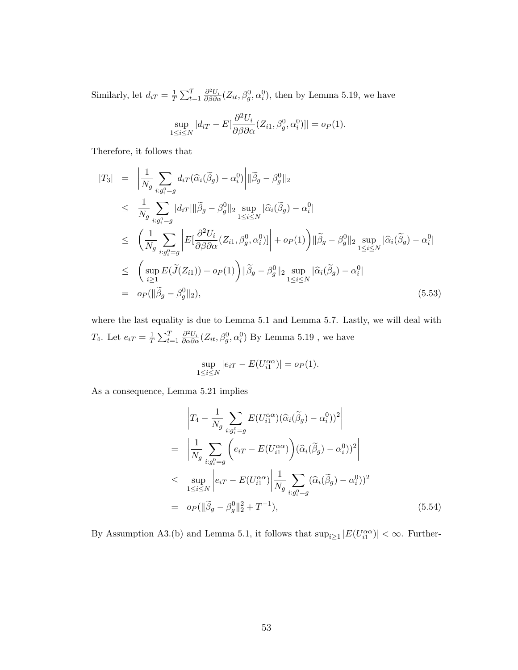Similarly, let  $d_{iT} = \frac{1}{7}$  $\frac{1}{T} \sum_{t=1}^T \frac{\partial^2 U_i}{\partial \beta \partial \alpha} (Z_{it}, \beta_g^0, \alpha_i^0)$ , then by Lemma 5.19, we have

$$
\sup_{1 \le i \le N} |d_{iT} - E[\frac{\partial^2 U_i}{\partial \beta \partial \alpha}(Z_{i1}, \beta_g^0, \alpha_i^0)]| = o_P(1).
$$

Therefore, it follows that

$$
|T_3| = \left| \frac{1}{N_g} \sum_{i:g_i^0 = g} d_{iT}(\widehat{\alpha}_i(\widetilde{\beta}_g) - \alpha_i^0) \right| ||\widetilde{\beta}_g - \beta_g^0||_2
$$
  
\n
$$
\leq \frac{1}{N_g} \sum_{i:g_i^0 = g} |d_{iT}|| \widetilde{\beta}_g - \beta_g^0||_2 \sup_{1 \leq i \leq N} |\widehat{\alpha}_i(\widetilde{\beta}_g) - \alpha_i^0|
$$
  
\n
$$
\leq \left( \frac{1}{N_g} \sum_{i:g_i^0 = g} \left| E[\frac{\partial^2 U_i}{\partial \beta \partial \alpha} (Z_{i1}, \beta_g^0, \alpha_i^0)] \right| + op(1) \right) ||\widetilde{\beta}_g - \beta_g^0||_2 \sup_{1 \leq i \leq N} |\widehat{\alpha}_i(\widetilde{\beta}_g) - \alpha_i^0|
$$
  
\n
$$
\leq \left( \sup_{i \geq 1} E(\widetilde{J}(Z_{i1})) + op(1) \right) ||\widetilde{\beta}_g - \beta_g^0||_2 \sup_{1 \leq i \leq N} |\widehat{\alpha}_i(\widetilde{\beta}_g) - \alpha_i^0|
$$
  
\n
$$
= op(||\widetilde{\beta}_g - \beta_g^0||_2), \qquad (5.53)
$$

where the last equality is due to Lemma 5.1 and Lemma 5.7. Lastly, we will deal with  $T_4$ . Let  $e_{iT} = \frac{1}{7}$  $\frac{1}{T} \sum_{t=1}^{T} \frac{\partial^2 U_i}{\partial \alpha \partial \alpha} (Z_{it}, \beta_g^0, \alpha_i^0)$  By Lemma 5.19, we have

$$
\sup_{1 \le i \le N} |e_{iT} - E(U_{i1}^{\alpha \alpha})| = o_P(1).
$$

As a consequence, Lemma 5.21 implies

$$
\begin{split}\n\left| T_4 - \frac{1}{N_g} \sum_{i:g_i^0 = g} E(U_{i1}^{\alpha \alpha})(\widehat{\alpha}_i(\widetilde{\beta}_g) - \alpha_i^0))^2 \right| \\
= \left| \frac{1}{N_g} \sum_{i:g_i^0 = g} \left( e_{iT} - E(U_{i1}^{\alpha \alpha}) \right) (\widehat{\alpha}_i(\widetilde{\beta}_g) - \alpha_i^0))^2 \right| \\
\leq \sup_{1 \leq i \leq N} \left| e_{iT} - E(U_{i1}^{\alpha \alpha}) \right| \frac{1}{N_g} \sum_{i:g_i^0 = g} (\widehat{\alpha}_i(\widetilde{\beta}_g) - \alpha_i^0))^2 \\
= o_P(\|\widetilde{\beta}_g - \beta_g^0\|_2^2 + T^{-1}),\n\end{split} \tag{5.54}
$$

By Assumption A3.(b) and Lemma 5.1, it follows that  $\sup_{i\geq 1} |E(U_{i1}^{\alpha\alpha})| < \infty$ . Further-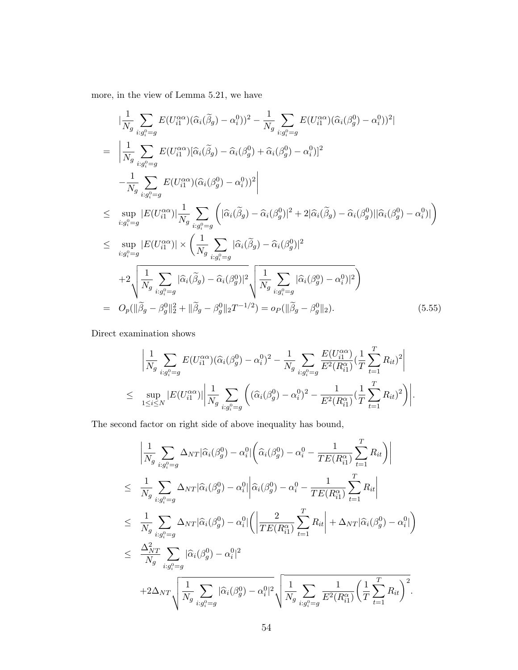more, in the view of Lemma 5.21, we have

$$
\begin{split}\n&\left|\frac{1}{N_g}\sum_{i:g_i^0=g} E(U_{i1}^{\alpha\alpha})(\hat{\alpha}_i(\tilde{\beta}_g) - \alpha_i^0)\right|^2 - \frac{1}{N_g}\sum_{i:g_i^0=g} E(U_{i1}^{\alpha\alpha})(\hat{\alpha}_i(\beta_g^0) - \alpha_i^0))^2| \\
&= \left|\frac{1}{N_g}\sum_{i:g_i^0=g} E(U_{i1}^{\alpha\alpha})(\hat{\alpha}_i(\tilde{\beta}_g) - \hat{\alpha}_i(\beta_g^0) + \hat{\alpha}_i(\beta_g^0) - \alpha_i^0))^2\right| \\
&- \frac{1}{N_g}\sum_{i:g_i^0=g} E(U_{i1}^{\alpha\alpha})(\hat{\alpha}_i(\beta_g^0) - \alpha_i^0))^2\right| \\
&\le \sup_{i:g_i^0=g} |E(U_{i1}^{\alpha\alpha})|\frac{1}{N_g}\sum_{i:g_i^0=g} \left(|\hat{\alpha}_i(\tilde{\beta}_g) - \hat{\alpha}_i(\beta_g^0)|^2 + 2|\hat{\alpha}_i(\tilde{\beta}_g) - \hat{\alpha}_i(\beta_g^0)||\hat{\alpha}_i(\beta_g^0) - \alpha_i^0)|\right) \\
&\le \sup_{i:g_i^0=g} |E(U_{i1}^{\alpha\alpha})| \times \left(\frac{1}{N_g}\sum_{i:g_i^0=g} |\hat{\alpha}_i(\tilde{\beta}_g) - \hat{\alpha}_i(\beta_g^0)|^2\right) \\
&+ 2\sqrt{\frac{1}{N_g}\sum_{i:g_i^0=g} |\hat{\alpha}_i(\tilde{\beta}_g) - \hat{\alpha}_i(\beta_g^0)|^2}\sqrt{\frac{1}{N_g}\sum_{i:g_i^0=g} |\hat{\alpha}_i(\beta_g^0) - \alpha_i^0)|^2}\n\end{split}
$$
\n
$$
= O_p(||\tilde{\beta}_g - \beta_g^0||_2^2 + ||\tilde{\beta}_g - \beta_g^0||_2T^{-1/2}) = o_P(||\tilde{\beta}_g - \beta_g^0||_2). \tag{5.55}
$$

Direct examination shows

$$
\left| \frac{1}{N_g} \sum_{i:g_i^0 = g} E(U_{i1}^{\alpha \alpha})(\hat{\alpha}_i(\beta_g^0) - \alpha_i^0)^2 - \frac{1}{N_g} \sum_{i:g_i^0 = g} \frac{E(U_{i1}^{\alpha \alpha})}{E^2(R_{i1}^{\alpha})} \left( \frac{1}{T} \sum_{t=1}^T R_{it} \right)^2 \right|
$$
  

$$
\leq \sup_{1 \leq i \leq N} |E(U_{i1}^{\alpha \alpha})| \left| \frac{1}{N_g} \sum_{i:g_i^0 = g} \left( (\hat{\alpha}_i(\beta_g^0) - \alpha_i^0)^2 - \frac{1}{E^2(R_{i1}^{\alpha})} (\frac{1}{T} \sum_{t=1}^T R_{it})^2 \right) \right|.
$$

The second factor on right side of above inequality has bound,

$$
\begin{split}\n&\left|\frac{1}{N_g}\sum_{i:g_i^0=g}\Delta_{NT}|\widehat{\alpha}_i(\beta_g^0)-\alpha_i^0|\left(\widehat{\alpha}_i(\beta_g^0)-\alpha_i^0-\frac{1}{TE(R_{i1}^{\alpha})}\sum_{t=1}^TR_{it}\right)\right| \\
&\leq \frac{1}{N_g}\sum_{i:g_i^0=g}\Delta_{NT}|\widehat{\alpha}_i(\beta_g^0)-\alpha_i^0|\left|\widehat{\alpha}_i(\beta_g^0)-\alpha_i^0-\frac{1}{TE(R_{i1}^{\alpha})}\sum_{t=1}^TR_{it}\right| \\
&\leq \frac{1}{N_g}\sum_{i:g_i^0=g}\Delta_{NT}|\widehat{\alpha}_i(\beta_g^0)-\alpha_i^0|\left(\left|\frac{2}{TE(R_{i1}^{\alpha})}\sum_{t=1}^TR_{it}\right|+\Delta_{NT}|\widehat{\alpha}_i(\beta_g^0)-\alpha_i^0|\right) \\
&\leq \frac{\Delta_{NT}^2}{N_g}\sum_{i:g_i^0=g}|\widehat{\alpha}_i(\beta_g^0)-\alpha_i^0|^2 \\
&\quad +2\Delta_{NT}\sqrt{\frac{1}{N_g}\sum_{i:g_i^0=g}|\widehat{\alpha}_i(\beta_g^0)-\alpha_i^0|^2}\sqrt{\frac{1}{N_g}\sum_{i:g_i^0=g}\frac{1}{E^2(R_{i1}^{\alpha})}\left(\frac{1}{T}\sum_{t=1}^TR_{it}\right)^2}.\n\end{split}
$$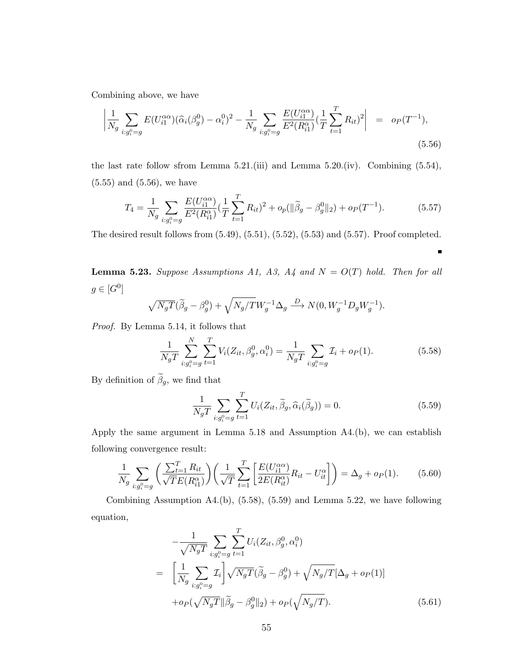Combining above, we have

$$
\left| \frac{1}{N_g} \sum_{i:g_i^0 = g} E(U_{i1}^{\alpha \alpha})(\widehat{\alpha}_i(\beta_g^0) - \alpha_i^0)^2 - \frac{1}{N_g} \sum_{i:g_i^0 = g} \frac{E(U_{i1}^{\alpha \alpha})}{E^2(R_{i1}^{\alpha})} \left( \frac{1}{T} \sum_{t=1}^T R_{it} \right)^2 \right| = o_P(T^{-1}), \tag{5.56}
$$

the last rate follow sfrom Lemma 5.21.(iii) and Lemma 5.20.(iv). Combining (5.54), (5.55) and (5.56), we have

$$
T_4 = \frac{1}{N_g} \sum_{i:g_i^0 = g} \frac{E(U_{i1}^{\alpha\alpha})}{E^2(R_{i1}^{\alpha})} \left(\frac{1}{T} \sum_{t=1}^T R_{it}\right)^2 + o_p(\|\tilde{\beta}_g - \beta_g^0\|_2) + o_p(T^{-1}).\tag{5.57}
$$

The desired result follows from (5.49), (5.51), (5.52), (5.53) and (5.57). Proof completed.

**Lemma 5.23.** Suppose Assumptions A1, A3, A4 and  $N = O(T)$  hold. Then for all  $g \in [G^0]$ 

$$
\sqrt{N_gT}(\widetilde{\beta}_g - \beta_g^0) + \sqrt{N_g/T}W_g^{-1}\Delta_g \stackrel{D}{\longrightarrow} N(0, W_g^{-1}D_gW_g^{-1}).
$$

Proof. By Lemma 5.14, it follows that

$$
\frac{1}{N_g T} \sum_{i:g_i^0 = g}^{N} \sum_{t=1}^{T} V_i(Z_{it}, \beta_g^0, \alpha_i^0) = \frac{1}{N_g T} \sum_{i:g_i^0 = g} \mathcal{I}_i + o_P(1).
$$
 (5.58)

By definition of  $\widetilde{\beta}_g$ , we find that

$$
\frac{1}{N_g T} \sum_{i:g_i^0 = g} \sum_{t=1}^T U_i(Z_{it}, \widetilde{\beta}_g, \widehat{\alpha}_i(\widetilde{\beta}_g)) = 0.
$$
\n(5.59)

 $\blacksquare$ 

Apply the same argument in Lemma 5.18 and Assumption A4.(b), we can establish following convergence result:

$$
\frac{1}{N_g} \sum_{i:g_i^0 = g} \left( \frac{\sum_{t=1}^T R_{it}}{\sqrt{TE}(R_{i1}^\alpha)} \right) \left( \frac{1}{\sqrt{T}} \sum_{t=1}^T \left[ \frac{E(U_{i1}^{\alpha \alpha})}{2E(R_{it}^\alpha)} R_{it} - U_{it}^\alpha \right] \right) = \Delta_g + o_P(1). \tag{5.60}
$$

Combining Assumption A4.(b), (5.58), (5.59) and Lemma 5.22, we have following equation,

$$
-\frac{1}{\sqrt{N_gT}} \sum_{i:g_i^0 = g} \sum_{t=1}^T U_i(Z_{it}, \beta_g^0, \alpha_i^0)
$$
  
= 
$$
\left[ \frac{1}{N_g} \sum_{i:g_i^0 = g} \mathcal{I}_i \right] \sqrt{N_gT} (\tilde{\beta}_g - \beta_g^0) + \sqrt{N_g/T} [\Delta_g + o_P(1)]
$$
  
+  $o_P(\sqrt{N_gT} || \tilde{\beta}_g - \beta_g^0 ||_2) + o_P(\sqrt{N_g/T}).$  (5.61)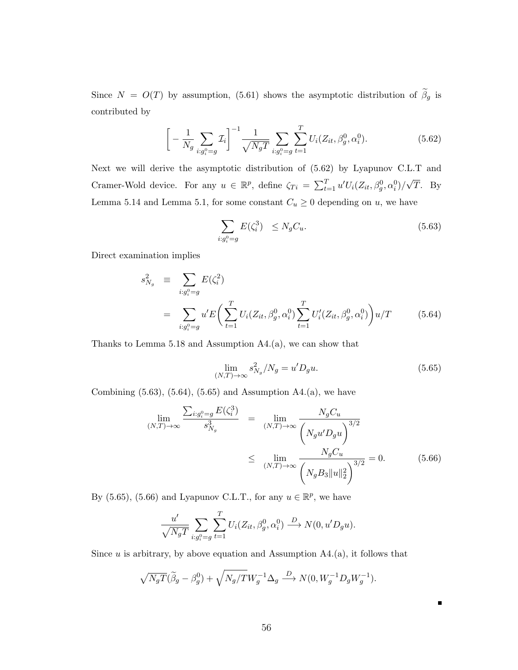Since  $N = O(T)$  by assumption, (5.61) shows the asymptotic distribution of  $\tilde{\beta}_g$  is contributed by

$$
\left[-\frac{1}{N_g}\sum_{i:g_i^0=g} \mathcal{I}_i\right]^{-1} \frac{1}{\sqrt{N_gT}} \sum_{i:g_i^0=g} \sum_{t=1}^T U_i(Z_{it}, \beta_g^0, \alpha_i^0). \tag{5.62}
$$

Next we will derive the asymptotic distribution of (5.62) by Lyapunov C.L.T and Cramer-Wold device. For any  $u \in \mathbb{R}^p$ , define  $\zeta_{Ti} = \sum_{t=1}^T u' U_i(Z_{it}, \beta_g^0, \alpha_i^0)$ / √ T. By Lemma 5.14 and Lemma 5.1, for some constant  $C_u \geq 0$  depending on u, we have

$$
\sum_{i:g_i^0 = g} E(\zeta_i^3) \le N_g C_u. \tag{5.63}
$$

Direct examination implies

$$
s_{N_g}^2 \equiv \sum_{i:g_i^0 = g} E(\zeta_i^2)
$$
  
= 
$$
\sum_{i:g_i^0 = g} u' E\left(\sum_{t=1}^T U_i(Z_{it}, \beta_g^0, \alpha_i^0) \sum_{t=1}^T U_i'(Z_{it}, \beta_g^0, \alpha_i^0)\right) u/T
$$
 (5.64)

Thanks to Lemma 5.18 and Assumption A4.(a), we can show that

$$
\lim_{(N,T)\to\infty} s_{N_g}^2/N_g = u'D_g u.
$$
\n(5.65)

 $\blacksquare$ 

Combining  $(5.63)$ ,  $(5.64)$ ,  $(5.65)$  and Assumption A4. $(a)$ , we have

$$
\lim_{(N,T)\to\infty} \frac{\sum_{i:g_i^0 = g} E(\zeta_i^3)}{s_{N_g}^3} = \lim_{(N,T)\to\infty} \frac{N_g C_u}{\left(N_g u' D_g u\right)^{3/2}} \le \lim_{(N,T)\to\infty} \frac{N_g C_u}{\left(N_g B_3 \|u\|_2^2\right)^{3/2}} = 0. \tag{5.66}
$$

By (5.65), (5.66) and Lyapunov C.L.T., for any  $u \in \mathbb{R}^p$ , we have

$$
\frac{u'}{\sqrt{N_gT}} \sum_{i:g_i^0 = g} \sum_{t=1}^T U_i(Z_{it}, \beta_g^0, \alpha_i^0) \stackrel{D}{\longrightarrow} N(0, u'D_gu).
$$

Since  $u$  is arbitrary, by above equation and Assumption  $A4.(a)$ , it follows that

$$
\sqrt{N_gT}(\widetilde{\beta}_g - \beta_g^0) + \sqrt{N_g/T}W_g^{-1}\Delta_g \stackrel{D}{\longrightarrow} N(0, W_g^{-1}D_gW_g^{-1}).
$$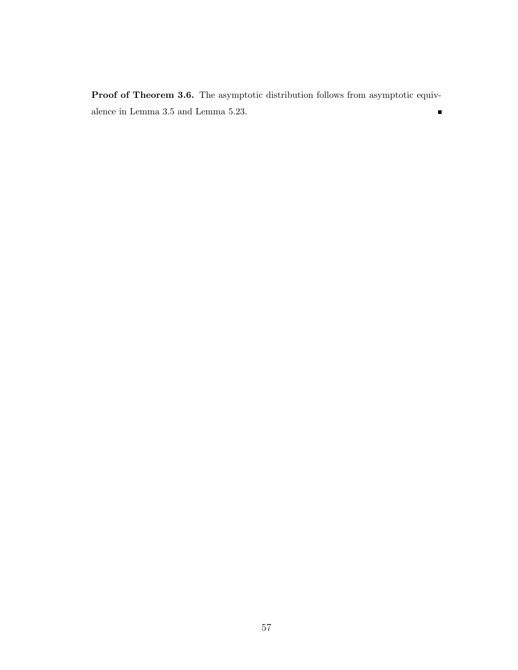Proof of Theorem 3.6. The asymptotic distribution follows from asymptotic equivalence in Lemma 3.5 and Lemma 5.23.  $\blacksquare$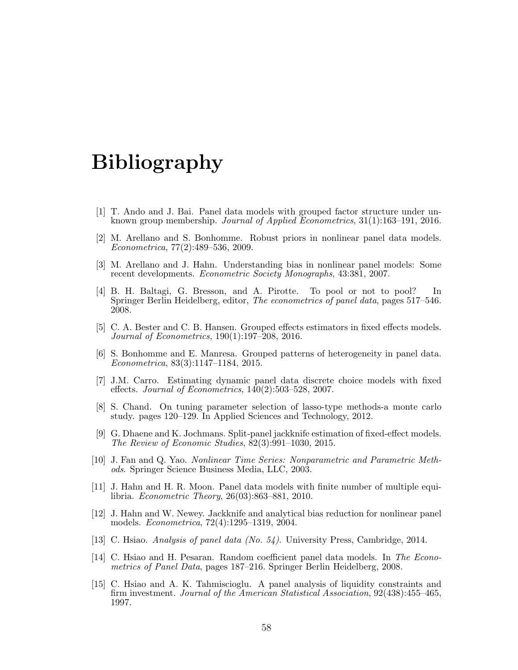# Bibliography

- [1] T. Ando and J. Bai. Panel data models with grouped factor structure under unknown group membership. Journal of Applied Econometrics, 31(1):163–191, 2016.
- [2] M. Arellano and S. Bonhomme. Robust priors in nonlinear panel data models. Econometrica, 77(2):489–536, 2009.
- [3] M. Arellano and J. Hahn. Understanding bias in nonlinear panel models: Some recent developments. Econometric Society Monographs, 43:381, 2007.
- [4] B. H. Baltagi, G. Bresson, and A. Pirotte. To pool or not to pool? In Springer Berlin Heidelberg, editor, The econometrics of panel data, pages 517–546. 2008.
- [5] C. A. Bester and C. B. Hansen. Grouped effects estimators in fixed effects models. Journal of Econometrics, 190(1):197–208, 2016.
- [6] S. Bonhomme and E. Manresa. Grouped patterns of heterogeneity in panel data. Econometrica, 83(3):1147–1184, 2015.
- [7] J.M. Carro. Estimating dynamic panel data discrete choice models with fixed effects. Journal of Econometrics, 140(2):503–528, 2007.
- [8] S. Chand. On tuning parameter selection of lasso-type methods-a monte carlo study. pages 120–129. In Applied Sciences and Technology, 2012.
- [9] G. Dhaene and K. Jochmans. Split-panel jackknife estimation of fixed-effect models. The Review of Economic Studies, 82(3):991–1030, 2015.
- [10] J. Fan and Q. Yao. Nonlinear Time Series: Nonparametric and Parametric Methods. Springer Science Business Media, LLC, 2003.
- [11] J. Hahn and H. R. Moon. Panel data models with finite number of multiple equilibria. Econometric Theory, 26(03):863–881, 2010.
- [12] J. Hahn and W. Newey. Jackknife and analytical bias reduction for nonlinear panel models. Econometrica, 72(4):1295–1319, 2004.
- [13] C. Hsiao. Analysis of panel data (No. 54). University Press, Cambridge, 2014.
- [14] C. Hsiao and H. Pesaran. Random coefficient panel data models. In The Econometrics of Panel Data, pages 187–216. Springer Berlin Heidelberg, 2008.
- [15] C. Hsiao and A. K. Tahmiscioglu. A panel analysis of liquidity constraints and firm investment. Journal of the American Statistical Association, 92(438):455–465, 1997.